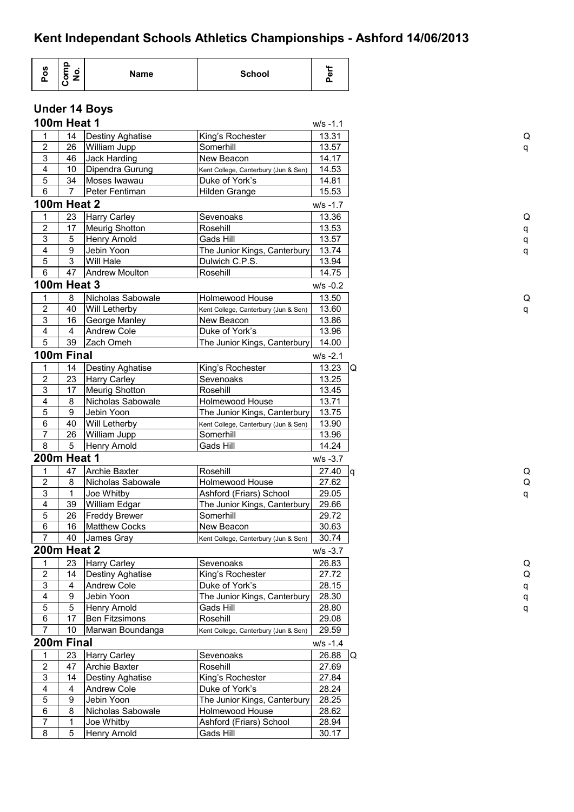## **Under 14 Boys**

|                               | <b>100m Heat 1</b> |                         |                                                    | $W/S -1.1$  |    |
|-------------------------------|--------------------|-------------------------|----------------------------------------------------|-------------|----|
| 1                             | 14                 | Destiny Aghatise        | King's Rochester                                   | 13.31       |    |
| 2                             | 26                 | William Jupp            | Somerhill                                          | 13.57       |    |
| 3                             | 46                 | Jack Harding            | New Beacon                                         | 14.17       |    |
| 4                             | 10                 | Dipendra Gurung         | Kent College, Canterbury (Jun & Sen)               | 14.53       |    |
| 5                             | 34                 | Moses Iwawau            | Duke of York's                                     | 14.81       |    |
| 6                             | 7                  | Peter Fentiman          | Hilden Grange                                      | 15.53       |    |
|                               | <b>100m Heat 2</b> |                         |                                                    | $W/S - 1.7$ |    |
| 1                             | 23                 | <b>Harry Carley</b>     | Sevenoaks                                          | 13.36       |    |
| $\sqrt{2}$                    | 17                 | <b>Meurig Shotton</b>   | Rosehill                                           | 13.53       |    |
| 3                             | 5                  | <b>Henry Arnold</b>     | Gads Hill                                          | 13.57       |    |
| 4                             | 9                  | Jebin Yoon              | The Junior Kings, Canterbury                       | 13.74       |    |
| 5                             | 3                  | Will Hale               | Dulwich C.P.S.                                     | 13.94       |    |
| $\,6\,$                       | 47                 | <b>Andrew Moulton</b>   | Rosehill                                           | 14.75       |    |
|                               | <b>100m Heat 3</b> |                         |                                                    | $W/S -0.2$  |    |
| 1                             | 8                  | Nicholas Sabowale       | Holmewood House                                    | 13.50       |    |
| 2                             | 40                 | Will Letherby           |                                                    | 13.60       |    |
| 3                             | 16                 | George Manley           | Kent College, Canterbury (Jun & Sen)<br>New Beacon | 13.86       |    |
| 4                             | 4                  | <b>Andrew Cole</b>      | Duke of York's                                     | 13.96       |    |
| 5                             | 39                 | Zach Omeh               | The Junior Kings, Canterbury                       | 14.00       |    |
|                               | 100m Final         |                         |                                                    | $W/S -2.1$  |    |
|                               | 14                 |                         |                                                    | 13.23       | Q  |
| 1                             |                    | <b>Destiny Aghatise</b> | King's Rochester                                   |             |    |
| $\overline{2}$                | 23                 | <b>Harry Carley</b>     | Sevenoaks                                          | 13.25       |    |
| 3                             | 17                 | <b>Meurig Shotton</b>   | Rosehill                                           | 13.45       |    |
| 4                             | 8                  | Nicholas Sabowale       | Holmewood House                                    | 13.71       |    |
| 5                             | 9                  | Jebin Yoon              | The Junior Kings, Canterbury                       | 13.75       |    |
| 6<br>$\overline{\mathcal{I}}$ | 40                 | <b>Will Letherby</b>    | Kent College, Canterbury (Jun & Sen)               | 13.90       |    |
| 8                             | 26                 | William Jupp            | Somerhill                                          | 13.96       |    |
|                               | 5<br>200m Heat 1   | <b>Henry Arnold</b>     | Gads Hill                                          | 14.24       |    |
|                               |                    |                         |                                                    | $W/S -3.7$  |    |
| 1                             | 47                 | <b>Archie Baxter</b>    | Rosehill                                           | 27.40       | ١q |
| $\overline{\mathbf{c}}$       | 8                  | Nicholas Sabowale       | Holmewood House                                    | 27.62       |    |
| 3                             | 1                  | Joe Whitby              | Ashford (Friars) School                            | 29.05       |    |
| 4                             | 39                 | William Edgar           | The Junior Kings, Canterbury                       | 29.66       |    |
| 5                             | 26                 | <b>Freddy Brewer</b>    | Somerhill                                          | 29.72       |    |
| $\,6\,$<br>7                  | 16                 | <b>Matthew Cocks</b>    | New Beacon                                         | 30.63       |    |
|                               | 40                 | James Gray              | Kent College, Canterbury (Jun & Sen)               | 30.74       |    |
|                               | <b>200m Heat 2</b> |                         |                                                    | $W/S -3.7$  |    |
| 1                             | 23                 | <b>Harry Carley</b>     | Sevenoaks                                          | 26.83       |    |
| $\overline{2}$                | 14                 | Destiny Aghatise        | King's Rochester                                   | 27.72       |    |
| 3                             | 4                  | <b>Andrew Cole</b>      | Duke of York's                                     | 28.15       |    |
| 4                             | 9                  | Jebin Yoon              | The Junior Kings, Canterbury                       | 28.30       |    |
| 5                             | 5                  | <b>Henry Arnold</b>     | Gads Hill                                          | 28.80       |    |
| $\,6\,$                       | 17                 | <b>Ben Fitzsimons</b>   | Rosehill                                           | 29.08       |    |
| $\overline{7}$                | 10                 | Marwan Boundanga        | Kent College, Canterbury (Jun & Sen)               | 29.59       |    |
|                               | 200m Final         |                         |                                                    | $W/S - 1.4$ |    |
| 1                             | 23                 | <b>Harry Carley</b>     | Sevenoaks                                          | 26.88       | IQ |
| $\overline{\mathbf{c}}$       | 47                 | <b>Archie Baxter</b>    | Rosehill                                           | 27.69       |    |
| 3                             | 14                 | <b>Destiny Aghatise</b> | King's Rochester                                   | 27.84       |    |
| 4                             | 4                  | <b>Andrew Cole</b>      | Duke of York's                                     | 28.24       |    |
| 5                             | 9                  | Jebin Yoon              | The Junior Kings, Canterbury                       | 28.25       |    |
| $\overline{6}$                | 8                  | Nicholas Sabowale       | Holmewood House                                    | 28.62       |    |
| $\overline{7}$                | 1                  | Joe Whitby              | Ashford (Friars) School                            | 28.94       |    |
| 8                             | 5                  | <b>Henry Arnold</b>     | Gads Hill                                          | 30.17       |    |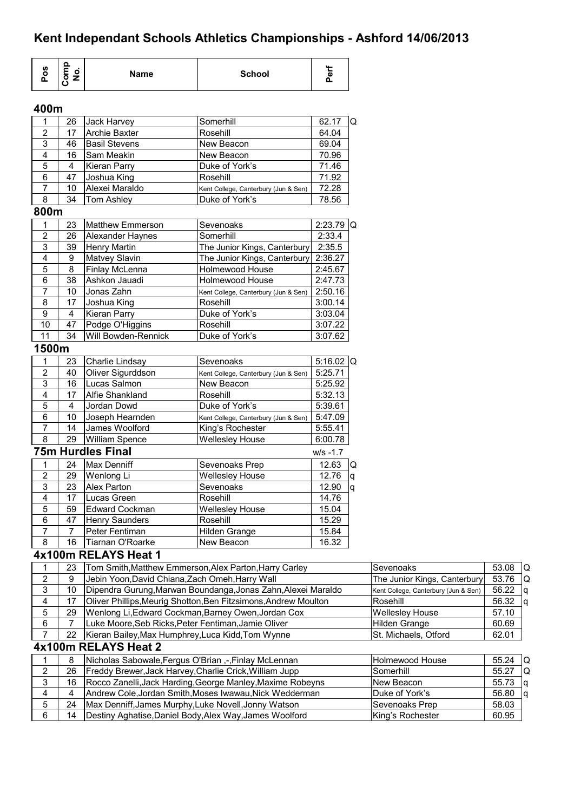| Pos                       | Comp<br>No.    | <b>Name</b>                                  | <b>School</b>                                          | Perf          |    |
|---------------------------|----------------|----------------------------------------------|--------------------------------------------------------|---------------|----|
| 400m                      |                |                                              |                                                        |               |    |
| 1                         | 26             | Jack Harvey                                  | Somerhill                                              | 62.17         | lQ |
| $\mathbf 2$               | 17             | <b>Archie Baxter</b>                         | Rosehill                                               | 64.04         |    |
| 3                         | 46             | <b>Basil Stevens</b>                         | New Beacon                                             | 69.04         |    |
| 4                         | 16             | Sam Meakin                                   | New Beacon                                             | 70.96         |    |
|                           |                |                                              |                                                        |               |    |
| 5                         | 4              | <b>Kieran Parry</b>                          | Duke of York's                                         | 71.46         |    |
| 6                         | 47             | Joshua King                                  | Rosehill                                               | 71.92         |    |
| 7<br>8                    | 10             | Alexei Maraldo                               | Kent College, Canterbury (Jun & Sen)                   | 72.28         |    |
|                           | 34             | Tom Ashley                                   | Duke of York's                                         | 78.56         |    |
| 800m                      |                |                                              |                                                        |               |    |
| $\mathbf{1}$              | 23             | <b>Matthew Emmerson</b>                      | Sevenoaks                                              | $2:23.79$ Q   |    |
| $\overline{2}$            | 26             | Alexander Haynes                             | Somerhill                                              | 2:33.4        |    |
| 3                         | 39             | Henry Martin                                 | The Junior Kings, Canterbury                           | 2:35.5        |    |
| 4                         | 9              | Matvey Slavin                                | The Junior Kings, Canterbury                           | 2:36.27       |    |
| 5                         | 8              | Finlay McLenna                               | Holmewood House                                        | 2:45.67       |    |
| 6                         | 38             | Ashkon Jauadi                                | <b>Holmewood House</b>                                 | 2:47.73       |    |
| $\overline{7}$            | 10             | Jonas Zahn                                   | Kent College, Canterbury (Jun & Sen)                   | 2:50.16       |    |
| 8                         | 17             | Joshua King                                  | Rosehill                                               | 3:00.14       |    |
| $\boldsymbol{9}$          | 4              | <b>Kieran Parry</b>                          | Duke of York's                                         | 3:03.04       |    |
| 10                        | 47             | Podge O'Higgins                              | Rosehill                                               | 3:07.22       |    |
| 11                        | 34             | Will Bowden-Rennick                          | Duke of York's                                         | 3:07.62       |    |
| 1500m                     |                |                                              |                                                        |               |    |
| 1                         | 23             | Charlie Lindsay                              | Sevenoaks                                              | 5:16.02 $ Q $ |    |
| $\mathbf 2$               | 40             | Oliver Sigurddson                            | Kent College, Canterbury (Jun & Sen)                   | 5:25.71       |    |
| $\ensuremath{\mathsf{3}}$ | 16             | Lucas Salmon                                 | New Beacon                                             | 5:25.92       |    |
| 4                         | 17             | Alfie Shankland                              | Rosehill                                               | 5:32.13       |    |
| 5                         | 4              | Jordan Dowd                                  | Duke of York's                                         | 5:39.61       |    |
| $\,6\,$                   | 10             | Joseph Hearnden                              | Kent College, Canterbury (Jun & Sen)                   | 5:47.09       |    |
| 7                         | 14             | James Woolford                               | King's Rochester                                       | 5:55.41       |    |
| $\bf 8$                   |                | 29 William Spence                            | <b>Wellesley House</b>                                 | 6:00.78       |    |
|                           |                | <b>75m Hurdles Final</b>                     |                                                        | $W/S - 1.7$   |    |
| 1                         | 24             | <b>Max Denniff</b>                           | Sevenoaks Prep                                         | 12.63         | IQ |
| $\sqrt{2}$                | 29             | Wenlong Li                                   | <b>Wellesley House</b>                                 | 12.76         | q  |
| $\overline{3}$            | 23             | Alex Parton                                  | Sevenoaks                                              | 12.90         | q  |
| 4                         | 17             | Lucas Green                                  | Rosehill                                               | 14.76         |    |
| $\overline{5}$            | 59             | <b>Edward Cockman</b>                        | <b>Wellesley House</b>                                 | 15.04         |    |
| $\,6\,$                   | 47             | <b>Henry Saunders</b>                        | Rosehill                                               | 15.29         |    |
| $\overline{7}$            | $\overline{7}$ | Peter Fentiman                               | Hilden Grange                                          | 15.84         |    |
| 8                         | 16             | Tiarnan O'Roarke                             | New Beacon                                             | 16.32         |    |
|                           |                |                                              |                                                        |               |    |
|                           |                | 4x100m RELAYS Heat 1                         |                                                        |               |    |
| 1                         | 23             |                                              | Tom Smith, Matthew Emmerson, Alex Parton, Harry Carley |               |    |
|                           | 9              | Jebin Yoon.David Chiana.Zach Omeh.Harry Wall |                                                        |               |    |

| 2  | 9  | Jebin Yoon, David Chiana, Zach Omeh, Harry Wall                 | The Junior Kings, Canterbury         | 53.76 | lQ  |
|----|----|-----------------------------------------------------------------|--------------------------------------|-------|-----|
| 3  | 10 | Dipendra Gurung, Marwan Boundanga, Jonas Zahn, Alexei Maraldo   | Kent College, Canterbury (Jun & Sen) | 56.22 |     |
| 4  | 17 | Oliver Phillips, Meurig Shotton, Ben Fitzsimons, Andrew Moulton | Rosehill                             | 56.32 | ١q  |
| 5. | 29 | Wenlong Li, Edward Cockman, Barney Owen, Jordan Cox             | <b>Wellesley House</b>               | 57.10 |     |
| 6  |    | Luke Moore, Seb Ricks, Peter Fentiman, Jamie Oliver             | <b>Hilden Grange</b>                 | 60.69 |     |
|    | 22 | Kieran Bailey, Max Humphrey, Luca Kidd, Tom Wynne               | St. Michaels, Otford                 | 62.01 |     |
|    |    | 4x100m RELAYS Heat 2                                            |                                      |       |     |
|    | 8  | Nicholas Sabowale, Fergus O'Brian, -, Finlay McLennan           | Holmewood House                      | 55.24 | -lQ |
| 2  | 26 | Freddy Brewer, Jack Harvey, Charlie Crick, William Jupp         | Somerhill                            | 55.27 | IQ  |
| 3  | 16 | Rocco Zanelli, Jack Harding, George Manley, Maxime Robeyns      | New Beacon                           | 55.73 | la  |
| 4  | 4  | Andrew Cole, Jordan Smith, Moses Iwawau, Nick Wedderman         | Duke of York's                       | 56.80 | Iq  |
| 5  | 24 | Max Denniff, James Murphy, Luke Novell, Jonny Watson            | Sevenoaks Prep                       | 58.03 |     |
| 6  | 14 | Destiny Aghatise, Daniel Body, Alex Way, James Woolford         | King's Rochester                     | 60.95 |     |
|    |    |                                                                 |                                      |       |     |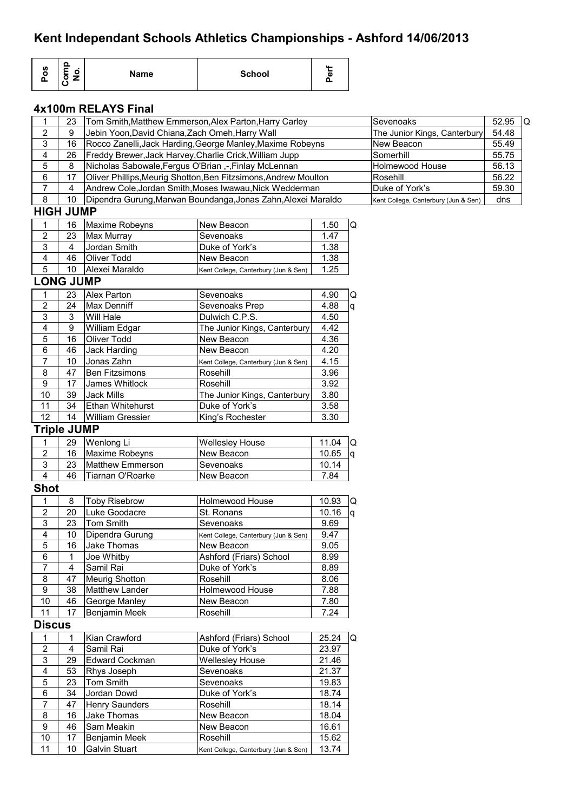| Pos                     | Comp<br>No.             | <b>Name</b>                                             | <b>School</b>                                                   | Perf  |          |                                      |             |
|-------------------------|-------------------------|---------------------------------------------------------|-----------------------------------------------------------------|-------|----------|--------------------------------------|-------------|
|                         |                         | 4x100m RELAYS Final                                     |                                                                 |       |          |                                      |             |
| 1                       | 23                      |                                                         | Tom Smith, Matthew Emmerson, Alex Parton, Harry Carley          |       |          | Sevenoaks                            | 52.95<br>la |
| $\overline{c}$          | 9                       | Jebin Yoon, David Chiana, Zach Omeh, Harry Wall         |                                                                 |       |          | The Junior Kings, Canterbury         | 54.48       |
| 3                       | 16                      |                                                         | Rocco Zanelli, Jack Harding, George Manley, Maxime Robeyns      |       |          | New Beacon                           | 55.49       |
| 4                       | 26                      | Freddy Brewer, Jack Harvey, Charlie Crick, William Jupp |                                                                 |       |          | Somerhill                            | 55.75       |
| 5                       | 8                       | Nicholas Sabowale, Fergus O'Brian ,-, Finlay McLennan   |                                                                 |       |          | Holmewood House                      | 56.13       |
| 6                       | 17                      |                                                         | Oliver Phillips, Meurig Shotton, Ben Fitzsimons, Andrew Moulton |       |          | Rosehill                             | 56.22       |
| $\overline{7}$          | $\overline{\mathbf{4}}$ |                                                         | Andrew Cole, Jordan Smith, Moses Iwawau, Nick Wedderman         |       |          | Duke of York's                       | 59.30       |
| $\overline{8}$          | 10                      |                                                         | Dipendra Gurung, Marwan Boundanga, Jonas Zahn, Alexei Maraldo   |       |          | Kent College, Canterbury (Jun & Sen) | dns         |
|                         | <b>HIGH JUMP</b>        |                                                         |                                                                 |       |          |                                      |             |
| 1                       | 16                      | Maxime Robeyns                                          | New Beacon                                                      | 1.50  | Q        |                                      |             |
| $\overline{2}$          | 23                      | Max Murray                                              | Sevenoaks                                                       | 1.47  |          |                                      |             |
| $\overline{3}$          | 4                       | Jordan Smith                                            | Duke of York's                                                  | 1.38  |          |                                      |             |
| 4                       | 46                      | <b>Oliver Todd</b>                                      | New Beacon                                                      | 1.38  |          |                                      |             |
| 5                       | 10                      | Alexei Maraldo                                          | Kent College, Canterbury (Jun & Sen)                            | 1.25  |          |                                      |             |
|                         | <b>LONG JUMP</b>        |                                                         |                                                                 |       |          |                                      |             |
|                         |                         |                                                         |                                                                 |       |          |                                      |             |
| 1                       | 23                      | Alex Parton                                             | Sevenoaks                                                       | 4.90  | Q        |                                      |             |
| $\overline{2}$          | 24                      | Max Denniff                                             | Sevenoaks Prep                                                  | 4.88  | q        |                                      |             |
| 3                       | 3                       | Will Hale                                               | Dulwich C.P.S.                                                  | 4.50  |          |                                      |             |
| 4                       | 9                       | William Edgar                                           | The Junior Kings, Canterbury                                    | 4.42  |          |                                      |             |
| 5                       | 16                      | Oliver Todd                                             | New Beacon                                                      | 4.36  |          |                                      |             |
| 6                       | 46                      | Jack Harding                                            | New Beacon                                                      | 4.20  |          |                                      |             |
| $\overline{7}$          | 10                      | Jonas Zahn                                              | Kent College, Canterbury (Jun & Sen)                            | 4.15  |          |                                      |             |
| 8                       | 47                      | <b>Ben Fitzsimons</b>                                   | Rosehill                                                        | 3.96  |          |                                      |             |
| 9                       | 17                      | James Whitlock                                          | Rosehill                                                        | 3.92  |          |                                      |             |
| 10                      | 39                      | Jack Mills                                              | The Junior Kings, Canterbury                                    | 3.80  |          |                                      |             |
| 11                      | 34                      | Ethan Whitehurst                                        | Duke of York's                                                  | 3.58  |          |                                      |             |
| 12                      | 14                      | <b>William Gressier</b>                                 | King's Rochester                                                | 3.30  |          |                                      |             |
|                         | <b>Triple JUMP</b>      |                                                         |                                                                 |       |          |                                      |             |
| 1                       | 29                      | Wenlong Li                                              | <b>Wellesley House</b>                                          | 11.04 | Q        |                                      |             |
| $\overline{2}$          | 16                      | Maxime Robeyns                                          | New Beacon                                                      | 10.65 | <b>q</b> |                                      |             |
| 3                       | 23                      | <b>Matthew Emmerson</b>                                 | Sevenoaks                                                       | 10.14 |          |                                      |             |
| $\overline{\mathbf{4}}$ | 46                      | Tiarnan O'Roarke                                        | New Beacon                                                      | 7.84  |          |                                      |             |
| <b>Shot</b>             |                         |                                                         |                                                                 |       |          |                                      |             |
| 1                       | 8                       | <b>Toby Risebrow</b>                                    | Holmewood House                                                 | 10.93 | Q        |                                      |             |
| 2                       | 20                      | Luke Goodacre                                           | St. Ronans                                                      | 10.16 | lq.      |                                      |             |
| 3                       | 23                      | Tom Smith                                               | Sevenoaks                                                       | 9.69  |          |                                      |             |
| 4                       | 10                      | Dipendra Gurung                                         | Kent College, Canterbury (Jun & Sen)                            | 9.47  |          |                                      |             |
| 5                       | 16                      | Jake Thomas                                             | New Beacon                                                      | 9.05  |          |                                      |             |
| 6                       | 1                       | Joe Whitby                                              | Ashford (Friars) School                                         | 8.99  |          |                                      |             |
| $\overline{7}$          | 4                       | Samil Rai                                               | Duke of York's                                                  | 8.89  |          |                                      |             |
| $\overline{\mathbf{8}}$ | 47                      | <b>Meurig Shotton</b>                                   | Rosehill                                                        | 8.06  |          |                                      |             |
| $\overline{9}$          | 38                      | Matthew Lander                                          | Holmewood House                                                 | 7.88  |          |                                      |             |
| $10$                    | 46                      | George Manley                                           | New Beacon                                                      | 7.80  |          |                                      |             |
| 11                      | 17                      | Benjamin Meek                                           | Rosehill                                                        | 7.24  |          |                                      |             |
| <b>Discus</b>           |                         |                                                         |                                                                 |       |          |                                      |             |
|                         |                         |                                                         |                                                                 |       |          |                                      |             |
| 1                       | 1                       | Kian Crawford                                           | Ashford (Friars) School                                         | 25.24 | IQ       |                                      |             |
| $\mathbf 2$             | 4                       | Samil Rai                                               | Duke of York's                                                  | 23.97 |          |                                      |             |
| $\overline{3}$          | 29                      | <b>Edward Cockman</b>                                   | <b>Wellesley House</b>                                          | 21.46 |          |                                      |             |
| $\overline{4}$          | 53                      | Rhys Joseph                                             | Sevenoaks                                                       | 21.37 |          |                                      |             |
| $\,$ 5 $\,$             | 23                      | Tom Smith                                               | Sevenoaks                                                       | 19.83 |          |                                      |             |
| 6                       | 34                      | Jordan Dowd                                             | Duke of York's                                                  | 18.74 |          |                                      |             |
| $\overline{7}$          | 47                      | Henry Saunders                                          | Rosehill                                                        | 18.14 |          |                                      |             |
| 8                       | 16                      | Jake Thomas                                             | New Beacon                                                      | 18.04 |          |                                      |             |
| 9                       | 46                      | Sam Meakin                                              | New Beacon                                                      | 16.61 |          |                                      |             |
| 10                      | 17                      | Benjamin Meek                                           | Rosehill                                                        | 15.62 |          |                                      |             |
| 11                      | 10                      | Galvin Stuart                                           | Kent College, Canterbury (Jun & Sen)                            | 13.74 |          |                                      |             |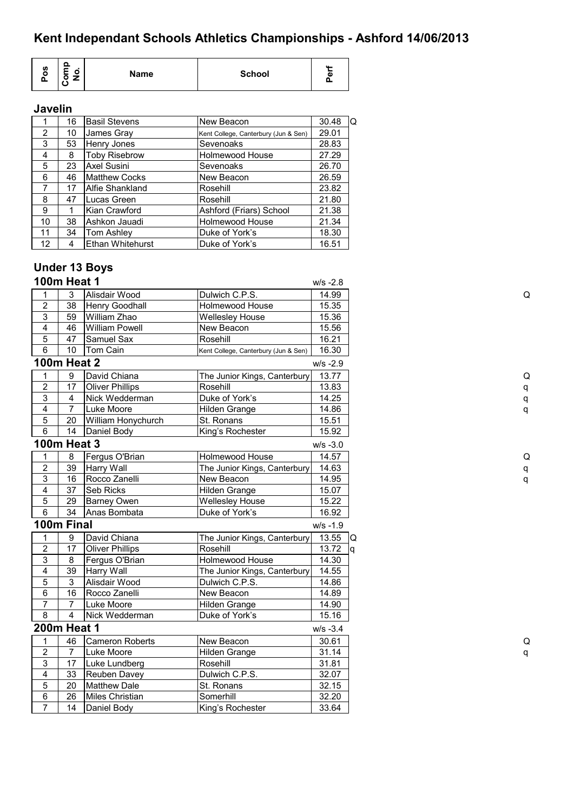| o<br>ဖ<br>$\blacksquare$<br>٥<br><b>School</b><br><b>Name</b><br>о<br>÷<br>o<br>Δ |
|-----------------------------------------------------------------------------------|
|-----------------------------------------------------------------------------------|

#### **Javelin**

|                 | 16 | <b>Basil Stevens</b>    | New Beacon                           | 30.48<br>Q |
|-----------------|----|-------------------------|--------------------------------------|------------|
| 2               | 10 | James Gray              | Kent College, Canterbury (Jun & Sen) | 29.01      |
| 3               | 53 | Henry Jones             | Sevenoaks                            | 28.83      |
| 4               | 8  | <b>Toby Risebrow</b>    | <b>Holmewood House</b>               | 27.29      |
| 5               | 23 | Axel Susini             | Sevenoaks                            | 26.70      |
| 6               | 46 | <b>Matthew Cocks</b>    | New Beacon                           | 26.59      |
| 7               | 17 | Alfie Shankland         | Rosehill                             | 23.82      |
| 8               | 47 | Lucas Green             | Rosehill                             | 21.80      |
| 9               |    | Kian Crawford           | Ashford (Friars) School              | 21.38      |
| 10              | 38 | Ashkon Jauadi           | Holmewood House                      | 21.34      |
| 11              | 34 | Tom Ashley              | Duke of York's                       | 18.30      |
| 12 <sup>2</sup> | 4  | <b>Ethan Whitehurst</b> | Duke of York's                       | 16.51      |

#### **Under 13 Boys 100m Heat 1** w/s -2.8 1 3 Alisdair Wood Dulwich C.P.S. 14.99 Q 2 38 Henry Goodhall Holmewood House 15.35 3 59 William Zhao Wellesley House 15.36 4 46 William Powell New Beacon 15.56 5 47 Samuel Sax Rosehill 16.21 6 10 Tom Cain Kent College, Canterbury (Jun & Sen) 16.30 **100m Heat 2** w/s -2.9 1 9 David Chiana The Junior Kings, Canterbury 13.77 Q 2 | 17 |Oliver Phillips | Rosehill | 13.83 | q 3 4 Nick Wedderman Duke of York's 14.25 | 14.25 | 14.25 q 4 7 Luke Moore Hilden Grange 14.86 q 5 | 20 | William Honychurch | St. Ronans | 15.51 6 | 14 Daniel Body | King's Rochester | 15.92 **100m Heat 3** w/s -3.0 1 8 Fergus O'Brian Holmewood House 14.57 2 39 Harry Wall The Junior Kings, Canterbury 14.63 q 3 16 Rocco Zanelli New Beacon 14.95 q 4 37 Seb Ricks Hilden Grange 15.07 5 29 Barney Owen Wellesley House 15.22 6 34 Anas Bombata Duke of York's 16.92 **100m Final** w/s -1.9 1 9 David Chiana The Junior Kings, Canterbury 13.55 Q 2 | 17 | Oliver Phillips | Rosehill | 13.72 | q 3 8 Fergus O'Brian | Holmewood House | 14.30 4 39 Harry Wall **The Junior Kings, Canterbury** 14.55 5 3 Alisdair Wood Dulwich C.P.S. 14.86 6 | 16 | Rocco Zanelli | New Beacon | 14.89 7 | 7 | Luke Moore | Hilden Grange | 14.90 8 4 Nick Wedderman Duke of York's 15.16 **200m Heat 1** w/s -3.4 1 46 Cameron Roberts New Beacon 30.61 Q 2 7 Luke Moore Hilden Grange 31.14 q 3 17 Luke Lundberg Rosehill 31.81 4 33 Reuben Davey Dulwich C.P.S. 32.07 5 20 Matthew Dale St. Ronans 32.15 6 26 Miles Christian Somerhill 32.20 7 | 14 | Daniel Body | King's Rochester | 33.64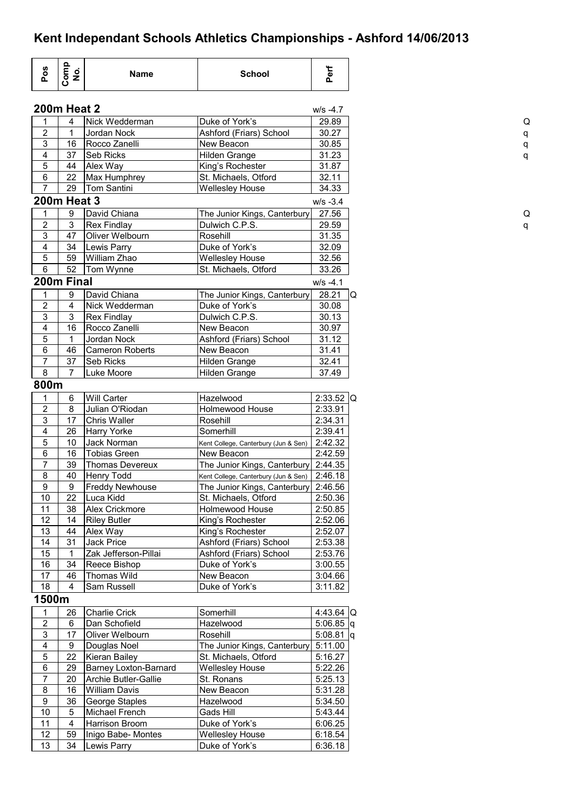| Pos                       | Comp<br>No.        | <b>Name</b>                  | <b>School</b>                        | Perf         |
|---------------------------|--------------------|------------------------------|--------------------------------------|--------------|
|                           | <b>200m Heat 2</b> |                              |                                      | $W/S -4.7$   |
| 1                         | 4                  | Nick Wedderman               | Duke of York's                       | 29.89        |
| $\sqrt{2}$                | 1                  | Jordan Nock                  | Ashford (Friars) School              | 30.27        |
| $\mathsf 3$               | 16                 | Rocco Zanelli                | New Beacon                           | 30.85        |
| $\overline{\mathbf{4}}$   | 37                 | <b>Seb Ricks</b>             | Hilden Grange                        | 31.23        |
| $\overline{5}$            | 44                 | Alex Way                     | King's Rochester                     | 31.87        |
| $\,6\,$                   | 22                 | Max Humphrey                 | St. Michaels, Otford                 | 32.11        |
| $\overline{7}$            | 29                 | <b>Tom Santini</b>           | <b>Wellesley House</b>               | 34.33        |
| <b>200m Heat 3</b>        |                    |                              |                                      | $W/S -3.4$   |
| 1                         | 9                  | David Chiana                 | The Junior Kings, Canterbury         | 27.56        |
| $\boldsymbol{2}$          | 3                  | <b>Rex Findlay</b>           | Dulwich C.P.S.                       | 29.59        |
| 3                         | 47                 | Oliver Welbourn              | Rosehill                             | 31.35        |
| 4                         | 34                 | Lewis Parry                  | Duke of York's                       | 32.09        |
| 5                         | 59                 | William Zhao                 | <b>Wellesley House</b>               | 32.56        |
| $6\phantom{1}$            | 52                 | Tom Wynne                    | St. Michaels, Otford                 | 33.26        |
| 200m Final                |                    |                              |                                      | $W/S -4.1$   |
| 1                         | 9                  | David Chiana                 | The Junior Kings, Canterbury         | 28.21        |
| $\boldsymbol{2}$          | 4                  | Nick Wedderman               | Duke of York's                       | 30.08        |
| 3                         | 3                  | <b>Rex Findlay</b>           | Dulwich C.P.S.                       | 30.13        |
| 4                         | 16                 | Rocco Zanelli                | New Beacon                           | 30.97        |
| 5                         | 1                  | Jordan Nock                  | Ashford (Friars) School              | 31.12        |
| 6                         | 46                 |                              | New Beacon                           | 31.41        |
| $\overline{7}$            | 37                 | <b>Cameron Roberts</b>       |                                      | 32.41        |
|                           |                    | Seb Ricks                    | Hilden Grange                        |              |
| 8                         | 7                  | Luke Moore                   | Hilden Grange                        | 37.49        |
| 800m                      |                    |                              |                                      |              |
| 1                         | 6                  | <b>Will Carter</b>           | Hazelwood                            | $2:33.52$ Q  |
| $\overline{2}$            | 8                  | Julian O'Riodan              | <b>Holmewood House</b>               | 2:33.91      |
| 3                         | 17                 | Chris Waller                 | Rosehill                             | 2:34.31      |
| 4                         | 26                 | <b>Harry Yorke</b>           | Somerhill                            | 2:39.41      |
| 5                         | 10                 | Jack Norman                  | Kent College, Canterbury (Jun & Sen) | 2:42.32      |
| $\,6$                     | 16                 | <b>Tobias Green</b>          | New Beacon                           | 2:42.59      |
| $\overline{7}$            | 39                 | Thomas Devereux              | The Junior Kings, Canterbury         | 2:44.35      |
| 8                         | 40                 | Henry Todd                   | Kent College, Canterbury (Jun & Sen) | 2:46.18      |
| 9                         | 9                  | <b>Freddy Newhouse</b>       | The Junior Kings, Canterbury 2:46.56 |              |
| 10                        | 22                 | Luca Kidd                    | St. Michaels, Otford                 | 2:50.36      |
| 11                        | 38                 | Alex Crickmore               | Holmewood House                      | 2:50.85      |
| 12                        | 14                 | <b>Riley Butler</b>          | King's Rochester                     | 2:52.06      |
| 13                        | 44                 | Alex Way                     | King's Rochester                     | 2:52.07      |
| 14                        | 31                 | Jack Price                   | Ashford (Friars) School              | 2:53.38      |
| 15                        | 1                  | Zak Jefferson-Pillai         | Ashford (Friars) School              | 2:53.76      |
| 16                        | 34                 | Reece Bishop                 | Duke of York's                       | 3:00.55      |
| 17                        | 46                 | Thomas Wild                  | New Beacon                           |              |
|                           |                    |                              |                                      | 3:04.66      |
| 18                        | 4                  | Sam Russell                  | Duke of York's                       | 3:11.82      |
| 1500m                     |                    |                              |                                      |              |
| $\mathbf{1}$              | 26                 | <b>Charlie Crick</b>         | Somerhill                            | 4:43.64 $ Q$ |
| $\mathbf 2$               | 6                  | Dan Schofield                | Hazelwood                            | $5:06.85$ q  |
| $\ensuremath{\mathsf{3}}$ | 17                 | Oliver Welbourn              | Rosehill                             | $5:08.81$ q  |
| $\overline{\mathbf{4}}$   | 9                  | Douglas Noel                 | The Junior Kings, Canterbury         | 5:11.00      |
| 5                         | 22                 | Kieran Bailey                | St. Michaels, Otford                 | 5:16.27      |
| $\,6\,$                   | 29                 | <b>Barney Loxton-Barnard</b> | <b>Wellesley House</b>               | 5:22.26      |
| $\overline{7}$            | 20                 | Archie Butler-Gallie         | St. Ronans                           | 5:25.13      |
| $\bf 8$                   | 16                 | <b>William Davis</b>         | New Beacon                           | 5:31.28      |
| $\boldsymbol{9}$          | 36                 | George Staples               | Hazelwood                            | 5:34.50      |
|                           |                    | Michael French               |                                      |              |
| 10                        | 5                  |                              | Gads Hill                            | 5:43.44      |
| 11                        | 4                  | Harrison Broom               | Duke of York's                       | 6:06.25      |
| 12                        | 59                 | Inigo Babe- Montes           | <b>Wellesley House</b>               | 6:18.54      |
| 13                        | 34                 | Lewis Parry                  | Duke of York's                       | 6:36.18      |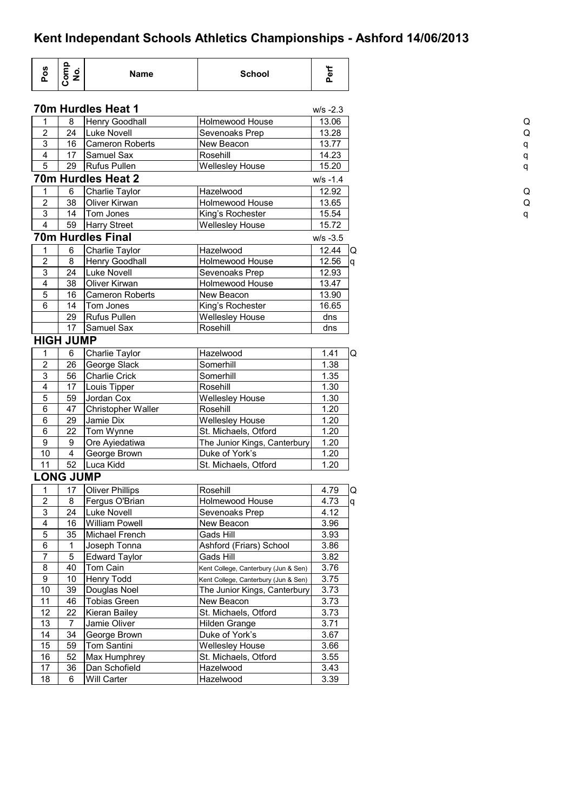| Pos                       | Comp<br>No.             | <b>Name</b>              | <b>School</b>                        | Perf        |
|---------------------------|-------------------------|--------------------------|--------------------------------------|-------------|
|                           |                         | 70m Hurdles Heat 1       |                                      | $W/S -2.3$  |
| 1                         | 8                       | Henry Goodhall           | Holmewood House                      | 13.06       |
| $\mathbf 2$               | 24                      | Luke Novell              | Sevenoaks Prep                       | 13.28       |
| $\mathbf{3}$              | 16                      | <b>Cameron Roberts</b>   | New Beacon                           | 13.77       |
| $\overline{\mathbf{4}}$   | 17                      | Samuel Sax               | Rosehill                             | 14.23       |
| 5                         | 29                      | Rufus Pullen             | Wellesley House                      | 15.20       |
|                           |                         | 70m Hurdles Heat 2       |                                      | $W/S - 1.4$ |
| 1                         | 6                       | Charlie Taylor           | Hazelwood                            | 12.92       |
| $\overline{2}$            | 38                      | Oliver Kirwan            | Holmewood House                      | 13.65       |
| $\ensuremath{\mathsf{3}}$ | 14                      | Tom Jones                | King's Rochester                     | 15.54       |
| $\overline{\mathbf{4}}$   | 59                      | Harry Street             | <b>Wellesley House</b>               | 15.72       |
|                           |                         |                          |                                      |             |
|                           |                         | <b>70m Hurdles Final</b> |                                      | $W/S -3.5$  |
| 1                         | 6                       | Charlie Taylor           | Hazelwood                            | 12.44       |
| $\boldsymbol{2}$          | 8                       | Henry Goodhall           | Holmewood House                      | 12.56       |
| 3                         | 24                      | Luke Novell              | Sevenoaks Prep                       | 12.93       |
| $\overline{4}$            | 38                      | Oliver Kirwan            | Holmewood House                      | 13.47       |
| 5                         | 16                      | <b>Cameron Roberts</b>   | New Beacon                           | 13.90       |
| 6                         | 14                      | Tom Jones                | King's Rochester                     | 16.65       |
|                           | 29                      | <b>Rufus Pullen</b>      | <b>Wellesley House</b>               | dns         |
|                           | 17                      | Samuel Sax               | Rosehill                             | dns         |
|                           | <b>HIGH JUMP</b>        |                          |                                      |             |
| 1                         | 6                       | Charlie Taylor           | Hazelwood                            | 1.41        |
| $\overline{2}$            | 26                      | George Slack             | Somerhill                            | 1.38        |
| $\ensuremath{\mathsf{3}}$ | 56                      | <b>Charlie Crick</b>     | Somerhill                            | 1.35        |
| $\overline{\mathbf{4}}$   | 17                      | Louis Tipper             | Rosehill                             | 1.30        |
| 5                         | 59                      | Jordan Cox               | <b>Wellesley House</b>               | 1.30        |
| 6                         | 47                      | Christopher Waller       | Rosehill                             | 1.20        |
| 6                         | 29                      |                          |                                      |             |
|                           |                         | Jamie Dix                | <b>Wellesley House</b>               | 1.20        |
| 6                         | 22                      | Tom Wynne                | St. Michaels, Otford                 | 1.20        |
| $\boldsymbol{9}$          | $\boldsymbol{9}$        | Ore Ayiedatiwa           | The Junior Kings, Canterbury         | 1.20        |
| 10                        | $\overline{\mathbf{4}}$ | George Brown             | Duke of York's                       | 1.20        |
| 11                        | 52                      | Luca Kidd                | St. Michaels, Otford                 | 1.20        |
|                           | <b>LONG JUMP</b>        |                          |                                      |             |
| 1                         | 17                      | <b>Oliver Phillips</b>   | Rosehill                             | 4.79        |
| $\overline{2}$            | 8                       | Fergus O'Brian           | Holmewood House                      | 4.73        |
| $\overline{3}$            | 24                      | Luke Novell              | Sevenoaks Prep                       | 4.12        |
| $\overline{\mathbf{4}}$   | 16                      | <b>William Powell</b>    | New Beacon                           | 3.96        |
| $\overline{5}$            | 35                      | Michael French           | Gads Hill                            | 3.93        |
| 6                         | 1                       | Joseph Tonna             | Ashford (Friars) School              | 3.86        |
| $\overline{7}$            | 5                       | <b>Edward Taylor</b>     | Gads Hill                            | 3.82        |
| 8                         | 40                      | Tom Cain                 |                                      | 3.76        |
| 9                         | 10                      |                          | Kent College, Canterbury (Jun & Sen) |             |
|                           |                         | <b>Henry Todd</b>        | Kent College, Canterbury (Jun & Sen) | 3.75        |
| 10                        | 39                      | Douglas Noel             | The Junior Kings, Canterbury         | 3.73        |
| 11                        | 46                      | <b>Tobias Green</b>      | New Beacon                           | 3.73        |
| 12                        | 22                      | <b>Kieran Bailey</b>     | St. Michaels, Otford                 | 3.73        |
| 13                        | 7                       | Jamie Oliver             | Hilden Grange                        | 3.71        |
| 14                        | 34                      | George Brown             | Duke of York's                       | 3.67        |
| 15                        | 59                      | Tom Santini              | <b>Wellesley House</b>               | 3.66        |
| 16                        | 52                      | Max Humphrey             | St. Michaels, Otford                 | 3.55        |
| 17                        | 36                      | Dan Schofield            | Hazelwood                            | 3.43        |
| 18                        | 6                       | Will Carter              | Hazelwood                            | 3.39        |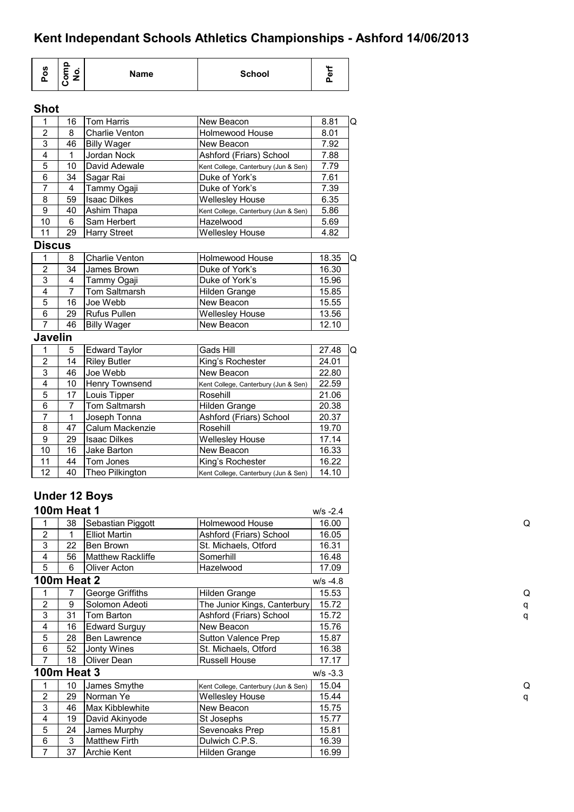| <b>S</b><br>o<br>௳ | $\Omega$<br>o<br>⊏<br>о | Name | <b>School</b> | Φ<br>o |
|--------------------|-------------------------|------|---------------|--------|
|--------------------|-------------------------|------|---------------|--------|

#### **Shot**

| 1              | 16             | <b>Tom Harris</b>     | New Beacon                           | 8.81  | Q |
|----------------|----------------|-----------------------|--------------------------------------|-------|---|
| $\overline{2}$ | 8              | <b>Charlie Venton</b> | Holmewood House                      | 8.01  |   |
| 3              | 46             | <b>Billy Wager</b>    | New Beacon                           | 7.92  |   |
| 4              | $\mathbf{1}$   | Jordan Nock           | Ashford (Friars) School              | 7.88  |   |
| 5              | 10             | David Adewale         | Kent College, Canterbury (Jun & Sen) | 7.79  |   |
| $\overline{6}$ | 34             | Sagar Rai             | Duke of York's                       | 7.61  |   |
| $\overline{7}$ | 4              | Tammy Ogaji           | Duke of York's                       | 7.39  |   |
| 8              | 59             | <b>Isaac Dilkes</b>   | Wellesley House                      | 6.35  |   |
| $\overline{9}$ | 40             | Ashim Thapa           | Kent College, Canterbury (Jun & Sen) | 5.86  |   |
| 10             | 6              | Sam Herbert           | Hazelwood                            | 5.69  |   |
| 11             | 29             | <b>Harry Street</b>   | <b>Wellesley House</b>               | 4.82  |   |
| <b>Discus</b>  |                |                       |                                      |       |   |
| 1              | 8              | <b>Charlie Venton</b> | <b>Holmewood House</b>               | 18.35 | Q |
| $\overline{2}$ | 34             | James Brown           | Duke of York's                       | 16.30 |   |
| $\overline{3}$ | 4              | Tammy Ogaji           | Duke of York's                       | 15.96 |   |
| 4              | $\overline{7}$ | <b>Tom Saltmarsh</b>  | Hilden Grange                        | 15.85 |   |
| $\overline{5}$ | 16             | Joe Webb              | New Beacon                           | 15.55 |   |
| 6              | 29             | Rufus Pullen          | Wellesley House                      | 13.56 |   |
| $\overline{7}$ | 46             | <b>Billy Wager</b>    | New Beacon                           | 12.10 |   |
| <b>Javelin</b> |                |                       |                                      |       |   |
| 1              | 5              | <b>Edward Taylor</b>  | Gads Hill                            | 27.48 | Q |
| $\overline{2}$ | 14             | <b>Riley Butler</b>   | King's Rochester                     | 24.01 |   |
| $\overline{3}$ | 46             | Joe Webb              | New Beacon                           | 22.80 |   |
| 4              | 10             | Henry Townsend        | Kent College, Canterbury (Jun & Sen) | 22.59 |   |
| 5              | 17             | Louis Tipper          | Rosehill                             | 21.06 |   |
| 6              | $\overline{7}$ | Tom Saltmarsh         | Hilden Grange                        | 20.38 |   |
| $\overline{7}$ | $\mathbf{1}$   | Joseph Tonna          | Ashford (Friars) School              | 20.37 |   |
| 8              | 47             | Calum Mackenzie       | Rosehill                             | 19.70 |   |
| 9              | 29             | <b>Isaac Dilkes</b>   | <b>Wellesley House</b>               | 17.14 |   |
| 10             | 16             | Jake Barton           | New Beacon                           | 16.33 |   |
| 11             | 44             | Tom Jones             | King's Rochester                     | 16.22 |   |
| 12             | 40             | Theo Pilkington       | Kent College, Canterbury (Jun & Sen) | 14.10 |   |
|                |                |                       |                                      |       |   |

### **Under 12 Boys**

|                | <b>100m Heat 1</b> |                        | $W/S -2.4$                           |            |
|----------------|--------------------|------------------------|--------------------------------------|------------|
|                | 38                 | Sebastian Piggott      | <b>Holmewood House</b>               | 16.00      |
| $\overline{2}$ | 1                  | <b>Elliot Martin</b>   | Ashford (Friars) School              | 16.05      |
| 3              | 22                 | Ben Brown              | St. Michaels, Otford                 | 16.31      |
| 4              | 56                 | Matthew Rackliffe      | Somerhill                            | 16.48      |
| 5              | 6                  | Oliver Acton           | Hazelwood                            | 17.09      |
|                | <b>100m Heat 2</b> |                        |                                      | $W/S -4.8$ |
|                | 7                  | George Griffiths       | Hilden Grange                        | 15.53      |
| $\overline{2}$ | 9                  | Solomon Adeoti         | The Junior Kings, Canterbury         | 15.72      |
| 3              | 31                 | Tom Barton             | Ashford (Friars) School              | 15.72      |
| 4              | 16                 | <b>Edward Surguy</b>   | New Beacon                           | 15.76      |
| 5              | 28                 | <b>Ben Lawrence</b>    | Sutton Valence Prep                  | 15.87      |
| 6              | 52                 | Jonty Wines            | St. Michaels, Otford                 | 16.38      |
| 7              | 18                 | Oliver Dean            | Russell House                        | 17.17      |
|                | <b>100m Heat 3</b> |                        |                                      | $W/S -3.3$ |
|                | 10                 | James Smythe           | Kent College, Canterbury (Jun & Sen) | 15.04      |
| 2              | 29                 | Norman Ye              | <b>Wellesley House</b>               | 15.44      |
| 3              | 46                 | <b>Max Kibblewhite</b> | New Beacon                           | 15.75      |
| 4              | 19                 | David Akinyode         | St Josephs                           | 15.77      |
| 5              | 24                 | James Murphy           | Sevenoaks Prep                       | 15.81      |
| 6              | 3                  | <b>Matthew Firth</b>   | Dulwich C.P.S.                       | 16.39      |
| 7              | 37                 | <b>Archie Kent</b>     | Hilden Grange                        | 16.99      |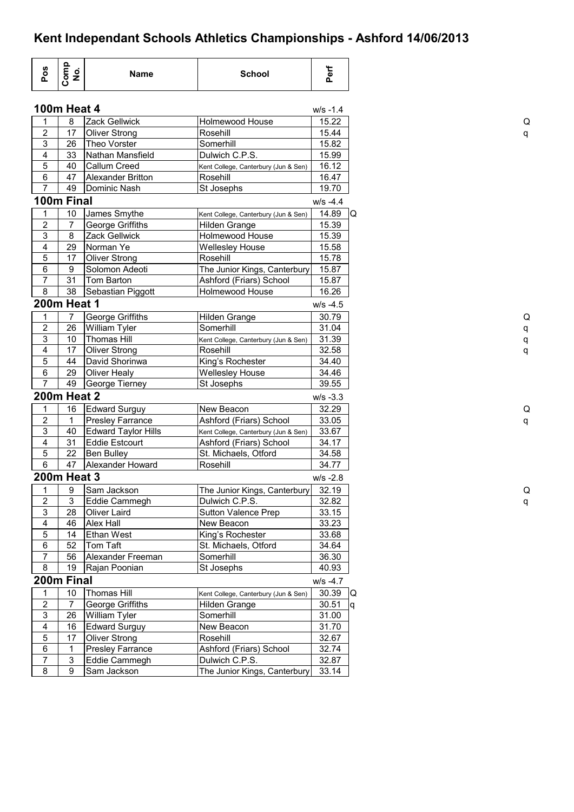| $W/S -1.4$<br>Zack Gellwick<br>15.22<br>8<br><b>Holmewood House</b><br>1<br>$\boldsymbol{2}$<br>17<br>Rosehill<br><b>Oliver Strong</b><br>15.44<br>$\mathsf 3$<br>Somerhill<br>26<br>Theo Vorster<br>15.82<br>4<br>Dulwich C.P.S.<br>33<br>Nathan Mansfield<br>15.99<br>5<br>40<br>Callum Creed<br>16.12<br>Kent College, Canterbury (Jun & Sen)<br>6<br>47<br>Alexander Britton<br>16.47<br>Rosehill<br>$\overline{7}$<br>49<br>Dominic Nash<br>St Josephs<br>19.70<br>100m Final<br>$W/S -4.4$<br>10<br>14.89<br>1<br>James Smythe<br>Kent College, Canterbury (Jun & Sen)<br>$\mathbf 2$<br>7<br>George Griffiths<br>15.39<br>Hilden Grange<br>3<br>8<br>Holmewood House<br>15.39<br><b>Zack Gellwick</b><br>$\overline{4}$<br>29<br>Norman Ye<br>15.58<br><b>Wellesley House</b><br>5<br>17<br>15.78<br><b>Oliver Strong</b><br>Rosehill<br>6<br>9<br>Solomon Adeoti<br>The Junior Kings, Canterbury<br>15.87<br>$\overline{7}$<br>31<br>Tom Barton<br>15.87<br>Ashford (Friars) School<br>8<br>38<br>Sebastian Piggott<br>Holmewood House<br>16.26<br><b>200m Heat 1</b><br>$W/S -4.5$<br>George Griffiths<br>1<br>7<br>Hilden Grange<br>30.79<br>$\overline{2}$<br>26<br>William Tyler<br>Somerhill<br>31.04<br>$\overline{3}$<br>10<br><b>Thomas Hill</b><br>31.39<br>Kent College, Canterbury (Jun & Sen)<br>$\overline{\mathbf{4}}$<br>17<br><b>Oliver Strong</b><br>32.58<br>Rosehill<br>5<br>King's Rochester<br>44<br>David Shorinwa<br>34.40<br>6<br>29<br><b>Oliver Healy</b><br>34.46<br><b>Wellesley House</b><br>$\overline{7}$<br>49<br>St Josephs<br>39.55<br>George Tierney<br><b>200m Heat 2</b><br>$W/S -3.3$<br>16<br>32.29<br>1<br><b>Edward Surguy</b><br>New Beacon<br>$\overline{\mathbf{c}}$<br>1<br>Ashford (Friars) School<br>33.05<br><b>Presley Farrance</b><br>$\mathsf 3$<br>40<br><b>Edward Taylor Hills</b><br>33.67<br>Kent College, Canterbury (Jun & Sen)<br>$\overline{\mathbf{4}}$<br>31<br><b>Eddie Estcourt</b><br>34.17<br>Ashford (Friars) School<br>5<br>22<br><b>Ben Bulley</b><br>St. Michaels, Otford<br>34.58<br>$\overline{6}$<br>47<br>34.77<br>Alexander Howard<br>Rosehill<br><b>200m Heat 3</b><br>$W/S - 2.8$<br>Sam Jackson<br>32.19<br>$\overline{9}$<br>The Junior Kings, Canterbury<br>$\mathbf{1}$<br>3<br>$\overline{\mathbf{c}}$<br>Eddie Cammegh<br>Dulwich C.P.S.<br>32.82<br>$\mathsf 3$<br>28<br>Oliver Laird<br><b>Sutton Valence Prep</b><br>33.15<br>$\overline{\mathbf{4}}$<br>33.23<br>Alex Hall<br>46<br>New Beacon<br>$\overline{5}$<br>Ethan West<br>King's Rochester<br>14<br>33.68<br>6<br>Tom Taft<br>St. Michaels, Otford<br>34.64<br>52<br>$\overline{7}$<br>36.30<br>56<br>Alexander Freeman<br>Somerhill<br>8<br>19<br>St Josephs<br>40.93<br>Rajan Poonian<br>200m Final<br>$W/S -4.7$<br><b>Thomas Hill</b><br>30.39<br>10<br>1<br>Kent College, Canterbury (Jun & Sen)<br>$\boldsymbol{2}$<br>7<br>George Griffiths<br>30.51<br>Hilden Grange<br>$\mathfrak{S}$<br>26<br>William Tyler<br>Somerhill<br>31.00<br>$\overline{\mathbf{4}}$<br>$\overline{3}1.70$<br>16<br><b>Edward Surguy</b><br>New Beacon<br>$\mathbf 5$<br>17<br><b>Oliver Strong</b><br>32.67<br>Rosehill<br>6<br>Ashford (Friars) School<br>32.74<br>1<br><b>Presley Farrance</b><br>$\overline{7}$<br>3<br>32.87<br>Eddie Cammegh<br>Dulwich C.P.S.<br>8<br>9<br>Sam Jackson<br>The Junior Kings, Canterbury<br>33.14 | Pos | Comp<br>No.        | Name | <b>School</b> | Perf |  |
|--------------------------------------------------------------------------------------------------------------------------------------------------------------------------------------------------------------------------------------------------------------------------------------------------------------------------------------------------------------------------------------------------------------------------------------------------------------------------------------------------------------------------------------------------------------------------------------------------------------------------------------------------------------------------------------------------------------------------------------------------------------------------------------------------------------------------------------------------------------------------------------------------------------------------------------------------------------------------------------------------------------------------------------------------------------------------------------------------------------------------------------------------------------------------------------------------------------------------------------------------------------------------------------------------------------------------------------------------------------------------------------------------------------------------------------------------------------------------------------------------------------------------------------------------------------------------------------------------------------------------------------------------------------------------------------------------------------------------------------------------------------------------------------------------------------------------------------------------------------------------------------------------------------------------------------------------------------------------------------------------------------------------------------------------------------------------------------------------------------------------------------------------------------------------------------------------------------------------------------------------------------------------------------------------------------------------------------------------------------------------------------------------------------------------------------------------------------------------------------------------------------------------------------------------------------------------------------------------------------------------------------------------------------------------------------------------------------------------------------------------------------------------------------------------------------------------------------------------------------------------------------------------------------------------------------------------------------------------------------------------------------------------------------------------------------------------------------------------------------------------------------------------------------------------------------------------------------------------------------------------------------------------------------------------------------------------------------------------------------------------------|-----|--------------------|------|---------------|------|--|
|                                                                                                                                                                                                                                                                                                                                                                                                                                                                                                                                                                                                                                                                                                                                                                                                                                                                                                                                                                                                                                                                                                                                                                                                                                                                                                                                                                                                                                                                                                                                                                                                                                                                                                                                                                                                                                                                                                                                                                                                                                                                                                                                                                                                                                                                                                                                                                                                                                                                                                                                                                                                                                                                                                                                                                                                                                                                                                                                                                                                                                                                                                                                                                                                                                                                                                                                                                                |     | <b>100m Heat 4</b> |      |               |      |  |
|                                                                                                                                                                                                                                                                                                                                                                                                                                                                                                                                                                                                                                                                                                                                                                                                                                                                                                                                                                                                                                                                                                                                                                                                                                                                                                                                                                                                                                                                                                                                                                                                                                                                                                                                                                                                                                                                                                                                                                                                                                                                                                                                                                                                                                                                                                                                                                                                                                                                                                                                                                                                                                                                                                                                                                                                                                                                                                                                                                                                                                                                                                                                                                                                                                                                                                                                                                                |     |                    |      |               |      |  |
|                                                                                                                                                                                                                                                                                                                                                                                                                                                                                                                                                                                                                                                                                                                                                                                                                                                                                                                                                                                                                                                                                                                                                                                                                                                                                                                                                                                                                                                                                                                                                                                                                                                                                                                                                                                                                                                                                                                                                                                                                                                                                                                                                                                                                                                                                                                                                                                                                                                                                                                                                                                                                                                                                                                                                                                                                                                                                                                                                                                                                                                                                                                                                                                                                                                                                                                                                                                |     |                    |      |               |      |  |
|                                                                                                                                                                                                                                                                                                                                                                                                                                                                                                                                                                                                                                                                                                                                                                                                                                                                                                                                                                                                                                                                                                                                                                                                                                                                                                                                                                                                                                                                                                                                                                                                                                                                                                                                                                                                                                                                                                                                                                                                                                                                                                                                                                                                                                                                                                                                                                                                                                                                                                                                                                                                                                                                                                                                                                                                                                                                                                                                                                                                                                                                                                                                                                                                                                                                                                                                                                                |     |                    |      |               |      |  |
|                                                                                                                                                                                                                                                                                                                                                                                                                                                                                                                                                                                                                                                                                                                                                                                                                                                                                                                                                                                                                                                                                                                                                                                                                                                                                                                                                                                                                                                                                                                                                                                                                                                                                                                                                                                                                                                                                                                                                                                                                                                                                                                                                                                                                                                                                                                                                                                                                                                                                                                                                                                                                                                                                                                                                                                                                                                                                                                                                                                                                                                                                                                                                                                                                                                                                                                                                                                |     |                    |      |               |      |  |
|                                                                                                                                                                                                                                                                                                                                                                                                                                                                                                                                                                                                                                                                                                                                                                                                                                                                                                                                                                                                                                                                                                                                                                                                                                                                                                                                                                                                                                                                                                                                                                                                                                                                                                                                                                                                                                                                                                                                                                                                                                                                                                                                                                                                                                                                                                                                                                                                                                                                                                                                                                                                                                                                                                                                                                                                                                                                                                                                                                                                                                                                                                                                                                                                                                                                                                                                                                                |     |                    |      |               |      |  |
|                                                                                                                                                                                                                                                                                                                                                                                                                                                                                                                                                                                                                                                                                                                                                                                                                                                                                                                                                                                                                                                                                                                                                                                                                                                                                                                                                                                                                                                                                                                                                                                                                                                                                                                                                                                                                                                                                                                                                                                                                                                                                                                                                                                                                                                                                                                                                                                                                                                                                                                                                                                                                                                                                                                                                                                                                                                                                                                                                                                                                                                                                                                                                                                                                                                                                                                                                                                |     |                    |      |               |      |  |
|                                                                                                                                                                                                                                                                                                                                                                                                                                                                                                                                                                                                                                                                                                                                                                                                                                                                                                                                                                                                                                                                                                                                                                                                                                                                                                                                                                                                                                                                                                                                                                                                                                                                                                                                                                                                                                                                                                                                                                                                                                                                                                                                                                                                                                                                                                                                                                                                                                                                                                                                                                                                                                                                                                                                                                                                                                                                                                                                                                                                                                                                                                                                                                                                                                                                                                                                                                                |     |                    |      |               |      |  |
| Q                                                                                                                                                                                                                                                                                                                                                                                                                                                                                                                                                                                                                                                                                                                                                                                                                                                                                                                                                                                                                                                                                                                                                                                                                                                                                                                                                                                                                                                                                                                                                                                                                                                                                                                                                                                                                                                                                                                                                                                                                                                                                                                                                                                                                                                                                                                                                                                                                                                                                                                                                                                                                                                                                                                                                                                                                                                                                                                                                                                                                                                                                                                                                                                                                                                                                                                                                                              |     |                    |      |               |      |  |
|                                                                                                                                                                                                                                                                                                                                                                                                                                                                                                                                                                                                                                                                                                                                                                                                                                                                                                                                                                                                                                                                                                                                                                                                                                                                                                                                                                                                                                                                                                                                                                                                                                                                                                                                                                                                                                                                                                                                                                                                                                                                                                                                                                                                                                                                                                                                                                                                                                                                                                                                                                                                                                                                                                                                                                                                                                                                                                                                                                                                                                                                                                                                                                                                                                                                                                                                                                                |     |                    |      |               |      |  |
|                                                                                                                                                                                                                                                                                                                                                                                                                                                                                                                                                                                                                                                                                                                                                                                                                                                                                                                                                                                                                                                                                                                                                                                                                                                                                                                                                                                                                                                                                                                                                                                                                                                                                                                                                                                                                                                                                                                                                                                                                                                                                                                                                                                                                                                                                                                                                                                                                                                                                                                                                                                                                                                                                                                                                                                                                                                                                                                                                                                                                                                                                                                                                                                                                                                                                                                                                                                |     |                    |      |               |      |  |
|                                                                                                                                                                                                                                                                                                                                                                                                                                                                                                                                                                                                                                                                                                                                                                                                                                                                                                                                                                                                                                                                                                                                                                                                                                                                                                                                                                                                                                                                                                                                                                                                                                                                                                                                                                                                                                                                                                                                                                                                                                                                                                                                                                                                                                                                                                                                                                                                                                                                                                                                                                                                                                                                                                                                                                                                                                                                                                                                                                                                                                                                                                                                                                                                                                                                                                                                                                                |     |                    |      |               |      |  |
|                                                                                                                                                                                                                                                                                                                                                                                                                                                                                                                                                                                                                                                                                                                                                                                                                                                                                                                                                                                                                                                                                                                                                                                                                                                                                                                                                                                                                                                                                                                                                                                                                                                                                                                                                                                                                                                                                                                                                                                                                                                                                                                                                                                                                                                                                                                                                                                                                                                                                                                                                                                                                                                                                                                                                                                                                                                                                                                                                                                                                                                                                                                                                                                                                                                                                                                                                                                |     |                    |      |               |      |  |
|                                                                                                                                                                                                                                                                                                                                                                                                                                                                                                                                                                                                                                                                                                                                                                                                                                                                                                                                                                                                                                                                                                                                                                                                                                                                                                                                                                                                                                                                                                                                                                                                                                                                                                                                                                                                                                                                                                                                                                                                                                                                                                                                                                                                                                                                                                                                                                                                                                                                                                                                                                                                                                                                                                                                                                                                                                                                                                                                                                                                                                                                                                                                                                                                                                                                                                                                                                                |     |                    |      |               |      |  |
|                                                                                                                                                                                                                                                                                                                                                                                                                                                                                                                                                                                                                                                                                                                                                                                                                                                                                                                                                                                                                                                                                                                                                                                                                                                                                                                                                                                                                                                                                                                                                                                                                                                                                                                                                                                                                                                                                                                                                                                                                                                                                                                                                                                                                                                                                                                                                                                                                                                                                                                                                                                                                                                                                                                                                                                                                                                                                                                                                                                                                                                                                                                                                                                                                                                                                                                                                                                |     |                    |      |               |      |  |
|                                                                                                                                                                                                                                                                                                                                                                                                                                                                                                                                                                                                                                                                                                                                                                                                                                                                                                                                                                                                                                                                                                                                                                                                                                                                                                                                                                                                                                                                                                                                                                                                                                                                                                                                                                                                                                                                                                                                                                                                                                                                                                                                                                                                                                                                                                                                                                                                                                                                                                                                                                                                                                                                                                                                                                                                                                                                                                                                                                                                                                                                                                                                                                                                                                                                                                                                                                                |     |                    |      |               |      |  |
|                                                                                                                                                                                                                                                                                                                                                                                                                                                                                                                                                                                                                                                                                                                                                                                                                                                                                                                                                                                                                                                                                                                                                                                                                                                                                                                                                                                                                                                                                                                                                                                                                                                                                                                                                                                                                                                                                                                                                                                                                                                                                                                                                                                                                                                                                                                                                                                                                                                                                                                                                                                                                                                                                                                                                                                                                                                                                                                                                                                                                                                                                                                                                                                                                                                                                                                                                                                |     |                    |      |               |      |  |
| Q<br>q                                                                                                                                                                                                                                                                                                                                                                                                                                                                                                                                                                                                                                                                                                                                                                                                                                                                                                                                                                                                                                                                                                                                                                                                                                                                                                                                                                                                                                                                                                                                                                                                                                                                                                                                                                                                                                                                                                                                                                                                                                                                                                                                                                                                                                                                                                                                                                                                                                                                                                                                                                                                                                                                                                                                                                                                                                                                                                                                                                                                                                                                                                                                                                                                                                                                                                                                                                         |     |                    |      |               |      |  |
|                                                                                                                                                                                                                                                                                                                                                                                                                                                                                                                                                                                                                                                                                                                                                                                                                                                                                                                                                                                                                                                                                                                                                                                                                                                                                                                                                                                                                                                                                                                                                                                                                                                                                                                                                                                                                                                                                                                                                                                                                                                                                                                                                                                                                                                                                                                                                                                                                                                                                                                                                                                                                                                                                                                                                                                                                                                                                                                                                                                                                                                                                                                                                                                                                                                                                                                                                                                |     |                    |      |               |      |  |
|                                                                                                                                                                                                                                                                                                                                                                                                                                                                                                                                                                                                                                                                                                                                                                                                                                                                                                                                                                                                                                                                                                                                                                                                                                                                                                                                                                                                                                                                                                                                                                                                                                                                                                                                                                                                                                                                                                                                                                                                                                                                                                                                                                                                                                                                                                                                                                                                                                                                                                                                                                                                                                                                                                                                                                                                                                                                                                                                                                                                                                                                                                                                                                                                                                                                                                                                                                                |     |                    |      |               |      |  |
|                                                                                                                                                                                                                                                                                                                                                                                                                                                                                                                                                                                                                                                                                                                                                                                                                                                                                                                                                                                                                                                                                                                                                                                                                                                                                                                                                                                                                                                                                                                                                                                                                                                                                                                                                                                                                                                                                                                                                                                                                                                                                                                                                                                                                                                                                                                                                                                                                                                                                                                                                                                                                                                                                                                                                                                                                                                                                                                                                                                                                                                                                                                                                                                                                                                                                                                                                                                |     |                    |      |               |      |  |
|                                                                                                                                                                                                                                                                                                                                                                                                                                                                                                                                                                                                                                                                                                                                                                                                                                                                                                                                                                                                                                                                                                                                                                                                                                                                                                                                                                                                                                                                                                                                                                                                                                                                                                                                                                                                                                                                                                                                                                                                                                                                                                                                                                                                                                                                                                                                                                                                                                                                                                                                                                                                                                                                                                                                                                                                                                                                                                                                                                                                                                                                                                                                                                                                                                                                                                                                                                                |     |                    |      |               |      |  |
|                                                                                                                                                                                                                                                                                                                                                                                                                                                                                                                                                                                                                                                                                                                                                                                                                                                                                                                                                                                                                                                                                                                                                                                                                                                                                                                                                                                                                                                                                                                                                                                                                                                                                                                                                                                                                                                                                                                                                                                                                                                                                                                                                                                                                                                                                                                                                                                                                                                                                                                                                                                                                                                                                                                                                                                                                                                                                                                                                                                                                                                                                                                                                                                                                                                                                                                                                                                |     |                    |      |               |      |  |
|                                                                                                                                                                                                                                                                                                                                                                                                                                                                                                                                                                                                                                                                                                                                                                                                                                                                                                                                                                                                                                                                                                                                                                                                                                                                                                                                                                                                                                                                                                                                                                                                                                                                                                                                                                                                                                                                                                                                                                                                                                                                                                                                                                                                                                                                                                                                                                                                                                                                                                                                                                                                                                                                                                                                                                                                                                                                                                                                                                                                                                                                                                                                                                                                                                                                                                                                                                                |     |                    |      |               |      |  |
|                                                                                                                                                                                                                                                                                                                                                                                                                                                                                                                                                                                                                                                                                                                                                                                                                                                                                                                                                                                                                                                                                                                                                                                                                                                                                                                                                                                                                                                                                                                                                                                                                                                                                                                                                                                                                                                                                                                                                                                                                                                                                                                                                                                                                                                                                                                                                                                                                                                                                                                                                                                                                                                                                                                                                                                                                                                                                                                                                                                                                                                                                                                                                                                                                                                                                                                                                                                |     |                    |      |               |      |  |
|                                                                                                                                                                                                                                                                                                                                                                                                                                                                                                                                                                                                                                                                                                                                                                                                                                                                                                                                                                                                                                                                                                                                                                                                                                                                                                                                                                                                                                                                                                                                                                                                                                                                                                                                                                                                                                                                                                                                                                                                                                                                                                                                                                                                                                                                                                                                                                                                                                                                                                                                                                                                                                                                                                                                                                                                                                                                                                                                                                                                                                                                                                                                                                                                                                                                                                                                                                                |     |                    |      |               |      |  |
|                                                                                                                                                                                                                                                                                                                                                                                                                                                                                                                                                                                                                                                                                                                                                                                                                                                                                                                                                                                                                                                                                                                                                                                                                                                                                                                                                                                                                                                                                                                                                                                                                                                                                                                                                                                                                                                                                                                                                                                                                                                                                                                                                                                                                                                                                                                                                                                                                                                                                                                                                                                                                                                                                                                                                                                                                                                                                                                                                                                                                                                                                                                                                                                                                                                                                                                                                                                |     |                    |      |               |      |  |
|                                                                                                                                                                                                                                                                                                                                                                                                                                                                                                                                                                                                                                                                                                                                                                                                                                                                                                                                                                                                                                                                                                                                                                                                                                                                                                                                                                                                                                                                                                                                                                                                                                                                                                                                                                                                                                                                                                                                                                                                                                                                                                                                                                                                                                                                                                                                                                                                                                                                                                                                                                                                                                                                                                                                                                                                                                                                                                                                                                                                                                                                                                                                                                                                                                                                                                                                                                                |     |                    |      |               |      |  |
|                                                                                                                                                                                                                                                                                                                                                                                                                                                                                                                                                                                                                                                                                                                                                                                                                                                                                                                                                                                                                                                                                                                                                                                                                                                                                                                                                                                                                                                                                                                                                                                                                                                                                                                                                                                                                                                                                                                                                                                                                                                                                                                                                                                                                                                                                                                                                                                                                                                                                                                                                                                                                                                                                                                                                                                                                                                                                                                                                                                                                                                                                                                                                                                                                                                                                                                                                                                |     |                    |      |               |      |  |
|                                                                                                                                                                                                                                                                                                                                                                                                                                                                                                                                                                                                                                                                                                                                                                                                                                                                                                                                                                                                                                                                                                                                                                                                                                                                                                                                                                                                                                                                                                                                                                                                                                                                                                                                                                                                                                                                                                                                                                                                                                                                                                                                                                                                                                                                                                                                                                                                                                                                                                                                                                                                                                                                                                                                                                                                                                                                                                                                                                                                                                                                                                                                                                                                                                                                                                                                                                                |     |                    |      |               |      |  |
|                                                                                                                                                                                                                                                                                                                                                                                                                                                                                                                                                                                                                                                                                                                                                                                                                                                                                                                                                                                                                                                                                                                                                                                                                                                                                                                                                                                                                                                                                                                                                                                                                                                                                                                                                                                                                                                                                                                                                                                                                                                                                                                                                                                                                                                                                                                                                                                                                                                                                                                                                                                                                                                                                                                                                                                                                                                                                                                                                                                                                                                                                                                                                                                                                                                                                                                                                                                |     |                    |      |               |      |  |
|                                                                                                                                                                                                                                                                                                                                                                                                                                                                                                                                                                                                                                                                                                                                                                                                                                                                                                                                                                                                                                                                                                                                                                                                                                                                                                                                                                                                                                                                                                                                                                                                                                                                                                                                                                                                                                                                                                                                                                                                                                                                                                                                                                                                                                                                                                                                                                                                                                                                                                                                                                                                                                                                                                                                                                                                                                                                                                                                                                                                                                                                                                                                                                                                                                                                                                                                                                                |     |                    |      |               |      |  |
|                                                                                                                                                                                                                                                                                                                                                                                                                                                                                                                                                                                                                                                                                                                                                                                                                                                                                                                                                                                                                                                                                                                                                                                                                                                                                                                                                                                                                                                                                                                                                                                                                                                                                                                                                                                                                                                                                                                                                                                                                                                                                                                                                                                                                                                                                                                                                                                                                                                                                                                                                                                                                                                                                                                                                                                                                                                                                                                                                                                                                                                                                                                                                                                                                                                                                                                                                                                |     |                    |      |               |      |  |
|                                                                                                                                                                                                                                                                                                                                                                                                                                                                                                                                                                                                                                                                                                                                                                                                                                                                                                                                                                                                                                                                                                                                                                                                                                                                                                                                                                                                                                                                                                                                                                                                                                                                                                                                                                                                                                                                                                                                                                                                                                                                                                                                                                                                                                                                                                                                                                                                                                                                                                                                                                                                                                                                                                                                                                                                                                                                                                                                                                                                                                                                                                                                                                                                                                                                                                                                                                                |     |                    |      |               |      |  |
|                                                                                                                                                                                                                                                                                                                                                                                                                                                                                                                                                                                                                                                                                                                                                                                                                                                                                                                                                                                                                                                                                                                                                                                                                                                                                                                                                                                                                                                                                                                                                                                                                                                                                                                                                                                                                                                                                                                                                                                                                                                                                                                                                                                                                                                                                                                                                                                                                                                                                                                                                                                                                                                                                                                                                                                                                                                                                                                                                                                                                                                                                                                                                                                                                                                                                                                                                                                |     |                    |      |               |      |  |
|                                                                                                                                                                                                                                                                                                                                                                                                                                                                                                                                                                                                                                                                                                                                                                                                                                                                                                                                                                                                                                                                                                                                                                                                                                                                                                                                                                                                                                                                                                                                                                                                                                                                                                                                                                                                                                                                                                                                                                                                                                                                                                                                                                                                                                                                                                                                                                                                                                                                                                                                                                                                                                                                                                                                                                                                                                                                                                                                                                                                                                                                                                                                                                                                                                                                                                                                                                                |     |                    |      |               |      |  |
|                                                                                                                                                                                                                                                                                                                                                                                                                                                                                                                                                                                                                                                                                                                                                                                                                                                                                                                                                                                                                                                                                                                                                                                                                                                                                                                                                                                                                                                                                                                                                                                                                                                                                                                                                                                                                                                                                                                                                                                                                                                                                                                                                                                                                                                                                                                                                                                                                                                                                                                                                                                                                                                                                                                                                                                                                                                                                                                                                                                                                                                                                                                                                                                                                                                                                                                                                                                |     |                    |      |               |      |  |
|                                                                                                                                                                                                                                                                                                                                                                                                                                                                                                                                                                                                                                                                                                                                                                                                                                                                                                                                                                                                                                                                                                                                                                                                                                                                                                                                                                                                                                                                                                                                                                                                                                                                                                                                                                                                                                                                                                                                                                                                                                                                                                                                                                                                                                                                                                                                                                                                                                                                                                                                                                                                                                                                                                                                                                                                                                                                                                                                                                                                                                                                                                                                                                                                                                                                                                                                                                                |     |                    |      |               |      |  |
|                                                                                                                                                                                                                                                                                                                                                                                                                                                                                                                                                                                                                                                                                                                                                                                                                                                                                                                                                                                                                                                                                                                                                                                                                                                                                                                                                                                                                                                                                                                                                                                                                                                                                                                                                                                                                                                                                                                                                                                                                                                                                                                                                                                                                                                                                                                                                                                                                                                                                                                                                                                                                                                                                                                                                                                                                                                                                                                                                                                                                                                                                                                                                                                                                                                                                                                                                                                |     |                    |      |               |      |  |
|                                                                                                                                                                                                                                                                                                                                                                                                                                                                                                                                                                                                                                                                                                                                                                                                                                                                                                                                                                                                                                                                                                                                                                                                                                                                                                                                                                                                                                                                                                                                                                                                                                                                                                                                                                                                                                                                                                                                                                                                                                                                                                                                                                                                                                                                                                                                                                                                                                                                                                                                                                                                                                                                                                                                                                                                                                                                                                                                                                                                                                                                                                                                                                                                                                                                                                                                                                                |     |                    |      |               |      |  |
|                                                                                                                                                                                                                                                                                                                                                                                                                                                                                                                                                                                                                                                                                                                                                                                                                                                                                                                                                                                                                                                                                                                                                                                                                                                                                                                                                                                                                                                                                                                                                                                                                                                                                                                                                                                                                                                                                                                                                                                                                                                                                                                                                                                                                                                                                                                                                                                                                                                                                                                                                                                                                                                                                                                                                                                                                                                                                                                                                                                                                                                                                                                                                                                                                                                                                                                                                                                |     |                    |      |               |      |  |
|                                                                                                                                                                                                                                                                                                                                                                                                                                                                                                                                                                                                                                                                                                                                                                                                                                                                                                                                                                                                                                                                                                                                                                                                                                                                                                                                                                                                                                                                                                                                                                                                                                                                                                                                                                                                                                                                                                                                                                                                                                                                                                                                                                                                                                                                                                                                                                                                                                                                                                                                                                                                                                                                                                                                                                                                                                                                                                                                                                                                                                                                                                                                                                                                                                                                                                                                                                                |     |                    |      |               |      |  |
|                                                                                                                                                                                                                                                                                                                                                                                                                                                                                                                                                                                                                                                                                                                                                                                                                                                                                                                                                                                                                                                                                                                                                                                                                                                                                                                                                                                                                                                                                                                                                                                                                                                                                                                                                                                                                                                                                                                                                                                                                                                                                                                                                                                                                                                                                                                                                                                                                                                                                                                                                                                                                                                                                                                                                                                                                                                                                                                                                                                                                                                                                                                                                                                                                                                                                                                                                                                |     |                    |      |               |      |  |
|                                                                                                                                                                                                                                                                                                                                                                                                                                                                                                                                                                                                                                                                                                                                                                                                                                                                                                                                                                                                                                                                                                                                                                                                                                                                                                                                                                                                                                                                                                                                                                                                                                                                                                                                                                                                                                                                                                                                                                                                                                                                                                                                                                                                                                                                                                                                                                                                                                                                                                                                                                                                                                                                                                                                                                                                                                                                                                                                                                                                                                                                                                                                                                                                                                                                                                                                                                                |     |                    |      |               |      |  |
|                                                                                                                                                                                                                                                                                                                                                                                                                                                                                                                                                                                                                                                                                                                                                                                                                                                                                                                                                                                                                                                                                                                                                                                                                                                                                                                                                                                                                                                                                                                                                                                                                                                                                                                                                                                                                                                                                                                                                                                                                                                                                                                                                                                                                                                                                                                                                                                                                                                                                                                                                                                                                                                                                                                                                                                                                                                                                                                                                                                                                                                                                                                                                                                                                                                                                                                                                                                |     |                    |      |               |      |  |
|                                                                                                                                                                                                                                                                                                                                                                                                                                                                                                                                                                                                                                                                                                                                                                                                                                                                                                                                                                                                                                                                                                                                                                                                                                                                                                                                                                                                                                                                                                                                                                                                                                                                                                                                                                                                                                                                                                                                                                                                                                                                                                                                                                                                                                                                                                                                                                                                                                                                                                                                                                                                                                                                                                                                                                                                                                                                                                                                                                                                                                                                                                                                                                                                                                                                                                                                                                                |     |                    |      |               |      |  |
|                                                                                                                                                                                                                                                                                                                                                                                                                                                                                                                                                                                                                                                                                                                                                                                                                                                                                                                                                                                                                                                                                                                                                                                                                                                                                                                                                                                                                                                                                                                                                                                                                                                                                                                                                                                                                                                                                                                                                                                                                                                                                                                                                                                                                                                                                                                                                                                                                                                                                                                                                                                                                                                                                                                                                                                                                                                                                                                                                                                                                                                                                                                                                                                                                                                                                                                                                                                |     |                    |      |               |      |  |
|                                                                                                                                                                                                                                                                                                                                                                                                                                                                                                                                                                                                                                                                                                                                                                                                                                                                                                                                                                                                                                                                                                                                                                                                                                                                                                                                                                                                                                                                                                                                                                                                                                                                                                                                                                                                                                                                                                                                                                                                                                                                                                                                                                                                                                                                                                                                                                                                                                                                                                                                                                                                                                                                                                                                                                                                                                                                                                                                                                                                                                                                                                                                                                                                                                                                                                                                                                                |     |                    |      |               |      |  |
|                                                                                                                                                                                                                                                                                                                                                                                                                                                                                                                                                                                                                                                                                                                                                                                                                                                                                                                                                                                                                                                                                                                                                                                                                                                                                                                                                                                                                                                                                                                                                                                                                                                                                                                                                                                                                                                                                                                                                                                                                                                                                                                                                                                                                                                                                                                                                                                                                                                                                                                                                                                                                                                                                                                                                                                                                                                                                                                                                                                                                                                                                                                                                                                                                                                                                                                                                                                |     |                    |      |               |      |  |
|                                                                                                                                                                                                                                                                                                                                                                                                                                                                                                                                                                                                                                                                                                                                                                                                                                                                                                                                                                                                                                                                                                                                                                                                                                                                                                                                                                                                                                                                                                                                                                                                                                                                                                                                                                                                                                                                                                                                                                                                                                                                                                                                                                                                                                                                                                                                                                                                                                                                                                                                                                                                                                                                                                                                                                                                                                                                                                                                                                                                                                                                                                                                                                                                                                                                                                                                                                                |     |                    |      |               |      |  |
|                                                                                                                                                                                                                                                                                                                                                                                                                                                                                                                                                                                                                                                                                                                                                                                                                                                                                                                                                                                                                                                                                                                                                                                                                                                                                                                                                                                                                                                                                                                                                                                                                                                                                                                                                                                                                                                                                                                                                                                                                                                                                                                                                                                                                                                                                                                                                                                                                                                                                                                                                                                                                                                                                                                                                                                                                                                                                                                                                                                                                                                                                                                                                                                                                                                                                                                                                                                |     |                    |      |               |      |  |
|                                                                                                                                                                                                                                                                                                                                                                                                                                                                                                                                                                                                                                                                                                                                                                                                                                                                                                                                                                                                                                                                                                                                                                                                                                                                                                                                                                                                                                                                                                                                                                                                                                                                                                                                                                                                                                                                                                                                                                                                                                                                                                                                                                                                                                                                                                                                                                                                                                                                                                                                                                                                                                                                                                                                                                                                                                                                                                                                                                                                                                                                                                                                                                                                                                                                                                                                                                                |     |                    |      |               |      |  |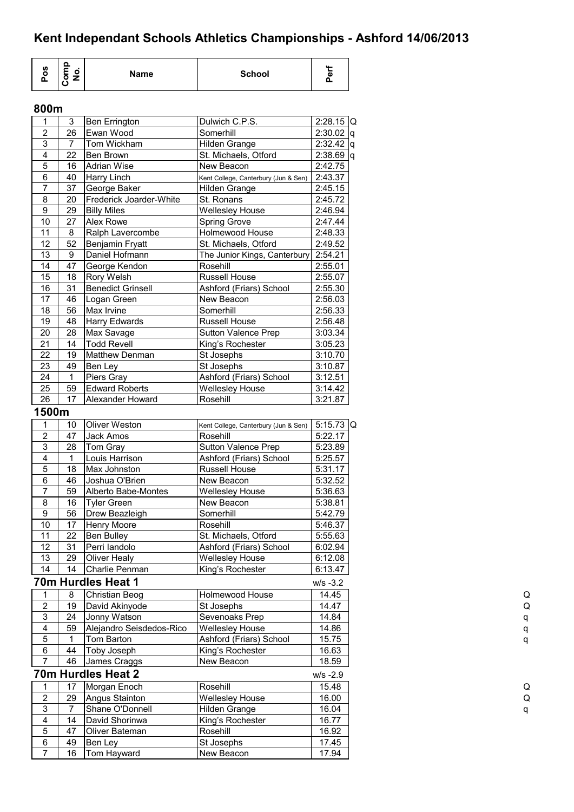| <u>n</u><br><b>AA</b><br>ဖာ<br><b>School</b><br>ο<br>Name<br>o<br>Œ<br>൨<br>o |
|-------------------------------------------------------------------------------|
|-------------------------------------------------------------------------------|

### **800m**

| 1                       | 3              | Ben Errington             | Dulwich C.P.S.                       | $2:28.15$ Q  |
|-------------------------|----------------|---------------------------|--------------------------------------|--------------|
| 2                       | 26             | Ewan Wood                 | Somerhill                            | $2:30.02$ q  |
| 3                       | $\overline{7}$ | Tom Wickham               | <b>Hilden Grange</b>                 | $2:32.42$ q  |
| $\overline{4}$          | 22             | <b>Ben Brown</b>          | St. Michaels, Otford                 | $2:38.69$ q  |
| $\overline{5}$          | 16             | <b>Adrian Wise</b>        | New Beacon                           | 2:42.75      |
| 6                       | 40             | <b>Harry Linch</b>        | Kent College, Canterbury (Jun & Sen) | 2:43.37      |
| $\overline{7}$          | 37             | George Baker              | Hilden Grange                        | 2:45.15      |
| 8                       | 20             | Frederick Joarder-White   | St. Ronans                           | 2:45.72      |
| $\boldsymbol{9}$        | 29             | <b>Billy Miles</b>        | <b>Wellesley House</b>               | 2:46.94      |
| 10                      | 27             | <b>Alex Rowe</b>          | Spring Grove                         | 2:47.44      |
| 11                      | 8              | Ralph Lavercombe          | Holmewood House                      | 2:48.33      |
| 12                      | 52             | <b>Benjamin Fryatt</b>    | St. Michaels, Otford                 | 2:49.52      |
| 13                      | 9              | Daniel Hofmann            | The Junior Kings, Canterbury         | 2:54.21      |
| 14                      | 47             | George Kendon             | Rosehill                             | 2:55.01      |
| 15                      | 18             | Rory Welsh                | Russell House                        | 2:55.07      |
| 16                      | 31             | <b>Benedict Grinsell</b>  | Ashford (Friars) School              | 2:55.30      |
| 17                      | 46             | Logan Green               | New Beacon                           |              |
|                         | 56             |                           |                                      | 2:56.03      |
| 18                      |                | Max Irvine                | Somerhill                            | 2:56.33      |
| 19                      | 48             | Harry Edwards             | <b>Russell House</b>                 | 2:56.48      |
| 20                      | 28             | Max Savage                | <b>Sutton Valence Prep</b>           | 3:03.34      |
| 21                      | 14             | <b>Todd Revell</b>        | King's Rochester                     | 3:05.23      |
| 22                      | 19             | <b>Matthew Denman</b>     | St Josephs                           | 3:10.70      |
| 23                      | 49             | Ben Ley                   | St Josephs                           | 3:10.87      |
| 24                      | 1              | Piers Gray                | Ashford (Friars) School              | 3:12.51      |
| 25                      | 59             | <b>Edward Roberts</b>     | <b>Wellesley House</b>               | 3:14.42      |
| 26                      | 17             | Alexander Howard          | Rosehill                             | 3:21.87      |
| 1500m                   |                |                           |                                      |              |
| 1                       | 10             | Oliver Weston             |                                      | 5:15.73 $ Q$ |
| $\boldsymbol{2}$        |                |                           | Kent College, Canterbury (Jun & Sen) |              |
| $\mathfrak{S}$          | 47<br>28       | Jack Amos                 | Rosehill                             | 5:22.17      |
|                         |                | Tom Gray                  | Sutton Valence Prep                  | 5:23.89      |
| $\overline{\mathbf{4}}$ | 1              | Louis Harrison            | Ashford (Friars) School              | 5:25.57      |
| $\mathbf 5$             | 18             | Max Johnston              | <b>Russell House</b>                 | 5:31.17      |
| 6                       | 46             | Joshua O'Brien            | New Beacon                           | 5:32.52      |
| $\overline{7}$          | 59             | Alberto Babe-Montes       | <b>Wellesley House</b>               | 5:36.63      |
| 8                       | 16             | <b>Tyler Green</b>        | New Beacon                           | 5:38.81      |
| $\boldsymbol{9}$        | 56             | Drew Beazleigh            | Somerhill                            | 5:42.79      |
| 10                      | 17             | <b>Henry Moore</b>        | Rosehill                             | 5:46.37      |
| 11                      | 22             | <b>Ben Bulley</b>         | St. Michaels, Otford                 | 5:55.63      |
| 12                      | 31             | Perri landolo             | Ashford (Friars) School              | 6:02.94      |
| 13                      | 29             | <b>Oliver Healy</b>       | <b>Wellesley House</b>               | 6:12.08      |
| 14                      | 14             | Charlie Penman            | King's Rochester                     | 6:13.47      |
|                         |                | 70m Hurdles Heat 1        |                                      | $W/S - 3.2$  |
|                         |                |                           | Holmewood House                      | 14.45        |
| 1                       | 8              | <b>Christian Beog</b>     |                                      |              |
| $\overline{\mathbf{c}}$ | 19             | David Akinyode            | St Josephs                           | 14.47        |
| $\overline{3}$          | 24             | Jonny Watson              | Sevenoaks Prep                       | 14.84        |
| $\overline{4}$          | 59             | Alejandro Seisdedos-Rico  | <b>Wellesley House</b>               | 14.86        |
| $\overline{5}$          | 1              | Tom Barton                | Ashford (Friars) School              | 15.75        |
| 6                       | 44             | Toby Joseph               | King's Rochester                     | 16.63        |
| $\overline{7}$          | 46             | James Craggs              | New Beacon                           | 18.59        |
|                         |                | <b>70m Hurdles Heat 2</b> |                                      | $W/S -2.9$   |
| 1                       | 17             | Morgan Enoch              | Rosehill                             | 15.48        |
| $\mathbf 2$             | 29             | Angus Stainton            | <b>Wellesley House</b>               | 16.00        |
|                         |                |                           |                                      |              |
| $\mathsf 3$             | 7              | Shane O'Donnell           | Hilden Grange                        | 16.04        |
| $\overline{4}$          | 14             | David Shorinwa            | King's Rochester                     | 16.77        |
| $\overline{5}$          | 47             | Oliver Bateman            | Rosehill                             | 16.92        |
| 6                       | 49             | Ben Ley                   | St Josephs                           | 17.45        |
| $\overline{7}$          | 16             | Tom Hayward               | New Beacon                           | 17.94        |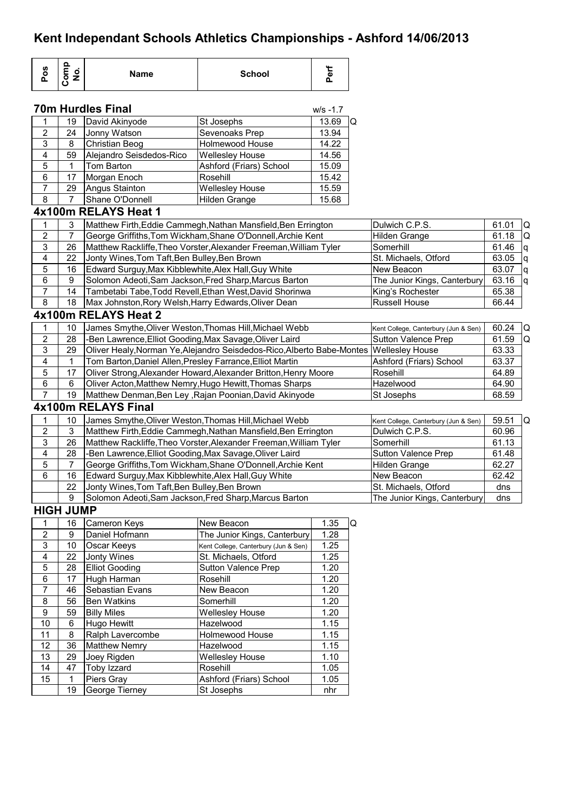| Pos                     | Comp<br>No.      | <b>Name</b>                                               | <b>School</b>                                                                          | Perf                 |                |                                      |       |   |
|-------------------------|------------------|-----------------------------------------------------------|----------------------------------------------------------------------------------------|----------------------|----------------|--------------------------------------|-------|---|
|                         |                  | <b>70m Hurdles Final</b>                                  |                                                                                        | $W/S - 1.7$          |                |                                      |       |   |
| 1                       | 19               | David Akinyode                                            | St Josephs                                                                             | 13.69                | IQ.            |                                      |       |   |
| $\overline{\mathbf{c}}$ | 24               | Jonny Watson                                              | Sevenoaks Prep                                                                         | 13.94                |                |                                      |       |   |
| 3                       | 8                | <b>Christian Beog</b>                                     | Holmewood House                                                                        | 14.22                |                |                                      |       |   |
| $\overline{\mathbf{4}}$ | 59               | Alejandro Seisdedos-Rico                                  | <b>Wellesley House</b>                                                                 | 14.56                |                |                                      |       |   |
| 5                       | 1                | Tom Barton                                                | Ashford (Friars) School                                                                | 15.09                |                |                                      |       |   |
| 6                       | 17               | Morgan Enoch                                              | Rosehill                                                                               | 15.42                |                |                                      |       |   |
| $\overline{7}$          | 29               | Angus Stainton                                            | <b>Wellesley House</b>                                                                 | 15.59                |                |                                      |       |   |
| 8                       | $\overline{7}$   | Shane O'Donnell                                           | Hilden Grange                                                                          | 15.68                |                |                                      |       |   |
|                         |                  | 4x100m RELAYS Heat 1                                      |                                                                                        |                      |                |                                      |       |   |
| 1                       | 3                |                                                           | Matthew Firth, Eddie Cammegh, Nathan Mansfield, Ben Errington                          |                      |                | Dulwich C.P.S.                       |       |   |
| $\overline{c}$          | 7                |                                                           | George Griffiths, Tom Wickham, Shane O'Donnell, Archie Kent                            | <b>Hilden Grange</b> | 61.01<br>61.18 | Q<br>la                              |       |   |
| 3                       | 26               |                                                           | Matthew Rackliffe, Theo Vorster, Alexander Freeman, William Tyler                      |                      |                | Somerhill                            | 61.46 | q |
| 4                       | 22               | Jonty Wines, Tom Taft, Ben Bulley, Ben Brown              |                                                                                        |                      |                | St. Michaels, Otford                 | 63.05 | q |
| 5                       | 16               | Edward Surguy, Max Kibblewhite, Alex Hall, Guy White      |                                                                                        |                      |                | New Beacon                           | 63.07 | q |
| 6                       | $\boldsymbol{9}$ |                                                           | Solomon Adeoti, Sam Jackson, Fred Sharp, Marcus Barton                                 |                      |                | The Junior Kings, Canterbury         | 63.16 | q |
| $\overline{7}$          | 14               |                                                           | Tambetabi Tabe, Todd Revell, Ethan West, David Shorinwa                                |                      |                | King's Rochester                     | 65.38 |   |
| 8                       | 18               | Max Johnston, Rory Welsh, Harry Edwards, Oliver Dean      |                                                                                        |                      |                | <b>Russell House</b>                 | 66.44 |   |
|                         |                  | 4x100m RELAYS Heat 2                                      |                                                                                        |                      |                |                                      |       |   |
|                         |                  |                                                           |                                                                                        |                      |                |                                      |       |   |
| 1                       | 10               |                                                           | James Smythe, Oliver Weston, Thomas Hill, Michael Webb                                 |                      |                | Kent College, Canterbury (Jun & Sen) | 60.24 | Q |
| $\overline{2}$          | 28               | -Ben Lawrence, Elliot Gooding, Max Savage, Oliver Laird   |                                                                                        |                      |                | Sutton Valence Prep                  | 61.59 | Q |
| 3                       | 29               |                                                           | Oliver Healy, Norman Ye, Alejandro Seisdedos-Rico, Alberto Babe-Montes Wellesley House |                      |                |                                      | 63.33 |   |
| 4                       | 1                | Tom Barton, Daniel Allen, Presley Farrance, Elliot Martin |                                                                                        |                      |                | Ashford (Friars) School              | 63.37 |   |
| 5                       | 17               |                                                           | Oliver Strong, Alexander Howard, Alexander Britton, Henry Moore                        |                      |                | Rosehill                             | 64.89 |   |
| 6                       | 6                |                                                           | Oliver Acton, Matthew Nemry, Hugo Hewitt, Thomas Sharps                                |                      |                | Hazelwood                            | 64.90 |   |
| $\overline{7}$          | 19               |                                                           | Matthew Denman, Ben Ley, Rajan Poonian, David Akinyode                                 |                      |                | St Josephs                           | 68.59 |   |
|                         |                  | 4x100m RELAYS Final                                       |                                                                                        |                      |                |                                      |       |   |
| 1                       | 10               |                                                           | James Smythe, Oliver Weston, Thomas Hill, Michael Webb                                 |                      |                | Kent College, Canterbury (Jun & Sen) | 59.51 | Q |
| $\overline{2}$          | $\mathfrak{S}$   |                                                           | Matthew Firth, Eddie Cammegh, Nathan Mansfield, Ben Errington                          |                      |                | Dulwich C.P.S.                       | 60.96 |   |
| 3                       | 26               |                                                           | Matthew Rackliffe, Theo Vorster, Alexander Freeman, William Tyler                      |                      |                | Somerhill                            | 61.13 |   |
| 4                       | 28               | -Ben Lawrence, Elliot Gooding, Max Savage, Oliver Laird   |                                                                                        |                      |                | <b>Sutton Valence Prep</b>           | 61.48 |   |
| 5                       | $\overline{7}$   |                                                           | George Griffiths, Tom Wickham, Shane O'Donnell, Archie Kent                            |                      |                | <b>Hilden Grange</b>                 | 62.27 |   |
| 6                       | 16               | Edward Surguy, Max Kibblewhite, Alex Hall, Guy White      |                                                                                        |                      |                | New Beacon                           | 62.42 |   |
|                         | 22               | Jonty Wines, Tom Taft, Ben Bulley, Ben Brown              |                                                                                        |                      |                | St. Michaels, Otford                 | dns   |   |
|                         | 9                |                                                           | Solomon Adeoti, Sam Jackson, Fred Sharp, Marcus Barton                                 |                      |                | The Junior Kings, Canterbury         | dns   |   |
|                         | <b>HIGH JUMP</b> |                                                           |                                                                                        |                      |                |                                      |       |   |
| 1                       | 16               | Cameron Keys                                              | New Beacon                                                                             | 1.35                 | Q              |                                      |       |   |
| $\overline{2}$          | $\boldsymbol{9}$ | Daniel Hofmann                                            | The Junior Kings, Canterbury                                                           | 1.28                 |                |                                      |       |   |
| 3                       | $10$             | Oscar Keeys                                               | Kent College, Canterbury (Jun & Sen)                                                   | 1.25                 |                |                                      |       |   |
| 4                       | 22               | Jonty Wines                                               | St. Michaels, Otford                                                                   | 1.25                 |                |                                      |       |   |
| 5                       | 28               | <b>Elliot Gooding</b>                                     | <b>Sutton Valence Prep</b>                                                             | 1.20                 |                |                                      |       |   |
| 6                       | 17               | Hugh Harman                                               | Rosehill                                                                               | 1.20                 |                |                                      |       |   |
| 7                       | 46               | Sebastian Evans                                           | New Beacon                                                                             | 1.20                 |                |                                      |       |   |
| 8                       | 56               | <b>Ben Watkins</b>                                        | Somerhill                                                                              | 1.20                 |                |                                      |       |   |
| 9                       | 59               | <b>Billy Miles</b>                                        | <b>Wellesley House</b>                                                                 | 1.20                 |                |                                      |       |   |
| 10                      | 6                | Hugo Hewitt                                               | Hazelwood                                                                              | 1.15                 |                |                                      |       |   |
| 11                      | 8                | Ralph Lavercombe                                          | Holmewood House                                                                        | 1.15                 |                |                                      |       |   |
| 12                      | 36               | <b>Matthew Nemry</b>                                      | Hazelwood                                                                              | 1.15                 |                |                                      |       |   |
| 13                      | 29               | Joey Rigden                                               | <b>Wellesley House</b>                                                                 | 1.10                 |                |                                      |       |   |
| 14                      | 47               | Toby Izzard                                               | Rosehill                                                                               | 1.05                 |                |                                      |       |   |
| 15                      | 1                | Piers Gray                                                | Ashford (Friars) School                                                                | 1.05                 |                |                                      |       |   |
|                         | 19               | George Tierney                                            | St Josephs                                                                             | nhr                  |                |                                      |       |   |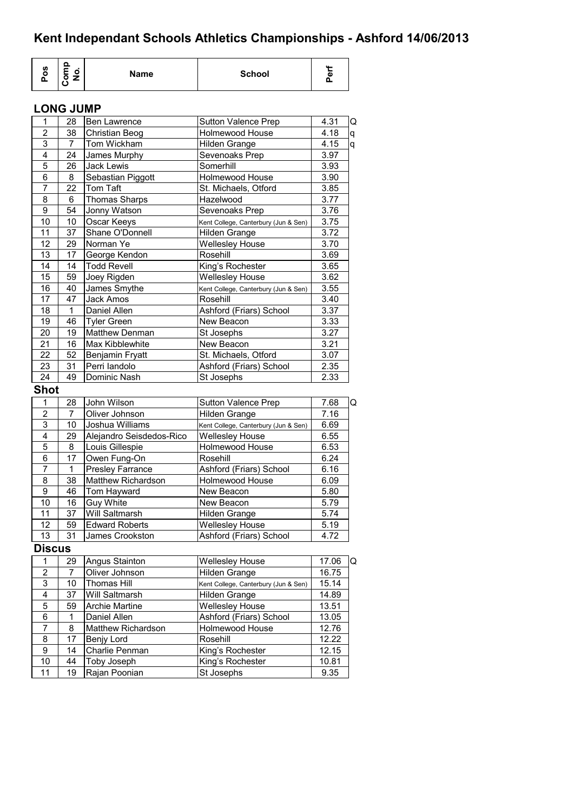| ဖာ<br>o<br>o. | 0.<br>$\blacksquare$<br>o | Name | <b>School</b> | <br>o<br>ட |
|---------------|---------------------------|------|---------------|------------|
|---------------|---------------------------|------|---------------|------------|

#### **LONG JUMP**

| $\mathbf{1}$            | 28             | Ben Lawrence             | <b>Sutton Valence Prep</b>           | 4.31  | Q |
|-------------------------|----------------|--------------------------|--------------------------------------|-------|---|
| $\overline{2}$          | 38             | Christian Beog           | Holmewood House                      | 4.18  | q |
| 3                       | 7              | Tom Wickham              | Hilden Grange                        | 4.15  | q |
| $\overline{4}$          | 24             | James Murphy             | Sevenoaks Prep                       | 3.97  |   |
| 5                       | 26             | Jack Lewis               | Somerhill                            | 3.93  |   |
| 6                       | 8              | Sebastian Piggott        | Holmewood House                      | 3.90  |   |
| $\overline{7}$          | 22             | Tom Taft                 | St. Michaels, Otford                 | 3.85  |   |
| 8                       | 6              | <b>Thomas Sharps</b>     | Hazelwood                            | 3.77  |   |
| 9                       | 54             | Jonny Watson             | Sevenoaks Prep                       | 3.76  |   |
| 10                      | 10             | Oscar Keeys              | Kent College, Canterbury (Jun & Sen) | 3.75  |   |
| 11                      | 37             | Shane O'Donnell          | Hilden Grange                        | 3.72  |   |
| $\overline{12}$         | 29             | Norman Ye                | <b>Wellesley House</b>               | 3.70  |   |
| 13                      | 17             | George Kendon            | Rosehill                             | 3.69  |   |
| 14                      | 14             | <b>Todd Revell</b>       | King's Rochester                     | 3.65  |   |
| $\overline{15}$         | 59             | Joey Rigden              | <b>Wellesley House</b>               | 3.62  |   |
| 16                      | 40             | James Smythe             | Kent College, Canterbury (Jun & Sen) | 3.55  |   |
| 17                      | 47             | Jack Amos                | Rosehill                             | 3.40  |   |
| 18                      | $\mathbf{1}$   | Daniel Allen             | Ashford (Friars) School              | 3.37  |   |
| 19                      | 46             | <b>Tyler Green</b>       | New Beacon                           | 3.33  |   |
| $\overline{20}$         | 19             | <b>Matthew Denman</b>    | St Josephs                           | 3.27  |   |
| 21                      | 16             | Max Kibblewhite          | New Beacon                           | 3.21  |   |
| 22                      | 52             | Benjamin Fryatt          | St. Michaels, Otford                 | 3.07  |   |
| 23                      | 31             | Perri landolo            | Ashford (Friars) School              | 2.35  |   |
| 24                      | 49             | Dominic Nash             | St Josephs                           | 2.33  |   |
| <b>Shot</b>             |                |                          |                                      |       |   |
| 1                       | 28             | John Wilson              | Sutton Valence Prep                  | 7.68  | Q |
| $\overline{2}$          | $\overline{7}$ | Oliver Johnson           | Hilden Grange                        | 7.16  |   |
| 3                       | 10             | Joshua Williams          | Kent College, Canterbury (Jun & Sen) | 6.69  |   |
| 4                       | 29             | Alejandro Seisdedos-Rico | <b>Wellesley House</b>               | 6.55  |   |
| 5                       | 8              | Louis Gillespie          | Holmewood House                      | 6.53  |   |
| 6                       | 17             | Owen Fung-On             | Rosehill                             | 6.24  |   |
| 7                       | 1              | <b>Presley Farrance</b>  | Ashford (Friars) School              | 6.16  |   |
| 8                       | 38             | Matthew Richardson       | Holmewood House                      | 6.09  |   |
| $\overline{9}$          | 46             | Tom Hayward              | New Beacon                           | 5.80  |   |
| $\overline{10}$         | 16             | <b>Guy White</b>         | New Beacon                           | 5.79  |   |
| 11                      | 37             | Will Saltmarsh           | Hilden Grange                        | 5.74  |   |
| 12                      | 59             | <b>Edward Roberts</b>    | <b>Wellesley House</b>               | 5.19  |   |
| 13                      | 31             | James Crookston          | Ashford (Friars) School              | 4.72  |   |
| <b>Discus</b>           |                |                          |                                      |       |   |
| 1                       | 29             | Angus Stainton           | <b>Wellesley House</b>               | 17.06 | Q |
| 2                       | 7              | Oliver Johnson           | Hilden Grange                        | 16.75 |   |
| 3                       | 10             | <b>Thomas Hill</b>       | Kent College, Canterbury (Jun & Sen) | 15.14 |   |
| $\overline{\mathbf{4}}$ | 37             | Will Saltmarsh           | Hilden Grange                        | 14.89 |   |
| 5                       | 59             | <b>Archie Martine</b>    | <b>Wellesley House</b>               | 13.51 |   |
| 6                       | 1              | Daniel Allen             | Ashford (Friars) School              | 13.05 |   |
| 7                       | 8              | Matthew Richardson       | Holmewood House                      | 12.76 |   |
| 8                       | 17             | Benjy Lord               | Rosehill                             | 12.22 |   |
| 9                       | 14             | Charlie Penman           | King's Rochester                     | 12.15 |   |
| 10                      |                | Toby Joseph              | King's Rochester                     | 10.81 |   |
|                         | 44             |                          |                                      |       |   |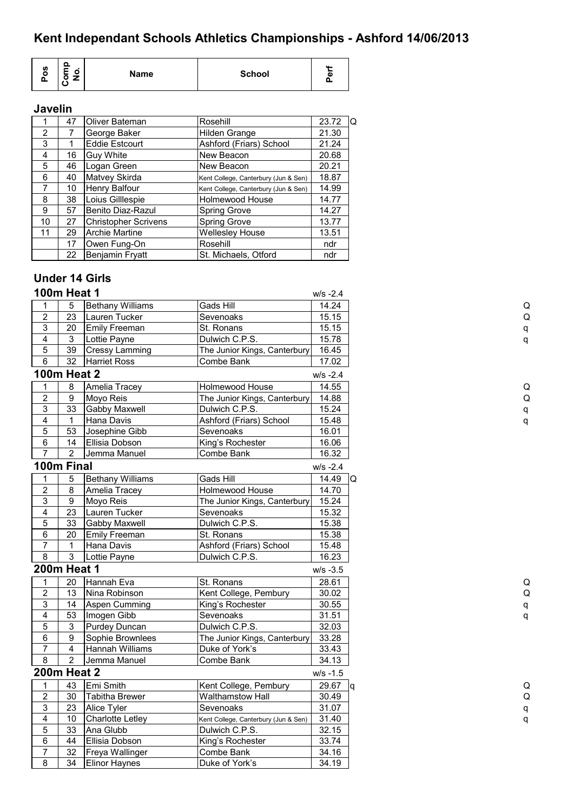| o<br>U)<br>$\blacksquare$<br>ۅ<br><b>School</b><br>Name<br>о<br>о<br>o |  |
|------------------------------------------------------------------------|--|
|------------------------------------------------------------------------|--|

#### **Javelin**

|                | 47 | Oliver Bateman              | Rosehill                             | 23.72 | ۱Q |
|----------------|----|-----------------------------|--------------------------------------|-------|----|
| $\overline{2}$ |    | George Baker                | Hilden Grange                        | 21.30 |    |
| 3              |    | <b>Eddie Estcourt</b>       | Ashford (Friars) School              | 21.24 |    |
| 4              | 16 | <b>Guy White</b>            | New Beacon                           | 20.68 |    |
| 5              | 46 | Logan Green                 | New Beacon                           | 20.21 |    |
| 6              | 40 | Matvey Skirda               | Kent College, Canterbury (Jun & Sen) | 18.87 |    |
| 7              | 10 | <b>Henry Balfour</b>        | Kent College, Canterbury (Jun & Sen) | 14.99 |    |
| 8              | 38 | Loius Gilllespie            | <b>Holmewood House</b>               | 14.77 |    |
| 9              | 57 | Benito Diaz-Razul           | Spring Grove                         | 14.27 |    |
| 10             | 27 | <b>Christopher Scrivens</b> | Spring Grove                         | 13.77 |    |
| 11             | 29 | <b>Archie Martine</b>       | <b>Wellesley House</b>               | 13.51 |    |
|                | 17 | Owen Fung-On                | Rosehill                             | ndr   |    |
|                | 22 | Benjamin Fryatt             | St. Michaels, Otford                 | ndr   |    |

### **Under 14 Girls**

|                         | <b>100m Heat 1</b> |                         |                                      | $W/S -2.4$        |
|-------------------------|--------------------|-------------------------|--------------------------------------|-------------------|
| 1                       | 5                  | <b>Bethany Williams</b> | Gads Hill                            | 14.24             |
| $\sqrt{2}$              | 23                 | Lauren Tucker           | Sevenoaks                            | 15.15             |
| $\overline{3}$          | 20                 | Emily Freeman           | St. Ronans                           | 15.15             |
| $\overline{\mathbf{4}}$ | 3                  | Lottie Payne            | Dulwich C.P.S.                       | 15.78             |
| $\overline{5}$          | 39                 | <b>Cressy Lamming</b>   | The Junior Kings, Canterbury         | 16.45             |
| $\overline{6}$          | 32                 | <b>Harriet Ross</b>     | Combe Bank                           | 17.02             |
|                         | <b>100m Heat 2</b> |                         |                                      | $W/S -2.4$        |
| $\mathbf 1$             | 8                  | Amelia Tracey           | Holmewood House                      | 14.55             |
| $\mathbf 2$             | 9                  | Moyo Reis               | The Junior Kings, Canterbury         | 14.88             |
| $\overline{3}$          | 33                 | Gabby Maxwell           | Dulwich C.P.S.                       | 15.24             |
| $\overline{4}$          | $\mathbf 1$        | Hana Davis              | Ashford (Friars) School              | 15.48             |
| $\overline{5}$          | 53                 | Josephine Gibb          | Sevenoaks                            | 16.01             |
| $\,6$                   | 14                 | Ellisia Dobson          | King's Rochester                     | 16.06             |
| $\overline{7}$          | $\overline{2}$     | Jemma Manuel            | Combe Bank                           | 16.32             |
|                         | 100m Final         |                         |                                      | $W/S -2.4$        |
| $\mathbf{1}$            | 5                  | <b>Bethany Williams</b> | Gads Hill                            | 14.49             |
| $\overline{2}$          | 8                  | Amelia Tracey           | Holmewood House                      | 14.70             |
| $\overline{3}$          | $\boldsymbol{9}$   | Moyo Reis               | The Junior Kings, Canterbury         | 15.24             |
| $\overline{\mathbf{4}}$ | 23                 | Lauren Tucker           | Sevenoaks                            | 15.32             |
| $\overline{5}$          | 33                 | Gabby Maxwell           | Dulwich C.P.S.                       | 15.38             |
| $\,6\,$                 | 20                 | Emily Freeman           | St. Ronans                           | 15.38             |
| $\overline{7}$          | 1                  | Hana Davis              | Ashford (Friars) School              | 15.48             |
| $\overline{8}$          | 3                  | Lottie Payne            | Dulwich C.P.S.                       | 16.23             |
|                         | <b>200m Heat 1</b> |                         |                                      | $W/S - 3.5$       |
| 1                       | 20                 | Hannah Eva              | St. Ronans                           | 28.61             |
| $\overline{2}$          | 13                 | Nina Robinson           | Kent College, Pembury                | 30.02             |
| $\mathbf{3}$            | 14                 | Aspen Cumming           | King's Rochester                     | 30.55             |
| 4                       | 53                 | Imogen Gibb             | Sevenoaks                            | 31.51             |
| $\sqrt{5}$              | 3                  | <b>Purdey Duncan</b>    | Dulwich C.P.S.                       | 32.03             |
| $\,6\,$                 | 9                  | Sophie Brownlees        | The Junior Kings, Canterbury         | 33.28             |
| $\overline{7}$          | 4                  | Hannah Williams         | Duke of York's                       | 33.43             |
| $\overline{8}$          | $\overline{2}$     | Jemma Manuel            | Combe Bank                           | 34.13             |
|                         | <b>200m Heat 2</b> |                         |                                      | $W/S - 1.5$       |
| $\mathbf{1}$            | 43                 | Emi Smith               | Kent College, Pembury                | 29.67<br><b>g</b> |
| $\mathbf 2$             | 30                 | <b>Tabitha Brewer</b>   | <b>Walthamstow Hall</b>              | 30.49             |
| 3                       | 23                 | Alice Tyler             | Sevenoaks                            | 31.07             |
| $\overline{\mathbf{4}}$ | 10                 | <b>Charlotte Letley</b> | Kent College, Canterbury (Jun & Sen) | 31.40             |
| $\overline{5}$          | 33                 | Ana Glubb               | Dulwich C.P.S.                       | 32.15             |
| 6                       | 44                 | Ellisia Dobson          | King's Rochester                     | 33.74             |
|                         |                    |                         |                                      |                   |

7 32 Freya Wallinger Combe Bank 34.16 8 34 Elinor Haynes Duke of York's 34.19

| Q |
|---|
| q |
| q |
|   |
|   |
|   |
| Q |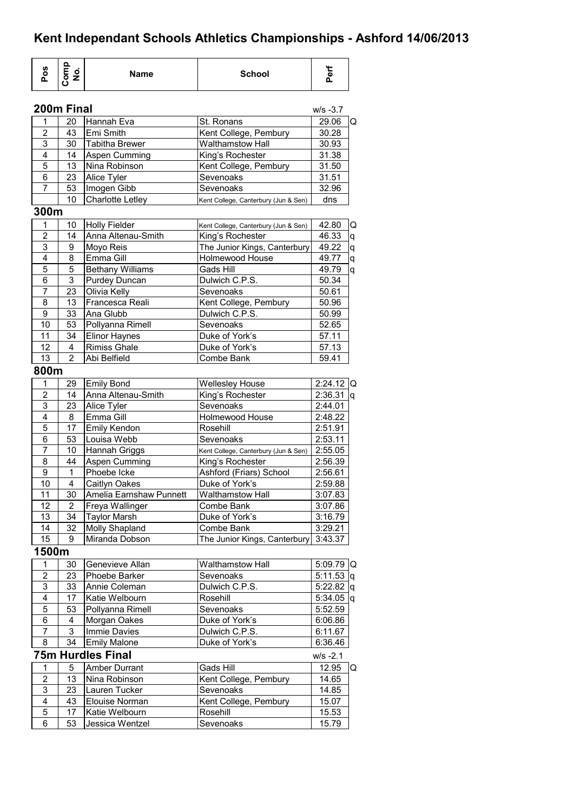| Pos                           | Comp<br>No.     | <b>School</b><br>Name                    |                                                          | Perf         |   |
|-------------------------------|-----------------|------------------------------------------|----------------------------------------------------------|--------------|---|
|                               | 200m Final      |                                          |                                                          | $W/S -3.7$   |   |
| 1                             | 20              | Hannah Eva                               | St. Ronans                                               | 29.06        | Q |
| $\overline{2}$                | 43              | Emi Smith                                | Kent College, Pembury                                    | 30.28        |   |
| 3                             | 30              | Tabitha Brewer                           | <b>Walthamstow Hall</b>                                  | 30.93        |   |
| 4                             | 14              | Aspen Cumming                            | King's Rochester                                         | 31.38        |   |
| 5                             | 13              | Nina Robinson                            | Kent College, Pembury                                    | 31.50        |   |
| 6                             | 23              | Alice Tyler                              | Sevenoaks                                                | 31.51        |   |
| 7                             | 53              | Imogen Gibb                              | Sevenoaks                                                | 32.96        |   |
|                               | $\overline{10}$ | Charlotte Letley                         | Kent College, Canterbury (Jun & Sen)                     | dns          |   |
| 300m                          |                 |                                          |                                                          |              |   |
| 1                             | 10              | <b>Holly Fielder</b>                     |                                                          | 42.80        | Q |
| 2                             | 14              | Anna Altenau-Smith                       | Kent College, Canterbury (Jun & Sen)<br>King's Rochester | 46.33        |   |
| 3                             | 9               | Moyo Reis                                | The Junior Kings, Canterbury                             | 49.22        | q |
| 4                             | 8               | Emma Gill                                | Holmewood House                                          | 49.77        | q |
| 5                             | 5               |                                          |                                                          |              | q |
| $\overline{6}$                | $\overline{3}$  | <b>Bethany Williams</b><br>Purdey Duncan | Gads Hill                                                | 49.79        | q |
|                               |                 | Olivia Kelly                             | Dulwich C.P.S.                                           | 50.34        |   |
| 7                             | 23              |                                          | Sevenoaks                                                | 50.61        |   |
| 8                             | 13              | Francesca Reali                          | Kent College, Pembury                                    | 50.96        |   |
| 9                             | 33              | Ana Glubb                                | Dulwich C.P.S.                                           | 50.99        |   |
| 10                            | 53              | Pollyanna Rimell                         | Sevenoaks                                                | 52.65        |   |
| 11                            | 34              | Elinor Haynes                            | Duke of York's                                           | 57.11        |   |
| 12                            | 4               | <b>Rimiss Ghale</b>                      | Duke of York's                                           | 57.13        |   |
| 13                            | 2               | Abi Belfield                             | Combe Bank                                               | 59.41        |   |
| 800m                          |                 |                                          |                                                          |              |   |
| 1                             | 29              | <b>Emily Bond</b>                        | <b>Wellesley House</b>                                   | $2:24.12$ Q  |   |
| $\overline{2}$                | 14              | Anna Altenau-Smith                       | King's Rochester                                         | 2:36.31      | q |
| 3                             | 23              | Alice Tyler                              | Sevenoaks                                                | 2:44.01      |   |
| 4                             | 8               | Emma Gill                                | Holmewood House                                          | 2:48.22      |   |
| 5                             | 17              | Emily Kendon                             | Rosehill                                                 | 2:51.91      |   |
| 6                             | 53              | Louisa Webb                              | Sevenoaks                                                | 2:53.11      |   |
| 7                             | 10              | Hannah Griggs                            | Kent College, Canterbury (Jun & Sen)                     | 2:55.05      |   |
| 8                             | 44              | Aspen Cumming                            | King's Rochester                                         | 2:56.39      |   |
| 9                             | 1               | Phoebe Icke                              | Ashford (Friars) School                                  | 2:56.61      |   |
| 10                            | 4               | Caitlyn Oakes                            | Duke of York's                                           | 2:59.88      |   |
| 11                            | 30              | Amelia Earnshaw Punnett                  | Walthamstow Hall                                         | 3:07.83      |   |
| 12                            | $\overline{2}$  | Freya Wallinger                          | Combe Bank                                               | 3:07.86      |   |
| 13                            | 34              | <b>Taylor Marsh</b>                      | Duke of York's                                           | 3:16.79      |   |
| 14                            | 32              | Molly Shapland                           | Combe Bank                                               | 3:29.21      |   |
| 15                            | 9               | Miranda Dobson                           | The Junior Kings, Canterbury                             | 3:43.37      |   |
| 1500m                         |                 |                                          |                                                          |              |   |
| 1                             | 30              | Genevieve Allan                          | <b>Walthamstow Hall</b>                                  | 5:09.79 $ Q$ |   |
| $\overline{\mathbf{c}}$       | 23              | Phoebe Barker                            | Sevenoaks                                                | $5:11.53$ q  |   |
| $\overline{3}$                | 33              | Annie Coleman                            | Dulwich C.P.S.                                           | 5:22.82 q    |   |
| $\overline{4}$                | 17              | Katie Welbourn                           | Rosehill                                                 | $5:34.05$ q  |   |
| 5                             | 53              | Pollyanna Rimell                         | Sevenoaks                                                | 5:52.59      |   |
| 6                             | $\overline{4}$  | Morgan Oakes                             | Duke of York's                                           | 6:06.86      |   |
| $\overline{7}$                | 3               | Immie Davies                             | Dulwich C.P.S.                                           | 6:11.67      |   |
| 8                             | 34              | <b>Emily Malone</b>                      | Duke of York's                                           | 6:36.46      |   |
|                               |                 | <b>75m Hurdles Final</b>                 |                                                          | $W/S -2.1$   |   |
|                               |                 |                                          |                                                          |              |   |
| $\mathbf 1$<br>$\overline{2}$ | 5               | Amber Durrant                            | Gads Hill                                                | 12.95        | Q |
|                               | 13              | Nina Robinson                            | Kent College, Pembury                                    | 14.65        |   |
| 3                             | 23              | Lauren Tucker                            | Sevenoaks                                                | 14.85        |   |
| 4                             | 43              | Elouise Norman                           | Kent College, Pembury                                    | 15.07        |   |
| 5                             | 17              | Katie Welbourn                           | Rosehill                                                 | 15.53        |   |
| 6                             | 53              | Jessica Wentzel                          | Sevenoaks                                                | 15.79        |   |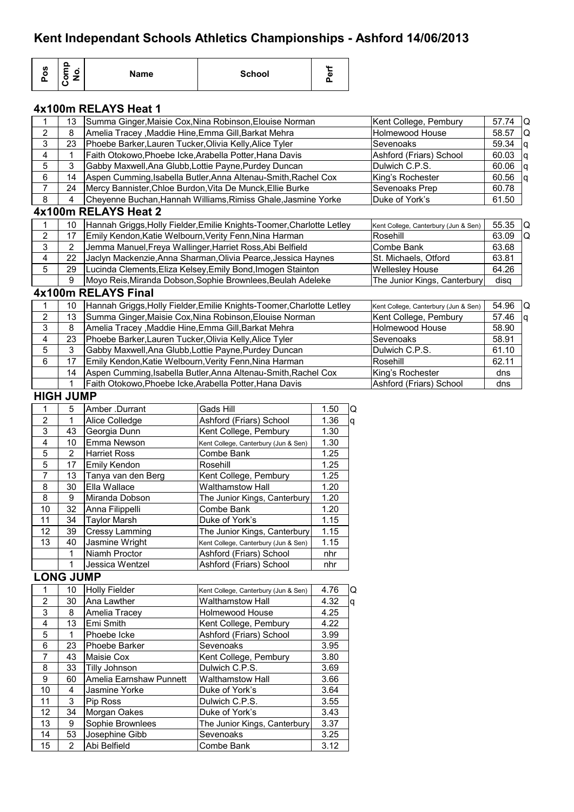| Pos                       | Comp<br>No.      | <b>Name</b>                                               | <b>School</b>                                                         | Perf            |       |                                      |       |          |
|---------------------------|------------------|-----------------------------------------------------------|-----------------------------------------------------------------------|-----------------|-------|--------------------------------------|-------|----------|
|                           |                  | 4x100m RELAYS Heat 1                                      |                                                                       |                 |       |                                      |       |          |
| 1                         | 13               |                                                           | Summa Ginger, Maisie Cox, Nina Robinson, Elouise Norman               |                 |       | Kent College, Pembury                | 57.74 | Q        |
| $\mathbf 2$               | 8                | Amelia Tracey, Maddie Hine, Emma Gill, Barkat Mehra       |                                                                       | Holmewood House | 58.57 | Q                                    |       |          |
| 3                         | 23               | Phoebe Barker, Lauren Tucker, Olivia Kelly, Alice Tyler   |                                                                       |                 |       | Sevenoaks                            | 59.34 | ld.      |
| 4                         | 1                | Faith Otokowo, Phoebe Icke, Arabella Potter, Hana Davis   |                                                                       |                 |       | Ashford (Friars) School              | 60.03 | q        |
| 5                         | 3                | Gabby Maxwell, Ana Glubb, Lottie Payne, Purdey Duncan     |                                                                       |                 |       | Dulwich C.P.S.                       | 60.06 | <b>g</b> |
| 6                         | 14               |                                                           | Aspen Cumming, Isabella Butler, Anna Altenau-Smith, Rachel Cox        |                 |       | King's Rochester                     | 60.56 | q        |
| $\overline{7}$            | 24               |                                                           | Mercy Bannister, Chloe Burdon, Vita De Munck, Ellie Burke             |                 |       | Sevenoaks Prep                       | 60.78 |          |
| 8                         | 4                |                                                           | Cheyenne Buchan, Hannah Williams, Rimiss Ghale, Jasmine Yorke         |                 |       | Duke of York's                       | 61.50 |          |
|                           |                  | 4x100m RELAYS Heat 2                                      |                                                                       |                 |       |                                      |       |          |
| 1                         | 10               |                                                           | Hannah Griggs, Holly Fielder, Emilie Knights-Toomer, Charlotte Letley |                 |       | Kent College, Canterbury (Jun & Sen) | 55.35 | Q        |
| $\overline{2}$            | 17               | Emily Kendon, Katie Welbourn, Verity Fenn, Nina Harman    |                                                                       |                 |       | Rosehill                             | 63.09 | Q        |
| 3                         | 2                | Jemma Manuel, Freya Wallinger, Harriet Ross, Abi Belfield |                                                                       |                 |       | Combe Bank                           | 63.68 |          |
| 4                         | 22               |                                                           | Jaclyn Mackenzie, Anna Sharman, Olivia Pearce, Jessica Haynes         |                 |       | St. Michaels, Otford                 | 63.81 |          |
| 5                         | 29               |                                                           | Lucinda Clements, Eliza Kelsey, Emily Bond, Imogen Stainton           |                 |       | <b>Wellesley House</b>               | 64.26 |          |
|                           | 9                |                                                           | Moyo Reis, Miranda Dobson, Sophie Brownlees, Beulah Adeleke           |                 |       | The Junior Kings, Canterbury         | disq  |          |
|                           |                  | 4x100m RELAYS Final                                       |                                                                       |                 |       |                                      |       |          |
| 1                         | 10               |                                                           | Hannah Griggs, Holly Fielder, Emilie Knights-Toomer, Charlotte Letley |                 |       | Kent College, Canterbury (Jun & Sen) | 54.96 | IQ.      |
| $\mathbf 2$               | 13               |                                                           | Summa Ginger, Maisie Cox, Nina Robinson, Elouise Norman               |                 |       | Kent College, Pembury                | 57.46 | <b>g</b> |
| $\ensuremath{\mathsf{3}}$ | 8                | Amelia Tracey, Maddie Hine, Emma Gill, Barkat Mehra       |                                                                       |                 |       | Holmewood House                      | 58.90 |          |
| 4                         | 23               | Phoebe Barker, Lauren Tucker, Olivia Kelly, Alice Tyler   |                                                                       |                 |       | Sevenoaks                            | 58.91 |          |
| 5                         | 3                | Gabby Maxwell, Ana Glubb, Lottie Payne, Purdey Duncan     |                                                                       |                 |       | Dulwich C.P.S.                       | 61.10 |          |
| 6                         | 17               | Emily Kendon, Katie Welbourn, Verity Fenn, Nina Harman    |                                                                       |                 |       | Rosehill                             | 62.11 |          |
|                           | 14               |                                                           | Aspen Cumming, Isabella Butler, Anna Altenau-Smith, Rachel Cox        |                 |       | King's Rochester                     | dns   |          |
|                           | 1                | Faith Otokowo, Phoebe Icke, Arabella Potter, Hana Davis   |                                                                       |                 |       | Ashford (Friars) School              | dns   |          |
|                           | <b>HIGH JUMP</b> |                                                           |                                                                       |                 |       |                                      |       |          |
| 1                         | 5                | Amber .Durrant                                            | Gads Hill                                                             | 1.50            | Q     |                                      |       |          |
| $\boldsymbol{2}$          | 1                | Alice Colledge                                            | Ashford (Friars) School                                               | 1.36            | q     |                                      |       |          |
| 3                         | 43               | Georgia Dunn                                              | Kent College, Pembury                                                 | 1.30            |       |                                      |       |          |
| 4                         | 10               | Emma Newson                                               | Kent College, Canterbury (Jun & Sen)                                  | 1.30            |       |                                      |       |          |
| 5                         | $\overline{2}$   | <b>Harriet Ross</b>                                       | Combe Bank                                                            | 1.25            |       |                                      |       |          |
| 5                         | 17               | Emily Kendon                                              | Rosehill                                                              | 1.25            |       |                                      |       |          |
| $\overline{7}$            | 13               | Tanya van den Berg                                        | Kent College, Pembury                                                 | 1.25            |       |                                      |       |          |
| 8                         | 30               | Ella Wallace                                              | Walthamstow Hall                                                      | 1.20            |       |                                      |       |          |
| 8                         | 9                | Miranda Dobson                                            | The Junior Kings, Canterbury                                          | 1.20            |       |                                      |       |          |
| 10<br>11                  | 32<br>34         | Anna Filippelli                                           | Combe Bank                                                            | 1.20<br>1.15    |       |                                      |       |          |
| 12                        | 39               | <b>Taylor Marsh</b><br><b>Cressy Lamming</b>              | Duke of York's<br>The Junior Kings, Canterbury                        | 1.15            |       |                                      |       |          |
| 13                        | 40               | Jasmine Wright                                            | Kent College, Canterbury (Jun & Sen)                                  | 1.15            |       |                                      |       |          |
|                           | 1                | Niamh Proctor                                             | Ashford (Friars) School                                               | nhr             |       |                                      |       |          |
|                           | 1                | Jessica Wentzel                                           | Ashford (Friars) School                                               | nhr             |       |                                      |       |          |
|                           | <b>LONG JUMP</b> |                                                           |                                                                       |                 |       |                                      |       |          |
| $\mathbf{1}$              | 10               | <b>Holly Fielder</b>                                      | Kent College, Canterbury (Jun & Sen)                                  | 4.76            | IQ.   |                                      |       |          |
| $\boldsymbol{2}$          | 30               | Ana Lawther                                               | <b>Walthamstow Hall</b>                                               | 4.32            | q     |                                      |       |          |
| $\ensuremath{\mathsf{3}}$ | 8                | Amelia Tracey                                             | Holmewood House                                                       | 4.25            |       |                                      |       |          |
| $\overline{\mathbf{4}}$   | 13               | Emi Smith                                                 | Kent College, Pembury                                                 | 4.22            |       |                                      |       |          |
| $\mathbf 5$               | 1                | Phoebe Icke                                               | Ashford (Friars) School                                               | 3.99            |       |                                      |       |          |
| 6                         | 23               | Phoebe Barker                                             | Sevenoaks                                                             | 3.95            |       |                                      |       |          |
| $\overline{7}$            | 43               | Maisie Cox                                                | Kent College, Pembury                                                 | 3.80            |       |                                      |       |          |
| 8                         | 33               | Tilly Johnson                                             | Dulwich C.P.S.                                                        | 3.69            |       |                                      |       |          |
| $\boldsymbol{9}$          | 60               | Amelia Earnshaw Punnett                                   | <b>Walthamstow Hall</b>                                               | 3.66            |       |                                      |       |          |
| 10                        | 4                | Jasmine Yorke                                             | Duke of York's                                                        | 3.64            |       |                                      |       |          |
| 11                        | 3                | Pip Ross                                                  | Dulwich C.P.S.                                                        | 3.55            |       |                                      |       |          |
| 12                        | 34               | Morgan Oakes                                              | Duke of York's                                                        | 3.43            |       |                                      |       |          |
| 13                        | 9                | Sophie Brownlees                                          | The Junior Kings, Canterbury                                          | 3.37            |       |                                      |       |          |
| 14                        | 53               | Josephine Gibb                                            | Sevenoaks                                                             | 3.25            |       |                                      |       |          |
| 15                        | $\overline{2}$   | Abi Belfield                                              | Combe Bank                                                            | 3.12            |       |                                      |       |          |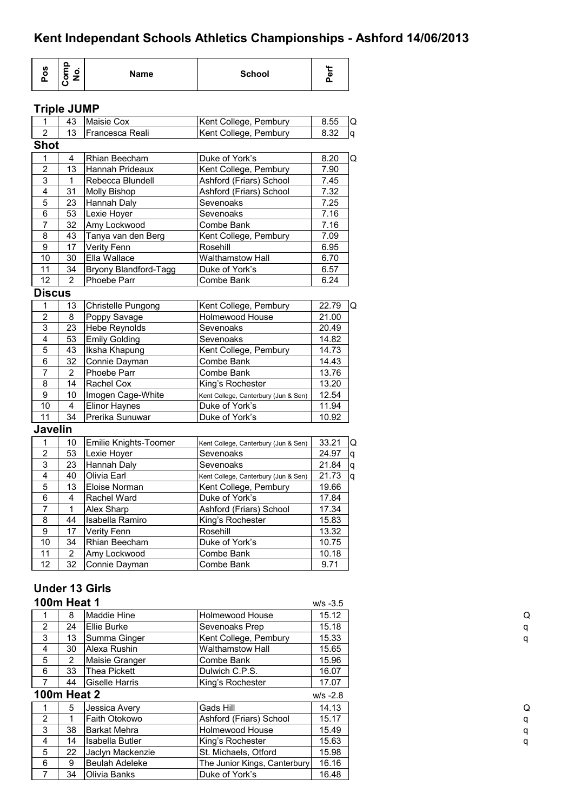| Pos                 | Comp<br>No.                   | <b>Name</b>                             | <b>School</b>                                                 | Perf           |
|---------------------|-------------------------------|-----------------------------------------|---------------------------------------------------------------|----------------|
|                     | <b>Triple JUMP</b>            |                                         |                                                               |                |
| 1                   | 43                            | <b>Maisie Cox</b>                       | Kent College, Pembury                                         | 8.55           |
| $\overline{2}$      | 13                            | Francesca Reali                         | Kent College, Pembury                                         | 8.32           |
| <b>Shot</b>         |                               |                                         |                                                               |                |
| 1                   | 4                             | Rhian Beecham                           | Duke of York's                                                | 8.20           |
| $\overline{2}$      | 13                            | Hannah Prideaux                         | Kent College, Pembury                                         | 7.90           |
| $\mathbf{3}$        | 1                             | Rebecca Blundell                        | Ashford (Friars) School                                       | 7.45           |
| 4                   | 31                            | <b>Molly Bishop</b>                     | Ashford (Friars) School                                       | 7.32           |
| $\mathbf 5$         | 23                            | Hannah Daly                             | Sevenoaks                                                     | 7.25           |
| 6<br>7              | 53<br>32                      | Lexie Hoyer<br>Amy Lockwood             | Sevenoaks<br>Combe Bank                                       | 7.16<br>7.16   |
| 8                   | 43                            | Tanya van den Berg                      | Kent College, Pembury                                         | 7.09           |
| $\overline{9}$      | 17                            | Verity Fenn                             | Rosehill                                                      | 6.95           |
| 10                  | 30                            | Ella Wallace                            | <b>Walthamstow Hall</b>                                       | 6.70           |
| 11                  | 34                            | Bryony Blandford-Tagg                   | Duke of York's                                                | 6.57           |
| 12                  | $\overline{2}$                | Phoebe Parr                             | Combe Bank                                                    | 6.24           |
| <b>Discus</b>       |                               |                                         |                                                               |                |
| 1                   | 13                            | Christelle Pungong                      | Kent College, Pembury                                         | 22.79          |
| $\overline{c}$      | 8                             | Poppy Savage                            | Holmewood House                                               | 21.00          |
| $\mathfrak{S}$      | 23                            | <b>Hebe Reynolds</b>                    | Sevenoaks                                                     | 20.49          |
| $\overline{4}$      | 53                            | <b>Emily Golding</b>                    | Sevenoaks                                                     | 14.82          |
| $\sqrt{5}$          | 43                            | Iksha Khapung                           | Kent College, Pembury                                         | 14.73          |
| 6                   | 32                            | Connie Dayman                           | Combe Bank                                                    | 14.43          |
| $\overline{7}$      | 2                             | Phoebe Parr                             | Combe Bank                                                    | 13.76          |
| 8                   | 14                            | Rachel Cox                              | King's Rochester                                              | 13.20          |
| $\boldsymbol{9}$    | 10                            | Imogen Cage-White                       | Kent College, Canterbury (Jun & Sen)                          | 12.54          |
| 10<br>11            | $\overline{\mathbf{4}}$<br>34 | <b>Elinor Haynes</b><br>Prerika Sunuwar | Duke of York's<br>Duke of York's                              | 11.94<br>10.92 |
| <b>Javelin</b>      |                               |                                         |                                                               |                |
|                     |                               |                                         |                                                               |                |
| 1                   | 10                            | Emilie Knights-Toomer                   | Kent College, Canterbury (Jun & Sen)                          | 33.21<br>24.97 |
| $\overline{c}$<br>3 | 53<br>23                      | Lexie Hoyer                             | Sevenoaks<br>Sevenoaks                                        | 21.84          |
| 4                   | 40                            | Hannah Daly<br>Olivia Earl              |                                                               | 21.73          |
| 5                   | 13                            | Eloise Norman                           | Kent College, Canterbury (Jun & Sen)<br>Kent College, Pembury | 19.66          |
| 6                   | 4                             | Rachel Ward                             | Duke of York's                                                | 17.84          |
| 7                   | 1                             | Alex Sharp                              | Ashford (Friars) School                                       | 17.34          |
| 8                   | 44                            | Isabella Ramiro                         | King's Rochester                                              | 15.83          |
| 9                   | 17                            | Verity Fenn                             | Rosehill                                                      | 13.32          |
| $10$                | 34                            | Rhian Beecham                           | Duke of York's                                                | 10.75          |
| 11                  | $\overline{2}$                | Amy Lockwood                            | Combe Bank                                                    | 10.18          |
| 12                  | 32                            | Connie Dayman                           | Combe Bank                                                    | 9.71           |
|                     |                               |                                         |                                                               |                |
|                     |                               | <b>Under 13 Girls</b>                   |                                                               |                |
|                     | <b>100m Heat 1</b>            |                                         |                                                               | $W/S -3.5$     |
| 1                   | 8                             | Maddie Hine                             | Holmewood House                                               | 15.12          |
| $\overline{2}$      | 24                            | <b>Ellie Burke</b>                      | Sevenoaks Prep                                                | 15.18          |
| $\mathsf 3$         | 13                            | Summa Ginger                            | Kent College, Pembury                                         | 15.33          |
| 4                   | 30                            | Alexa Rushin                            | Walthamstow Hall                                              | 15.65          |
| 5                   | $\overline{2}$                | Maisie Granger                          | Combe Bank                                                    | 15.96          |
| 6                   | 33                            | <b>Thea Pickett</b>                     | Dulwich C.P.S.                                                | 16.07          |
| $\overline{7}$      | 44                            | Giselle Harris                          | King's Rochester                                              | 17.07          |
|                     | <b>100m Heat 2</b>            |                                         |                                                               | $W/S -2.8$     |
| 1                   | 5                             | Jessica Avery                           | Gads Hill                                                     | 14.13          |
| $\boldsymbol{2}$    | 1                             | Faith Otokowo                           | Ashford (Friars) School                                       | 15.17          |
| $\mathbf{3}$        | 38                            | <b>Barkat Mehra</b>                     | <b>Holmewood House</b>                                        | 15.49          |
| 4                   | 14                            | Isabella Butler                         | King's Rochester                                              | 15.63          |
| 5                   | 22                            | Jaclyn Mackenzie                        | St. Michaels, Otford                                          | 15.98          |
| 6                   | 9                             | Beulah Adeleke                          | The Junior Kings, Canterbury                                  | 16.16          |
| 7                   | 34                            | Olivia Banks                            | Duke of York's                                                | 16.48          |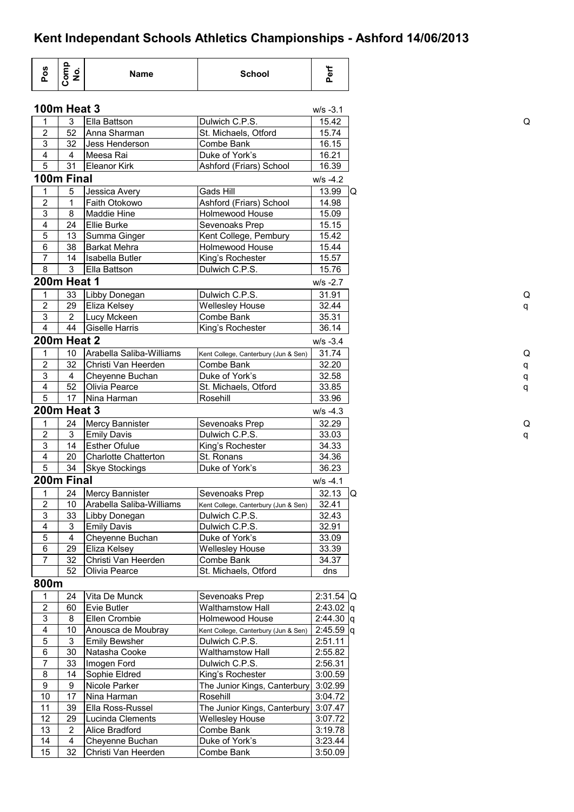|                         | Comp<br>No.                  | <b>Name</b>                       | <b>School</b>                        | Perf               |
|-------------------------|------------------------------|-----------------------------------|--------------------------------------|--------------------|
|                         | <b>100m Heat 3</b>           |                                   |                                      | $W/S -3.1$         |
| 1                       | 3                            | Ella Battson                      | Dulwich C.P.S.                       | 15.42              |
| $\mathbf 2$             | 52                           | Anna Sharman                      | St. Michaels, Otford                 | 15.74              |
| 3                       | 32                           | Jess Henderson                    | Combe Bank                           | 16.15              |
| 4                       | 4                            | Meesa Rai                         | Duke of York's                       | 16.21              |
| 5                       | 31                           | Eleanor Kirk                      | Ashford (Friars) School              | 16.39              |
|                         | 100m Final                   |                                   |                                      | $W/S -4.2$         |
| 1                       | 5                            | Jessica Avery                     | Gads Hill                            | 13.99              |
| $\mathbf 2$             | $\mathbf 1$                  | Faith Otokowo                     | Ashford (Friars) School              | 14.98              |
| 3                       | 8                            | <b>Maddie Hine</b>                | Holmewood House                      | 15.09              |
| 4                       | 24                           | <b>Ellie Burke</b>                | Sevenoaks Prep                       | 15.15              |
| 5                       | 13                           | Summa Ginger                      | Kent College, Pembury                | 15.42              |
| 6                       | 38                           | lBarkat Mehra                     | Holmewood House                      | 15.44              |
| $\overline{7}$          | 14                           | <b>Isabella Butler</b>            | King's Rochester                     | 15.57              |
| 8                       | 3                            | Ella Battson                      | Dulwich C.P.S.                       | 15.76              |
|                         | <b>200m Heat 1</b>           |                                   |                                      | $W/S - 2.7$        |
| 1                       | 33                           |                                   |                                      | 31.91              |
| $\overline{2}$          |                              | Libby Donegan                     | Dulwich C.P.S.                       |                    |
|                         | 29                           | Eliza Kelsey                      | <b>Wellesley House</b>               | 32.44              |
| 3<br>$\overline{4}$     | 2<br>44                      | Lucy Mckeen                       | Combe Bank                           | 35.31              |
|                         |                              | <b>Giselle Harris</b>             | King's Rochester                     | 36.14              |
|                         | <b>200m Heat 2</b>           |                                   |                                      | $W/S -3.4$         |
| 1                       | 10                           | Arabella Saliba-Williams          | Kent College, Canterbury (Jun & Sen) | 31.74              |
| $\overline{2}$          | 32                           | Christi Van Heerden               | Combe Bank                           | 32.20              |
| 3                       | 4                            | Cheyenne Buchan                   | Duke of York's                       | 32.58              |
| 4                       | 52                           | Olivia Pearce                     | St. Michaels, Otford                 | 33.85              |
| 5                       | 17                           | Nina Harman                       | Rosehill                             | 33.96              |
|                         | <b>200m Heat 3</b>           |                                   |                                      | $W/S -4.3$         |
| 1                       | 24                           | Mercy Bannister                   | Sevenoaks Prep                       | 32.29              |
| $\boldsymbol{2}$        | 3                            | <b>Emily Davis</b>                | Dulwich C.P.S.                       | 33.03              |
| $\overline{\omega}$     | 14                           | <b>Esther Ofulue</b>              | King's Rochester                     | 34.33              |
| $\overline{4}$          | 20                           | <b>Charlotte Chatterton</b>       | St. Ronans                           | 34.36              |
| $\overline{5}$          | 34                           | <b>Skye Stockings</b>             | Duke of York's                       | 36.23              |
|                         | 200m Final                   |                                   |                                      | $W/S -4.1$         |
| 1                       | 24                           | <b>Mercy Bannister</b>            | Sevenoaks Prep                       | $32.13$ Q          |
| $\boldsymbol{2}$        | 10                           | Arabella Saliba-Williams          | Kent College, Canterbury (Jun & Sen) | 32.41              |
| $\mathsf 3$             | 33                           | Libby Donegan                     | Dulwich C.P.S.                       | 32.43              |
| $\overline{\mathbf{4}}$ | 3                            | <b>Emily Davis</b>                | Dulwich C.P.S.                       | 32.91              |
| $\overline{5}$          | 4                            | Cheyenne Buchan                   | Duke of York's                       | 33.09              |
| $\,6$                   | 29                           | Eliza Kelsey                      | <b>Wellesley House</b>               | 33.39              |
| $\overline{7}$          | 32                           | Christi Van Heerden               | Combe Bank                           | 34.37              |
|                         | 52                           | Olivia Pearce                     | St. Michaels, Otford                 | dns                |
| 800m                    |                              |                                   |                                      |                    |
|                         |                              |                                   |                                      |                    |
| 1                       | 24                           | Vita De Munck                     | Sevenoaks Prep                       | $2:31.54$ Q        |
| $\boldsymbol{2}$        | 60                           | Evie Butler                       | <b>Walthamstow Hall</b>              | $2:43.02$ q        |
| $\overline{3}$          | 8                            | Ellen Crombie                     | Holmewood House                      | $2:44.30$ q        |
| 4                       | 10                           | Anousca de Moubray                | Kent College, Canterbury (Jun & Sen) | $2:45.59$ q        |
| 5                       | 3                            | <b>Emily Bewsher</b>              | Dulwich C.P.S.                       | 2:51.11            |
| $\,6\,$                 | 30                           | Natasha Cooke                     | <b>Walthamstow Hall</b>              | 2:55.82            |
| $\overline{7}$          | 33                           | Imogen Ford                       | Dulwich C.P.S.                       | 2:56.31            |
| 8                       | 14                           | Sophie Eldred                     | King's Rochester                     | 3:00.59            |
| $\boldsymbol{9}$        | $\boldsymbol{9}$             | Nicole Parker                     | The Junior Kings, Canterbury         | 3:02.99            |
| 10                      | 17                           | Nina Harman                       | Rosehill                             | 3:04.72            |
|                         | 39                           | Ella Ross-Russel                  | The Junior Kings, Canterbury         | 3:07.47            |
| 11                      | 29                           | Lucinda Clements                  | Wellesley House                      | 3:07.72            |
| 12                      |                              |                                   |                                      |                    |
|                         |                              |                                   |                                      |                    |
| 13<br>14                | 2<br>$\overline{\mathbf{4}}$ | Alice Bradford<br>Cheyenne Buchan | Combe Bank<br>Duke of York's         | 3:19.78<br>3:23.44 |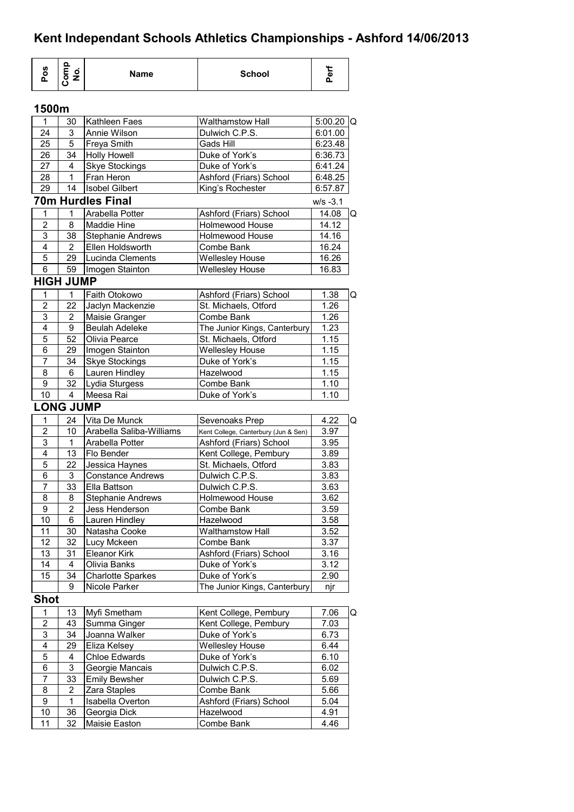| Pos                 | Comp<br>No.         | <b>Name</b>                     | <b>School</b>                                        | Perf           |   |
|---------------------|---------------------|---------------------------------|------------------------------------------------------|----------------|---|
| 1500m               |                     |                                 |                                                      |                |   |
| 1                   | 30                  | Kathleen Faes                   | <b>Walthamstow Hall</b>                              | $5:00.20$ Q    |   |
| 24                  | 3                   | Annie Wilson                    | Dulwich C.P.S.                                       | 6:01.00        |   |
| 25                  | 5                   | Freya Smith                     | Gads Hill                                            | 6:23.48        |   |
| 26                  | 34                  | <b>Holly Howell</b>             | Duke of York's                                       | 6:36.73        |   |
| 27                  | 4                   | <b>Skye Stockings</b>           | Duke of York's                                       | 6:41.24        |   |
| 28                  | 1                   | Fran Heron                      | Ashford (Friars) School                              | 6:48.25        |   |
| 29                  | 14                  | <b>Isobel Gilbert</b>           | King's Rochester                                     | 6:57.87        |   |
|                     |                     | <b>70m Hurdles Final</b>        |                                                      | $w/s - 3.1$    |   |
| 1                   | 1                   | Arabella Potter                 | Ashford (Friars) School                              | 14.08          | Q |
| $\overline{2}$      | 8                   | Maddie Hine                     | <b>Holmewood House</b>                               | 14.12          |   |
| $\overline{3}$      | 38                  | <b>Stephanie Andrews</b>        | Holmewood House                                      | 14.16          |   |
| 4<br>5              | $\overline{2}$      | Ellen Holdsworth                | Combe Bank                                           | 16.24          |   |
| 6                   | 29<br>59            | Lucinda Clements                | <b>Wellesley House</b>                               | 16.26<br>16.83 |   |
|                     |                     | Imogen Stainton                 | <b>Wellesley House</b>                               |                |   |
|                     | <b>HIGH JUMP</b>    |                                 |                                                      |                |   |
| 1                   | 1                   | Faith Otokowo                   | Ashford (Friars) School                              | 1.38           | Q |
| $\overline{2}$<br>3 | 22                  | Jaclyn Mackenzie                | St. Michaels, Otford                                 | 1.26           |   |
| 4                   | $\overline{2}$<br>9 | Maisie Granger                  | Combe Bank                                           | 1.26<br>1.23   |   |
| 5                   | 52                  | Beulah Adeleke<br>Olivia Pearce | The Junior Kings, Canterbury<br>St. Michaels, Otford | 1.15           |   |
| 6                   | 29                  | Imogen Stainton                 | <b>Wellesley House</b>                               | 1.15           |   |
| 7                   | 34                  | <b>Skye Stockings</b>           | Duke of York's                                       | 1.15           |   |
| 8                   | 6                   | Lauren Hindley                  | Hazelwood                                            | 1.15           |   |
| 9                   | 32                  | Lydia Sturgess                  | Combe Bank                                           | 1.10           |   |
| 10                  | 4                   | Meesa Rai                       | Duke of York's                                       | 1.10           |   |
|                     | <b>LONG JUMP</b>    |                                 |                                                      |                |   |
| 1                   | 24                  | Vita De Munck                   | Sevenoaks Prep                                       | 4.22           | Q |
| $\overline{2}$      | 10                  | Arabella Saliba-Williams        | Kent College, Canterbury (Jun & Sen)                 | 3.97           |   |
| 3                   | 1                   | Arabella Potter                 | Ashford (Friars) School                              | 3.95           |   |
| 4                   | 13                  | Flo Bender                      | Kent College, Pembury                                | 3.89           |   |
| 5                   | 22                  | Jessica Haynes                  | St. Michaels, Otford                                 | 3.83           |   |
| 6                   | 3                   | <b>Constance Andrews</b>        | Dulwich C.P.S.                                       | 3.83           |   |
| $\overline{7}$      | 33                  | Ella Battson                    | Dulwich C.P.S.                                       | 3.63           |   |
| 8                   | 8                   | <b>Stephanie Andrews</b>        | <b>Holmewood House</b>                               | 3.62           |   |
| 9                   | $\overline{c}$      | Jess Henderson                  | Combe Bank                                           | 3.59           |   |
| 10                  | 6                   | Lauren Hindley                  | Hazelwood                                            | 3.58           |   |
| 11                  | 30                  | Natasha Cooke                   | Walthamstow Hall                                     | 3.52           |   |
| 12                  | 32                  | Lucy Mckeen                     | Combe Bank                                           | 3.37           |   |
| 13                  | 31                  | <b>Eleanor Kirk</b>             | Ashford (Friars) School                              | 3.16           |   |
| 14                  | 4                   | Olivia Banks                    | Duke of York's                                       | 3.12           |   |
| 15                  | 34                  | <b>Charlotte Sparkes</b>        | Duke of York's                                       | 2.90           |   |
|                     | 9                   | Nicole Parker                   | The Junior Kings, Canterbury                         | njr            |   |
| <b>Shot</b>         |                     |                                 |                                                      |                |   |
| 1                   | 13                  | Myfi Smetham                    | Kent College, Pembury                                | 7.06           | Q |
| $\overline{2}$      | 43                  | Summa Ginger                    | Kent College, Pembury                                | 7.03           |   |
| 3                   | 34                  | Joanna Walker                   | Duke of York's                                       | 6.73           |   |
| 4                   | 29                  | Eliza Kelsey                    | <b>Wellesley House</b>                               | 6.44           |   |
| 5                   | 4                   | <b>Chloe Edwards</b>            | Duke of York's                                       | 6.10           |   |
| 6                   | 3                   | Georgie Mancais                 | Dulwich C.P.S.                                       | 6.02           |   |
| 7                   | 33                  | <b>Emily Bewsher</b>            | Dulwich C.P.S.                                       | 5.69           |   |
| 8                   | 2                   | Zara Staples                    | Combe Bank                                           | 5.66           |   |
| 9                   | 1                   | Isabella Overton                | Ashford (Friars) School                              | 5.04           |   |
| 10<br>11            | 36                  | Georgia Dick                    | Hazelwood                                            | 4.91           |   |
|                     | 32                  | Maisie Easton                   | Combe Bank                                           | 4.46           |   |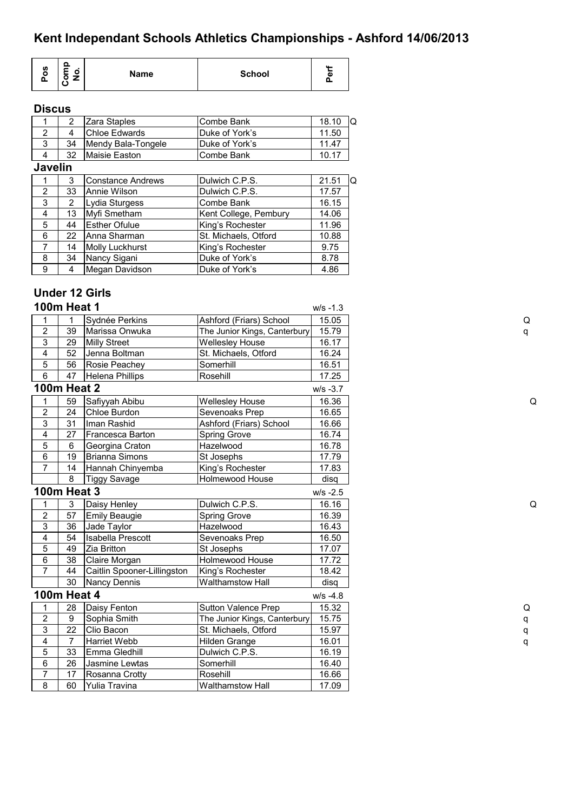|--|

### **Discus**

| 2              | Zara Staples             | Combe Bank            | 18.10 | Q |
|----------------|--------------------------|-----------------------|-------|---|
| 4              | <b>Chloe Edwards</b>     | Duke of York's        | 11.50 |   |
| 34             | Mendy Bala-Tongele       | Duke of York's        | 11.47 |   |
| 32             | Maisie Easton            | Combe Bank            | 10.17 |   |
| <b>Javelin</b> |                          |                       |       |   |
| 3              | <b>Constance Andrews</b> | Dulwich C.P.S.        | 21.51 | O |
| 33             | Annie Wilson             | Dulwich C.P.S.        | 17.57 |   |
| 2              | Lydia Sturgess           | Combe Bank            | 16.15 |   |
| 13             | Myfi Smetham             | Kent College, Pembury | 14.06 |   |
| 44             | <b>Esther Ofulue</b>     | King's Rochester      | 11.96 |   |
| 22             | Anna Sharman             | St. Michaels, Otford  | 10.88 |   |
| 14             | <b>Molly Luckhurst</b>   | King's Rochester      | 9.75  |   |
| 34             | Nancy Sigani             | Duke of York's        | 8.78  |   |
| 4              | Megan Davidson           | Duke of York's        | 4.86  |   |
|                |                          |                       |       |   |

### **Under 12 Girls**

| <b>100m Heat 1</b>        |                 |                             |                              | $W/S - 1.3$ |   |
|---------------------------|-----------------|-----------------------------|------------------------------|-------------|---|
| 1                         |                 | Sydnée Perkins              | Ashford (Friars) School      | 15.05       | Q |
| $\overline{2}$            | 39              | Marissa Onwuka              | The Junior Kings, Canterbury | 15.79       | q |
| 3                         | 29              | <b>Milly Street</b>         | <b>Wellesley House</b>       | 16.17       |   |
| 4                         | 52              | Jenna Boltman               | St. Michaels, Otford         | 16.24       |   |
| $\overline{5}$            | 56              | Rosie Peachey               | Somerhill                    | 16.51       |   |
| 6                         | 47              | <b>Helena Phillips</b>      | Rosehill                     | 17.25       |   |
| <b>100m Heat 2</b>        |                 |                             |                              | $W/S - 3.7$ |   |
| 1                         | 59              | Safiyyah Abibu              | <b>Wellesley House</b>       | 16.36       | Ω |
| $\overline{2}$            | 24              | Chloe Burdon                | Sevenoaks Prep               | 16.65       |   |
| $\ensuremath{\mathsf{3}}$ | 31              | Iman Rashid                 | Ashford (Friars) School      | 16.66       |   |
| 4                         | 27              | Francesca Barton            | <b>Spring Grove</b>          | 16.74       |   |
| 5                         | 6               | Georgina Craton             | Hazelwood                    | 16.78       |   |
| 6                         | 19              | <b>Brianna Simons</b>       | St Josephs                   | 17.79       |   |
| $\overline{7}$            | 14              | Hannah Chinyemba            | King's Rochester             | 17.83       |   |
|                           | 8               | <b>Tiggy Savage</b>         | <b>Holmewood House</b>       | disa        |   |
| <b>100m Heat 3</b>        |                 |                             |                              | $W/S -2.5$  |   |
| 1                         | 3               | Daisy Henley                | Dulwich C.P.S.               | 16.16       | Q |
| $\overline{2}$            | $\overline{57}$ | <b>Emily Beaugie</b>        | <b>Spring Grove</b>          | 16.39       |   |
| 3                         | 36              | Jade Taylor                 | Hazelwood                    | 16.43       |   |
| $\overline{4}$            | 54              | Isabella Prescott           | Sevenoaks Prep               | 16.50       |   |
| 5                         | 49              | Zia Britton                 | St Josephs                   | 17.07       |   |
| 6                         | 38              | Claire Morgan               | <b>Holmewood House</b>       | 17.72       |   |
| 7                         | 44              | Caitlin Spooner-Lillingston | King's Rochester             | 18.42       |   |
|                           | 30              | <b>Nancy Dennis</b>         | <b>Walthamstow Hall</b>      | disq        |   |
| <b>100m Heat 4</b>        |                 |                             |                              | $W/S -4.8$  |   |
| 1                         | 28              | Daisy Fenton                | <b>Sutton Valence Prep</b>   | 15.32       | Q |
| $\overline{2}$            | 9               | Sophia Smith                | The Junior Kings, Canterbury | 15.75       | q |
| 3                         | 22              | Clio Bacon                  | St. Michaels, Otford         | 15.97       | q |
| 4                         | $\overline{7}$  | <b>Harriet Webb</b>         | Hilden Grange                | 16.01       | q |
| 5                         | 33              | Emma Gledhill               | Dulwich C.P.S.               | 16.19       |   |
| 6                         | 26              | Jasmine Lewtas              | Somerhill                    | 16.40       |   |
| $\overline{7}$            | 17              | Rosanna Crotty              | Rosehill                     | 16.66       |   |
| 8                         | 60              | Yulia Travina               | <b>Walthamstow Hall</b>      | 17.09       |   |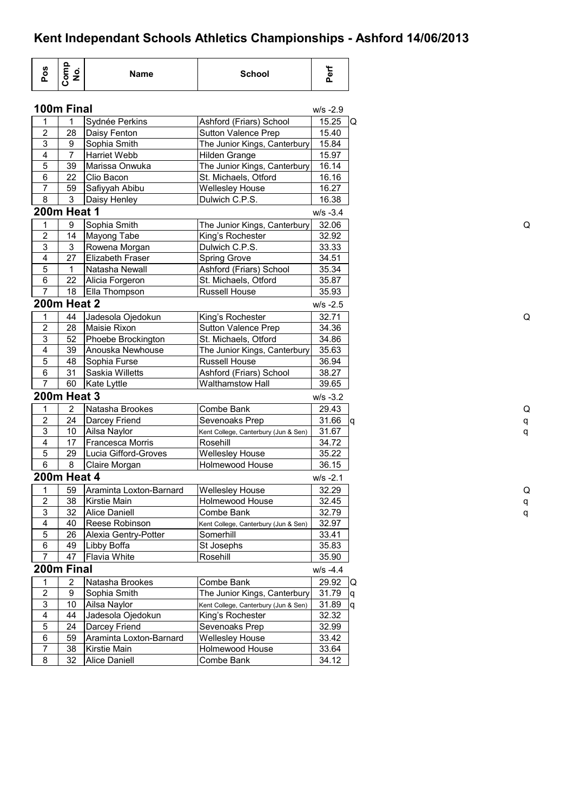| 100m Final<br>$W/S -2.9$<br>15.25<br>Sydnée Perkins<br>Ashford (Friars) School<br>1<br>1<br>$\mathbf 2$<br>28<br>15.40<br><b>Sutton Valence Prep</b><br>Daisy Fenton<br>$\sqrt{3}$<br>9<br>15.84<br>Sophia Smith<br>The Junior Kings, Canterbury<br>$\overline{7}$<br>4<br>15.97<br>Harriet Webb<br><b>Hilden Grange</b><br>5<br>The Junior Kings, Canterbury<br>39<br>Marissa Onwuka<br>16.14<br>6<br>16.16<br>22<br>Clio Bacon<br>St. Michaels, Otford<br>$\overline{7}$<br>59<br>Safiyyah Abibu<br>16.27<br><b>Wellesley House</b><br>8<br>$\mathbf{3}$<br>16.38<br>Daisy Henley<br>Dulwich C.P.S.<br><b>200m Heat 1</b><br>$W/S -3.4$<br>Sophia Smith<br>32.06<br>1<br>9<br>The Junior Kings, Canterbury<br>$\overline{2}$<br>14<br>32.92<br>Mayong Tabe<br>King's Rochester<br>3<br>$\sqrt{3}$<br>Dulwich C.P.S.<br>33.33<br>Rowena Morgan<br>27<br>4<br>Elizabeth Fraser<br>34.51<br><b>Spring Grove</b><br>$\overline{5}$<br>Ashford (Friars) School<br>1<br>Natasha Newall<br>35.34<br>6<br>22<br>St. Michaels, Otford<br>Alicia Forgeron<br>35.87<br>$\overline{7}$<br>35.93<br>18<br><b>Russell House</b><br>Ella Thompson<br><b>200m Heat 2</b><br>$W/S -2.5$<br>1<br>44<br>Jadesola Ojedokun<br>32.71<br>King's Rochester<br>$\mathbf 2$<br>28<br>Maisie Rixon<br>Sutton Valence Prep<br>34.36<br>3<br>52<br>34.86<br>Phoebe Brockington<br>St. Michaels, Otford<br>4<br>39<br>Anouska Newhouse<br>The Junior Kings, Canterbury<br>35.63<br>5<br>48<br>Sophia Furse<br><b>Russell House</b><br>36.94<br>6<br>31<br>Saskia Willetts<br>Ashford (Friars) School<br>38.27<br>$\overline{7}$<br>60<br><b>Walthamstow Hall</b><br>Kate Lyttle<br>39.65<br><b>200m Heat 3</b><br>$W/S -3.2$<br>$\overline{2}$<br>Natasha Brookes<br>Combe Bank<br>29.43<br>1<br>$\overline{\mathbf{c}}$<br>24<br>Darcey Friend<br>Sevenoaks Prep<br>31.66<br>3<br>10<br>Ailsa Naylor<br>31.67<br>Kent College, Canterbury (Jun & Sen)<br>4<br>17<br>Francesca Morris<br>Rosehill<br>34.72<br>$\overline{5}$<br>29<br>Lucia Gifford-Groves<br>Wellesley House<br>35.22<br>6<br>8<br>Claire Morgan<br><b>Holmewood House</b><br>36.15<br><b>200m Heat 4</b><br>$W/S -2.1$<br>Araminta Loxton-Barnard<br><b>Wellesley House</b><br>32.29<br>1<br>59<br>2<br>38<br>Kirstie Main<br>32.45<br>Holmewood House<br>$\mathsf 3$<br>32.79<br>32<br>Alice Daniell<br>Combe Bank<br>4<br>Reese Robinson<br>32.97<br>40<br>Kent College, Canterbury (Jun & Sen)<br>$\overline{5}$<br>26<br>Alexia Gentry-Potter<br>Somerhill<br>33.41<br>6<br>49<br>35.83<br>Libby Boffa<br>St Josephs<br>$\overline{7}$<br><b>Flavia White</b><br>47<br>Rosehill<br>35.90<br>200m Final<br>$W/S -4.4$<br>29.92<br>$\overline{2}$<br>Natasha Brookes<br>Combe Bank<br>1<br>$\sqrt{2}$<br>9<br>Sophia Smith<br>The Junior Kings, Canterbury<br>31.79<br>$\mathsf 3$<br>10<br>Ailsa Naylor<br>31.89<br>Kent College, Canterbury (Jun & Sen)<br>$\overline{4}$<br>44<br>32.32<br>Jadesola Ojedokun<br>King's Rochester<br>$\overline{5}$<br>24<br>Darcey Friend<br>Sevenoaks Prep<br>32.99<br>$\,6\,$<br>59<br>Araminta Loxton-Barnard<br><b>Wellesley House</b><br>33.42<br>$\overline{7}$<br>38<br>Kirstie Main<br>Holmewood House<br>33.64 | Pos | Comp<br>No. | <b>Name</b>          | <b>School</b> | Perf  |
|-----------------------------------------------------------------------------------------------------------------------------------------------------------------------------------------------------------------------------------------------------------------------------------------------------------------------------------------------------------------------------------------------------------------------------------------------------------------------------------------------------------------------------------------------------------------------------------------------------------------------------------------------------------------------------------------------------------------------------------------------------------------------------------------------------------------------------------------------------------------------------------------------------------------------------------------------------------------------------------------------------------------------------------------------------------------------------------------------------------------------------------------------------------------------------------------------------------------------------------------------------------------------------------------------------------------------------------------------------------------------------------------------------------------------------------------------------------------------------------------------------------------------------------------------------------------------------------------------------------------------------------------------------------------------------------------------------------------------------------------------------------------------------------------------------------------------------------------------------------------------------------------------------------------------------------------------------------------------------------------------------------------------------------------------------------------------------------------------------------------------------------------------------------------------------------------------------------------------------------------------------------------------------------------------------------------------------------------------------------------------------------------------------------------------------------------------------------------------------------------------------------------------------------------------------------------------------------------------------------------------------------------------------------------------------------------------------------------------------------------------------------------------------------------------------------------------------------------------------------------------------------------------------------------------------------------------------------------------------------------------------------------------------------------------------------------------------------------------------------------------------------------------------------------------------------------------------|-----|-------------|----------------------|---------------|-------|
| Q                                                                                                                                                                                                                                                                                                                                                                                                                                                                                                                                                                                                                                                                                                                                                                                                                                                                                                                                                                                                                                                                                                                                                                                                                                                                                                                                                                                                                                                                                                                                                                                                                                                                                                                                                                                                                                                                                                                                                                                                                                                                                                                                                                                                                                                                                                                                                                                                                                                                                                                                                                                                                                                                                                                                                                                                                                                                                                                                                                                                                                                                                                                                                                                                   |     |             |                      |               |       |
|                                                                                                                                                                                                                                                                                                                                                                                                                                                                                                                                                                                                                                                                                                                                                                                                                                                                                                                                                                                                                                                                                                                                                                                                                                                                                                                                                                                                                                                                                                                                                                                                                                                                                                                                                                                                                                                                                                                                                                                                                                                                                                                                                                                                                                                                                                                                                                                                                                                                                                                                                                                                                                                                                                                                                                                                                                                                                                                                                                                                                                                                                                                                                                                                     |     |             |                      |               |       |
|                                                                                                                                                                                                                                                                                                                                                                                                                                                                                                                                                                                                                                                                                                                                                                                                                                                                                                                                                                                                                                                                                                                                                                                                                                                                                                                                                                                                                                                                                                                                                                                                                                                                                                                                                                                                                                                                                                                                                                                                                                                                                                                                                                                                                                                                                                                                                                                                                                                                                                                                                                                                                                                                                                                                                                                                                                                                                                                                                                                                                                                                                                                                                                                                     |     |             |                      |               |       |
|                                                                                                                                                                                                                                                                                                                                                                                                                                                                                                                                                                                                                                                                                                                                                                                                                                                                                                                                                                                                                                                                                                                                                                                                                                                                                                                                                                                                                                                                                                                                                                                                                                                                                                                                                                                                                                                                                                                                                                                                                                                                                                                                                                                                                                                                                                                                                                                                                                                                                                                                                                                                                                                                                                                                                                                                                                                                                                                                                                                                                                                                                                                                                                                                     |     |             |                      |               |       |
|                                                                                                                                                                                                                                                                                                                                                                                                                                                                                                                                                                                                                                                                                                                                                                                                                                                                                                                                                                                                                                                                                                                                                                                                                                                                                                                                                                                                                                                                                                                                                                                                                                                                                                                                                                                                                                                                                                                                                                                                                                                                                                                                                                                                                                                                                                                                                                                                                                                                                                                                                                                                                                                                                                                                                                                                                                                                                                                                                                                                                                                                                                                                                                                                     |     |             |                      |               |       |
|                                                                                                                                                                                                                                                                                                                                                                                                                                                                                                                                                                                                                                                                                                                                                                                                                                                                                                                                                                                                                                                                                                                                                                                                                                                                                                                                                                                                                                                                                                                                                                                                                                                                                                                                                                                                                                                                                                                                                                                                                                                                                                                                                                                                                                                                                                                                                                                                                                                                                                                                                                                                                                                                                                                                                                                                                                                                                                                                                                                                                                                                                                                                                                                                     |     |             |                      |               |       |
|                                                                                                                                                                                                                                                                                                                                                                                                                                                                                                                                                                                                                                                                                                                                                                                                                                                                                                                                                                                                                                                                                                                                                                                                                                                                                                                                                                                                                                                                                                                                                                                                                                                                                                                                                                                                                                                                                                                                                                                                                                                                                                                                                                                                                                                                                                                                                                                                                                                                                                                                                                                                                                                                                                                                                                                                                                                                                                                                                                                                                                                                                                                                                                                                     |     |             |                      |               |       |
|                                                                                                                                                                                                                                                                                                                                                                                                                                                                                                                                                                                                                                                                                                                                                                                                                                                                                                                                                                                                                                                                                                                                                                                                                                                                                                                                                                                                                                                                                                                                                                                                                                                                                                                                                                                                                                                                                                                                                                                                                                                                                                                                                                                                                                                                                                                                                                                                                                                                                                                                                                                                                                                                                                                                                                                                                                                                                                                                                                                                                                                                                                                                                                                                     |     |             |                      |               |       |
|                                                                                                                                                                                                                                                                                                                                                                                                                                                                                                                                                                                                                                                                                                                                                                                                                                                                                                                                                                                                                                                                                                                                                                                                                                                                                                                                                                                                                                                                                                                                                                                                                                                                                                                                                                                                                                                                                                                                                                                                                                                                                                                                                                                                                                                                                                                                                                                                                                                                                                                                                                                                                                                                                                                                                                                                                                                                                                                                                                                                                                                                                                                                                                                                     |     |             |                      |               |       |
|                                                                                                                                                                                                                                                                                                                                                                                                                                                                                                                                                                                                                                                                                                                                                                                                                                                                                                                                                                                                                                                                                                                                                                                                                                                                                                                                                                                                                                                                                                                                                                                                                                                                                                                                                                                                                                                                                                                                                                                                                                                                                                                                                                                                                                                                                                                                                                                                                                                                                                                                                                                                                                                                                                                                                                                                                                                                                                                                                                                                                                                                                                                                                                                                     |     |             |                      |               |       |
|                                                                                                                                                                                                                                                                                                                                                                                                                                                                                                                                                                                                                                                                                                                                                                                                                                                                                                                                                                                                                                                                                                                                                                                                                                                                                                                                                                                                                                                                                                                                                                                                                                                                                                                                                                                                                                                                                                                                                                                                                                                                                                                                                                                                                                                                                                                                                                                                                                                                                                                                                                                                                                                                                                                                                                                                                                                                                                                                                                                                                                                                                                                                                                                                     |     |             |                      |               |       |
| la                                                                                                                                                                                                                                                                                                                                                                                                                                                                                                                                                                                                                                                                                                                                                                                                                                                                                                                                                                                                                                                                                                                                                                                                                                                                                                                                                                                                                                                                                                                                                                                                                                                                                                                                                                                                                                                                                                                                                                                                                                                                                                                                                                                                                                                                                                                                                                                                                                                                                                                                                                                                                                                                                                                                                                                                                                                                                                                                                                                                                                                                                                                                                                                                  |     |             |                      |               |       |
|                                                                                                                                                                                                                                                                                                                                                                                                                                                                                                                                                                                                                                                                                                                                                                                                                                                                                                                                                                                                                                                                                                                                                                                                                                                                                                                                                                                                                                                                                                                                                                                                                                                                                                                                                                                                                                                                                                                                                                                                                                                                                                                                                                                                                                                                                                                                                                                                                                                                                                                                                                                                                                                                                                                                                                                                                                                                                                                                                                                                                                                                                                                                                                                                     |     |             |                      |               |       |
|                                                                                                                                                                                                                                                                                                                                                                                                                                                                                                                                                                                                                                                                                                                                                                                                                                                                                                                                                                                                                                                                                                                                                                                                                                                                                                                                                                                                                                                                                                                                                                                                                                                                                                                                                                                                                                                                                                                                                                                                                                                                                                                                                                                                                                                                                                                                                                                                                                                                                                                                                                                                                                                                                                                                                                                                                                                                                                                                                                                                                                                                                                                                                                                                     |     |             |                      |               |       |
|                                                                                                                                                                                                                                                                                                                                                                                                                                                                                                                                                                                                                                                                                                                                                                                                                                                                                                                                                                                                                                                                                                                                                                                                                                                                                                                                                                                                                                                                                                                                                                                                                                                                                                                                                                                                                                                                                                                                                                                                                                                                                                                                                                                                                                                                                                                                                                                                                                                                                                                                                                                                                                                                                                                                                                                                                                                                                                                                                                                                                                                                                                                                                                                                     |     |             |                      |               |       |
|                                                                                                                                                                                                                                                                                                                                                                                                                                                                                                                                                                                                                                                                                                                                                                                                                                                                                                                                                                                                                                                                                                                                                                                                                                                                                                                                                                                                                                                                                                                                                                                                                                                                                                                                                                                                                                                                                                                                                                                                                                                                                                                                                                                                                                                                                                                                                                                                                                                                                                                                                                                                                                                                                                                                                                                                                                                                                                                                                                                                                                                                                                                                                                                                     |     |             |                      |               |       |
|                                                                                                                                                                                                                                                                                                                                                                                                                                                                                                                                                                                                                                                                                                                                                                                                                                                                                                                                                                                                                                                                                                                                                                                                                                                                                                                                                                                                                                                                                                                                                                                                                                                                                                                                                                                                                                                                                                                                                                                                                                                                                                                                                                                                                                                                                                                                                                                                                                                                                                                                                                                                                                                                                                                                                                                                                                                                                                                                                                                                                                                                                                                                                                                                     |     |             |                      |               |       |
|                                                                                                                                                                                                                                                                                                                                                                                                                                                                                                                                                                                                                                                                                                                                                                                                                                                                                                                                                                                                                                                                                                                                                                                                                                                                                                                                                                                                                                                                                                                                                                                                                                                                                                                                                                                                                                                                                                                                                                                                                                                                                                                                                                                                                                                                                                                                                                                                                                                                                                                                                                                                                                                                                                                                                                                                                                                                                                                                                                                                                                                                                                                                                                                                     |     |             |                      |               |       |
|                                                                                                                                                                                                                                                                                                                                                                                                                                                                                                                                                                                                                                                                                                                                                                                                                                                                                                                                                                                                                                                                                                                                                                                                                                                                                                                                                                                                                                                                                                                                                                                                                                                                                                                                                                                                                                                                                                                                                                                                                                                                                                                                                                                                                                                                                                                                                                                                                                                                                                                                                                                                                                                                                                                                                                                                                                                                                                                                                                                                                                                                                                                                                                                                     |     |             |                      |               |       |
|                                                                                                                                                                                                                                                                                                                                                                                                                                                                                                                                                                                                                                                                                                                                                                                                                                                                                                                                                                                                                                                                                                                                                                                                                                                                                                                                                                                                                                                                                                                                                                                                                                                                                                                                                                                                                                                                                                                                                                                                                                                                                                                                                                                                                                                                                                                                                                                                                                                                                                                                                                                                                                                                                                                                                                                                                                                                                                                                                                                                                                                                                                                                                                                                     |     |             |                      |               |       |
|                                                                                                                                                                                                                                                                                                                                                                                                                                                                                                                                                                                                                                                                                                                                                                                                                                                                                                                                                                                                                                                                                                                                                                                                                                                                                                                                                                                                                                                                                                                                                                                                                                                                                                                                                                                                                                                                                                                                                                                                                                                                                                                                                                                                                                                                                                                                                                                                                                                                                                                                                                                                                                                                                                                                                                                                                                                                                                                                                                                                                                                                                                                                                                                                     |     |             |                      |               |       |
|                                                                                                                                                                                                                                                                                                                                                                                                                                                                                                                                                                                                                                                                                                                                                                                                                                                                                                                                                                                                                                                                                                                                                                                                                                                                                                                                                                                                                                                                                                                                                                                                                                                                                                                                                                                                                                                                                                                                                                                                                                                                                                                                                                                                                                                                                                                                                                                                                                                                                                                                                                                                                                                                                                                                                                                                                                                                                                                                                                                                                                                                                                                                                                                                     |     |             |                      |               |       |
|                                                                                                                                                                                                                                                                                                                                                                                                                                                                                                                                                                                                                                                                                                                                                                                                                                                                                                                                                                                                                                                                                                                                                                                                                                                                                                                                                                                                                                                                                                                                                                                                                                                                                                                                                                                                                                                                                                                                                                                                                                                                                                                                                                                                                                                                                                                                                                                                                                                                                                                                                                                                                                                                                                                                                                                                                                                                                                                                                                                                                                                                                                                                                                                                     |     |             |                      |               |       |
|                                                                                                                                                                                                                                                                                                                                                                                                                                                                                                                                                                                                                                                                                                                                                                                                                                                                                                                                                                                                                                                                                                                                                                                                                                                                                                                                                                                                                                                                                                                                                                                                                                                                                                                                                                                                                                                                                                                                                                                                                                                                                                                                                                                                                                                                                                                                                                                                                                                                                                                                                                                                                                                                                                                                                                                                                                                                                                                                                                                                                                                                                                                                                                                                     |     |             |                      |               |       |
|                                                                                                                                                                                                                                                                                                                                                                                                                                                                                                                                                                                                                                                                                                                                                                                                                                                                                                                                                                                                                                                                                                                                                                                                                                                                                                                                                                                                                                                                                                                                                                                                                                                                                                                                                                                                                                                                                                                                                                                                                                                                                                                                                                                                                                                                                                                                                                                                                                                                                                                                                                                                                                                                                                                                                                                                                                                                                                                                                                                                                                                                                                                                                                                                     |     |             |                      |               |       |
|                                                                                                                                                                                                                                                                                                                                                                                                                                                                                                                                                                                                                                                                                                                                                                                                                                                                                                                                                                                                                                                                                                                                                                                                                                                                                                                                                                                                                                                                                                                                                                                                                                                                                                                                                                                                                                                                                                                                                                                                                                                                                                                                                                                                                                                                                                                                                                                                                                                                                                                                                                                                                                                                                                                                                                                                                                                                                                                                                                                                                                                                                                                                                                                                     |     |             |                      |               |       |
|                                                                                                                                                                                                                                                                                                                                                                                                                                                                                                                                                                                                                                                                                                                                                                                                                                                                                                                                                                                                                                                                                                                                                                                                                                                                                                                                                                                                                                                                                                                                                                                                                                                                                                                                                                                                                                                                                                                                                                                                                                                                                                                                                                                                                                                                                                                                                                                                                                                                                                                                                                                                                                                                                                                                                                                                                                                                                                                                                                                                                                                                                                                                                                                                     |     |             |                      |               |       |
|                                                                                                                                                                                                                                                                                                                                                                                                                                                                                                                                                                                                                                                                                                                                                                                                                                                                                                                                                                                                                                                                                                                                                                                                                                                                                                                                                                                                                                                                                                                                                                                                                                                                                                                                                                                                                                                                                                                                                                                                                                                                                                                                                                                                                                                                                                                                                                                                                                                                                                                                                                                                                                                                                                                                                                                                                                                                                                                                                                                                                                                                                                                                                                                                     |     |             |                      |               |       |
| IQ<br>q<br>q                                                                                                                                                                                                                                                                                                                                                                                                                                                                                                                                                                                                                                                                                                                                                                                                                                                                                                                                                                                                                                                                                                                                                                                                                                                                                                                                                                                                                                                                                                                                                                                                                                                                                                                                                                                                                                                                                                                                                                                                                                                                                                                                                                                                                                                                                                                                                                                                                                                                                                                                                                                                                                                                                                                                                                                                                                                                                                                                                                                                                                                                                                                                                                                        |     |             |                      |               |       |
|                                                                                                                                                                                                                                                                                                                                                                                                                                                                                                                                                                                                                                                                                                                                                                                                                                                                                                                                                                                                                                                                                                                                                                                                                                                                                                                                                                                                                                                                                                                                                                                                                                                                                                                                                                                                                                                                                                                                                                                                                                                                                                                                                                                                                                                                                                                                                                                                                                                                                                                                                                                                                                                                                                                                                                                                                                                                                                                                                                                                                                                                                                                                                                                                     |     |             |                      |               |       |
|                                                                                                                                                                                                                                                                                                                                                                                                                                                                                                                                                                                                                                                                                                                                                                                                                                                                                                                                                                                                                                                                                                                                                                                                                                                                                                                                                                                                                                                                                                                                                                                                                                                                                                                                                                                                                                                                                                                                                                                                                                                                                                                                                                                                                                                                                                                                                                                                                                                                                                                                                                                                                                                                                                                                                                                                                                                                                                                                                                                                                                                                                                                                                                                                     |     |             |                      |               |       |
|                                                                                                                                                                                                                                                                                                                                                                                                                                                                                                                                                                                                                                                                                                                                                                                                                                                                                                                                                                                                                                                                                                                                                                                                                                                                                                                                                                                                                                                                                                                                                                                                                                                                                                                                                                                                                                                                                                                                                                                                                                                                                                                                                                                                                                                                                                                                                                                                                                                                                                                                                                                                                                                                                                                                                                                                                                                                                                                                                                                                                                                                                                                                                                                                     |     |             |                      |               |       |
|                                                                                                                                                                                                                                                                                                                                                                                                                                                                                                                                                                                                                                                                                                                                                                                                                                                                                                                                                                                                                                                                                                                                                                                                                                                                                                                                                                                                                                                                                                                                                                                                                                                                                                                                                                                                                                                                                                                                                                                                                                                                                                                                                                                                                                                                                                                                                                                                                                                                                                                                                                                                                                                                                                                                                                                                                                                                                                                                                                                                                                                                                                                                                                                                     |     |             |                      |               |       |
|                                                                                                                                                                                                                                                                                                                                                                                                                                                                                                                                                                                                                                                                                                                                                                                                                                                                                                                                                                                                                                                                                                                                                                                                                                                                                                                                                                                                                                                                                                                                                                                                                                                                                                                                                                                                                                                                                                                                                                                                                                                                                                                                                                                                                                                                                                                                                                                                                                                                                                                                                                                                                                                                                                                                                                                                                                                                                                                                                                                                                                                                                                                                                                                                     |     |             |                      |               |       |
|                                                                                                                                                                                                                                                                                                                                                                                                                                                                                                                                                                                                                                                                                                                                                                                                                                                                                                                                                                                                                                                                                                                                                                                                                                                                                                                                                                                                                                                                                                                                                                                                                                                                                                                                                                                                                                                                                                                                                                                                                                                                                                                                                                                                                                                                                                                                                                                                                                                                                                                                                                                                                                                                                                                                                                                                                                                                                                                                                                                                                                                                                                                                                                                                     |     |             |                      |               |       |
|                                                                                                                                                                                                                                                                                                                                                                                                                                                                                                                                                                                                                                                                                                                                                                                                                                                                                                                                                                                                                                                                                                                                                                                                                                                                                                                                                                                                                                                                                                                                                                                                                                                                                                                                                                                                                                                                                                                                                                                                                                                                                                                                                                                                                                                                                                                                                                                                                                                                                                                                                                                                                                                                                                                                                                                                                                                                                                                                                                                                                                                                                                                                                                                                     |     |             |                      |               |       |
|                                                                                                                                                                                                                                                                                                                                                                                                                                                                                                                                                                                                                                                                                                                                                                                                                                                                                                                                                                                                                                                                                                                                                                                                                                                                                                                                                                                                                                                                                                                                                                                                                                                                                                                                                                                                                                                                                                                                                                                                                                                                                                                                                                                                                                                                                                                                                                                                                                                                                                                                                                                                                                                                                                                                                                                                                                                                                                                                                                                                                                                                                                                                                                                                     |     |             |                      |               |       |
|                                                                                                                                                                                                                                                                                                                                                                                                                                                                                                                                                                                                                                                                                                                                                                                                                                                                                                                                                                                                                                                                                                                                                                                                                                                                                                                                                                                                                                                                                                                                                                                                                                                                                                                                                                                                                                                                                                                                                                                                                                                                                                                                                                                                                                                                                                                                                                                                                                                                                                                                                                                                                                                                                                                                                                                                                                                                                                                                                                                                                                                                                                                                                                                                     |     |             |                      |               |       |
|                                                                                                                                                                                                                                                                                                                                                                                                                                                                                                                                                                                                                                                                                                                                                                                                                                                                                                                                                                                                                                                                                                                                                                                                                                                                                                                                                                                                                                                                                                                                                                                                                                                                                                                                                                                                                                                                                                                                                                                                                                                                                                                                                                                                                                                                                                                                                                                                                                                                                                                                                                                                                                                                                                                                                                                                                                                                                                                                                                                                                                                                                                                                                                                                     |     |             |                      |               |       |
|                                                                                                                                                                                                                                                                                                                                                                                                                                                                                                                                                                                                                                                                                                                                                                                                                                                                                                                                                                                                                                                                                                                                                                                                                                                                                                                                                                                                                                                                                                                                                                                                                                                                                                                                                                                                                                                                                                                                                                                                                                                                                                                                                                                                                                                                                                                                                                                                                                                                                                                                                                                                                                                                                                                                                                                                                                                                                                                                                                                                                                                                                                                                                                                                     |     |             |                      |               |       |
|                                                                                                                                                                                                                                                                                                                                                                                                                                                                                                                                                                                                                                                                                                                                                                                                                                                                                                                                                                                                                                                                                                                                                                                                                                                                                                                                                                                                                                                                                                                                                                                                                                                                                                                                                                                                                                                                                                                                                                                                                                                                                                                                                                                                                                                                                                                                                                                                                                                                                                                                                                                                                                                                                                                                                                                                                                                                                                                                                                                                                                                                                                                                                                                                     |     |             |                      |               |       |
|                                                                                                                                                                                                                                                                                                                                                                                                                                                                                                                                                                                                                                                                                                                                                                                                                                                                                                                                                                                                                                                                                                                                                                                                                                                                                                                                                                                                                                                                                                                                                                                                                                                                                                                                                                                                                                                                                                                                                                                                                                                                                                                                                                                                                                                                                                                                                                                                                                                                                                                                                                                                                                                                                                                                                                                                                                                                                                                                                                                                                                                                                                                                                                                                     |     |             |                      |               |       |
|                                                                                                                                                                                                                                                                                                                                                                                                                                                                                                                                                                                                                                                                                                                                                                                                                                                                                                                                                                                                                                                                                                                                                                                                                                                                                                                                                                                                                                                                                                                                                                                                                                                                                                                                                                                                                                                                                                                                                                                                                                                                                                                                                                                                                                                                                                                                                                                                                                                                                                                                                                                                                                                                                                                                                                                                                                                                                                                                                                                                                                                                                                                                                                                                     |     |             |                      |               |       |
|                                                                                                                                                                                                                                                                                                                                                                                                                                                                                                                                                                                                                                                                                                                                                                                                                                                                                                                                                                                                                                                                                                                                                                                                                                                                                                                                                                                                                                                                                                                                                                                                                                                                                                                                                                                                                                                                                                                                                                                                                                                                                                                                                                                                                                                                                                                                                                                                                                                                                                                                                                                                                                                                                                                                                                                                                                                                                                                                                                                                                                                                                                                                                                                                     |     |             |                      |               |       |
|                                                                                                                                                                                                                                                                                                                                                                                                                                                                                                                                                                                                                                                                                                                                                                                                                                                                                                                                                                                                                                                                                                                                                                                                                                                                                                                                                                                                                                                                                                                                                                                                                                                                                                                                                                                                                                                                                                                                                                                                                                                                                                                                                                                                                                                                                                                                                                                                                                                                                                                                                                                                                                                                                                                                                                                                                                                                                                                                                                                                                                                                                                                                                                                                     |     |             |                      |               |       |
|                                                                                                                                                                                                                                                                                                                                                                                                                                                                                                                                                                                                                                                                                                                                                                                                                                                                                                                                                                                                                                                                                                                                                                                                                                                                                                                                                                                                                                                                                                                                                                                                                                                                                                                                                                                                                                                                                                                                                                                                                                                                                                                                                                                                                                                                                                                                                                                                                                                                                                                                                                                                                                                                                                                                                                                                                                                                                                                                                                                                                                                                                                                                                                                                     |     |             |                      |               |       |
|                                                                                                                                                                                                                                                                                                                                                                                                                                                                                                                                                                                                                                                                                                                                                                                                                                                                                                                                                                                                                                                                                                                                                                                                                                                                                                                                                                                                                                                                                                                                                                                                                                                                                                                                                                                                                                                                                                                                                                                                                                                                                                                                                                                                                                                                                                                                                                                                                                                                                                                                                                                                                                                                                                                                                                                                                                                                                                                                                                                                                                                                                                                                                                                                     |     |             |                      |               |       |
|                                                                                                                                                                                                                                                                                                                                                                                                                                                                                                                                                                                                                                                                                                                                                                                                                                                                                                                                                                                                                                                                                                                                                                                                                                                                                                                                                                                                                                                                                                                                                                                                                                                                                                                                                                                                                                                                                                                                                                                                                                                                                                                                                                                                                                                                                                                                                                                                                                                                                                                                                                                                                                                                                                                                                                                                                                                                                                                                                                                                                                                                                                                                                                                                     |     |             |                      |               |       |
|                                                                                                                                                                                                                                                                                                                                                                                                                                                                                                                                                                                                                                                                                                                                                                                                                                                                                                                                                                                                                                                                                                                                                                                                                                                                                                                                                                                                                                                                                                                                                                                                                                                                                                                                                                                                                                                                                                                                                                                                                                                                                                                                                                                                                                                                                                                                                                                                                                                                                                                                                                                                                                                                                                                                                                                                                                                                                                                                                                                                                                                                                                                                                                                                     |     |             |                      |               |       |
|                                                                                                                                                                                                                                                                                                                                                                                                                                                                                                                                                                                                                                                                                                                                                                                                                                                                                                                                                                                                                                                                                                                                                                                                                                                                                                                                                                                                                                                                                                                                                                                                                                                                                                                                                                                                                                                                                                                                                                                                                                                                                                                                                                                                                                                                                                                                                                                                                                                                                                                                                                                                                                                                                                                                                                                                                                                                                                                                                                                                                                                                                                                                                                                                     |     |             |                      |               |       |
|                                                                                                                                                                                                                                                                                                                                                                                                                                                                                                                                                                                                                                                                                                                                                                                                                                                                                                                                                                                                                                                                                                                                                                                                                                                                                                                                                                                                                                                                                                                                                                                                                                                                                                                                                                                                                                                                                                                                                                                                                                                                                                                                                                                                                                                                                                                                                                                                                                                                                                                                                                                                                                                                                                                                                                                                                                                                                                                                                                                                                                                                                                                                                                                                     |     |             |                      |               |       |
|                                                                                                                                                                                                                                                                                                                                                                                                                                                                                                                                                                                                                                                                                                                                                                                                                                                                                                                                                                                                                                                                                                                                                                                                                                                                                                                                                                                                                                                                                                                                                                                                                                                                                                                                                                                                                                                                                                                                                                                                                                                                                                                                                                                                                                                                                                                                                                                                                                                                                                                                                                                                                                                                                                                                                                                                                                                                                                                                                                                                                                                                                                                                                                                                     | 8   | 32          | <b>Alice Daniell</b> | Combe Bank    | 34.12 |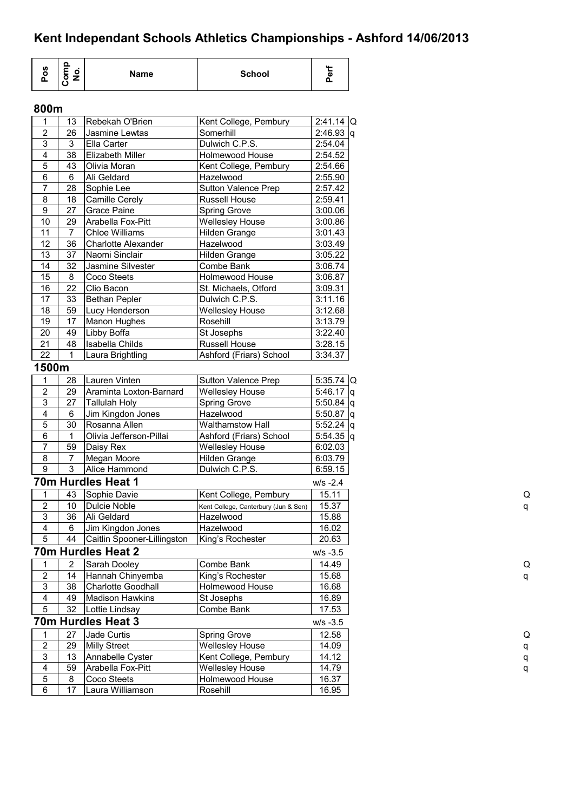| <b>S</b><br>o<br>൨ | $\Omega$<br>o<br>- | Name | <b>School</b> | <br>ø<br>o |
|--------------------|--------------------|------|---------------|------------|
|--------------------|--------------------|------|---------------|------------|

## **800m**

| 1                       | 13              | Rebekah O'Brien             | Kent College, Pembury                | $2:41.14$ Q   |
|-------------------------|-----------------|-----------------------------|--------------------------------------|---------------|
| 2                       | 26              | Jasmine Lewtas              | Somerhill                            | $2:46.93$ q   |
| 3                       | 3               | Ella Carter                 | Dulwich C.P.S.                       | 2:54.04       |
| $\overline{4}$          | 38              | Elizabeth Miller            | Holmewood House                      | 2:54.52       |
| 5                       | 43              | Olivia Moran                | Kent College, Pembury                | 2:54.66       |
| 6                       | 6               | Ali Geldard                 | Hazelwood                            | 2:55.90       |
| $\overline{7}$          | 28              | Sophie Lee                  | Sutton Valence Prep                  | 2:57.42       |
| 8                       | 18              | <b>Camille Cerely</b>       | Russell House                        | 2:59.41       |
| $\boldsymbol{9}$        | 27              | <b>Grace Paine</b>          | Spring Grove                         | 3:00.06       |
| 10                      | 29              | Arabella Fox-Pitt           | <b>Wellesley House</b>               | 3:00.86       |
| 11                      | $\overline{7}$  | <b>Chloe Williams</b>       | Hilden Grange                        | 3:01.43       |
| 12                      | 36              | <b>Charlotte Alexander</b>  | Hazelwood                            | 3:03.49       |
| 13                      | 37              | Naomi Sinclair              | Hilden Grange                        | 3:05.22       |
| 14                      | 32              | Jasmine Silvester           | Combe Bank                           | 3:06.74       |
| 15                      | 8               | Coco Steets                 | Holmewood House                      | 3:06.87       |
| 16                      | 22              | Clio Bacon                  | St. Michaels, Otford                 | 3:09.31       |
| 17                      | 33              | <b>Bethan Pepler</b>        | Dulwich C.P.S.                       | 3:11.16       |
| 18                      | 59              | Lucy Henderson              | <b>Wellesley House</b>               | 3:12.68       |
| 19                      | 17              | Manon Hughes                | Rosehill                             | 3:13.79       |
| 20                      | 49              | Libby Boffa                 | St Josephs                           | 3:22.40       |
| 21                      | 48              | <b>Isabella Childs</b>      | Russell House                        | 3:28.15       |
| 22                      | 1               | Laura Brightling            | Ashford (Friars) School              | 3:34.37       |
| 1500m                   |                 |                             |                                      |               |
|                         |                 |                             |                                      |               |
| 1                       | 28              | Lauren Vinten               | Sutton Valence Prep                  | 5:35.74 $ Q $ |
| $\overline{c}$          | 29              | Araminta Loxton-Barnard     | <b>Wellesley House</b>               | 5:46.17 $ q $ |
| 3                       | 27              | <b>Tallulah Holy</b>        | <b>Spring Grove</b>                  | $5:50.84$ q   |
| $\overline{4}$          | 6               | Jim Kingdon Jones           | Hazelwood                            | $5:50.87$ q   |
| 5                       | 30              | Rosanna Allen               | <b>Walthamstow Hall</b>              | $5:52.24$ q   |
| $\,6$                   | $\mathbf 1$     | Olivia Jefferson-Pillai     | Ashford (Friars) School              | $5:54.35$ q   |
| $\overline{7}$          | 59              | Daisy Rex                   | <b>Wellesley House</b>               | 6:02.03       |
| 8                       | $\overline{7}$  | Megan Moore                 | Hilden Grange                        | 6:03.79       |
| $\boldsymbol{9}$        | 3               | Alice Hammond               | Dulwich C.P.S.                       | 6:59.15       |
|                         |                 | 70m Hurdles Heat 1          |                                      | $W/S -2.4$    |
| 1                       | 43              | Sophie Davie                | Kent College, Pembury                | 15.11         |
| $\sqrt{2}$              | 10              | Dulcie Noble                | Kent College, Canterbury (Jun & Sen) | 15.37         |
| 3                       | 36              | Ali Geldard                 | Hazelwood                            | 15.88         |
| 4                       | 6               | Jim Kingdon Jones           | Hazelwood                            | 16.02         |
| 5                       | 44              | Caitlin Spooner-Lillingston | King's Rochester                     | 20.63         |
|                         |                 | 70m Hurdles Heat 2          |                                      |               |
|                         |                 |                             |                                      | $W/S -3.5$    |
| 1                       | 2               | Sarah Dooley                | Combe Bank                           | 14.49         |
| $\overline{2}$          | $\overline{14}$ | Hannah Chinyemba            | King's Rochester                     | 15.68         |
| $\overline{3}$          | 38              | <b>Charlotte Goodhall</b>   | Holmewood House                      | 16.68         |
| 4                       | 49              | <b>Madison Hawkins</b>      | St Josephs                           | 16.89         |
| 5                       | 32              | Lottie Lindsay              | Combe Bank                           | 17.53         |
|                         |                 | <b>70m Hurdles Heat 3</b>   |                                      | $W/S -3.5$    |
| 1                       | 27              | Jade Curtis                 | <b>Spring Grove</b>                  | 12.58         |
| $\overline{2}$          | 29              | Milly Street                | <b>Wellesley House</b>               | 14.09         |
| 3                       | 13              | Annabelle Cyster            | Kent College, Pembury                | 14.12         |
| $\overline{\mathbf{4}}$ | 59              | Arabella Fox-Pitt           | <b>Wellesley House</b>               | 14.79         |
| $\mathbf 5$             | 8               | Coco Steets                 | Holmewood House                      | 16.37         |
| 6                       | 17              | Laura Williamson            | Rosehill                             | 16.95         |
|                         |                 |                             |                                      |               |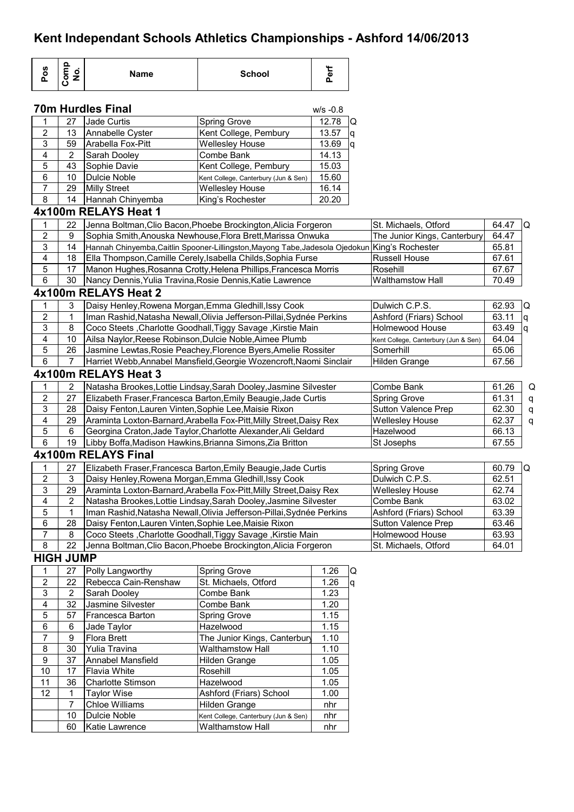| Pos              | Comp<br>No.      | <b>Name</b>                                                          | <b>School</b>                                                                                  | Perf        |            |                                      |       |          |
|------------------|------------------|----------------------------------------------------------------------|------------------------------------------------------------------------------------------------|-------------|------------|--------------------------------------|-------|----------|
|                  |                  | <b>70m Hurdles Final</b>                                             |                                                                                                | $w/s - 0.8$ |            |                                      |       |          |
| 1                | 27               | Jade Curtis                                                          | <b>Spring Grove</b>                                                                            | 12.78       | Q          |                                      |       |          |
| $\mathbf 2$      | 13               | Annabelle Cyster                                                     | Kent College, Pembury                                                                          | 13.57       | q          |                                      |       |          |
| 3                | 59               | Arabella Fox-Pitt                                                    | <b>Wellesley House</b>                                                                         | 13.69       | ١q         |                                      |       |          |
| 4                | $\overline{2}$   | Sarah Dooley                                                         | Combe Bank                                                                                     | 14.13       |            |                                      |       |          |
| 5                | 43               | Sophie Davie                                                         | Kent College, Pembury                                                                          | 15.03       |            |                                      |       |          |
| 6                | 10               | Dulcie Noble                                                         | Kent College, Canterbury (Jun & Sen)                                                           | 15.60       |            |                                      |       |          |
| $\overline{7}$   | 29               | <b>Milly Street</b>                                                  | <b>Wellesley House</b>                                                                         | 16.14       |            |                                      |       |          |
| 8                | 14               | Hannah Chinyemba                                                     | King's Rochester                                                                               | 20.20       |            |                                      |       |          |
|                  |                  | 4x100m RELAYS Heat 1                                                 |                                                                                                |             |            |                                      |       |          |
| $\mathbf{1}$     | 22               |                                                                      | Jenna Boltman, Clio Bacon, Phoebe Brockington, Alicia Forgeron                                 |             |            | St. Michaels, Otford                 | 64.47 | IQ.      |
| $\mathbf 2$      | 9                |                                                                      | Sophia Smith, Anouska Newhouse, Flora Brett, Marissa Onwuka                                    |             |            | The Junior Kings, Canterbury         | 64.47 |          |
| 3                | 14               |                                                                      | Hannah Chinyemba, Caitlin Spooner-Lillingston, Mayong Tabe, Jadesola Ojedokun King's Rochester |             |            |                                      | 65.81 |          |
| 4                | 18               |                                                                      | Ella Thompson, Camille Cerely, Isabella Childs, Sophia Furse                                   |             |            | <b>Russell House</b>                 | 67.61 |          |
| 5                | 17               | Manon Hughes, Rosanna Crotty, Helena Phillips, Francesca Morris      |                                                                                                |             |            | Rosehill                             | 67.67 |          |
| 6                | 30               | Nancy Dennis, Yulia Travina, Rosie Dennis, Katie Lawrence            |                                                                                                |             |            | <b>Walthamstow Hall</b>              | 70.49 |          |
|                  |                  | 4x100m RELAYS Heat 2                                                 |                                                                                                |             |            |                                      |       |          |
| 1                | 3                | Daisy Henley, Rowena Morgan, Emma Gledhill, Issy Cook                |                                                                                                |             |            | Dulwich C.P.S.                       | 62.93 | IQ.      |
| $\overline{c}$   | 1                |                                                                      | Iman Rashid, Natasha Newall, Olivia Jefferson-Pillai, Sydnée Perkins                           |             |            | Ashford (Friars) School              | 63.11 | Iq.      |
| 3                | 8                |                                                                      | Coco Steets, Charlotte Goodhall, Tiggy Savage, Kirstie Main                                    |             |            | Holmewood House                      | 63.49 | <b>g</b> |
| 4                | 10               | Ailsa Naylor, Reese Robinson, Dulcie Noble, Aimee Plumb              |                                                                                                |             |            | Kent College, Canterbury (Jun & Sen) | 64.04 |          |
| 5                | 26               |                                                                      | Jasmine Lewtas, Rosie Peachey, Florence Byers, Amelie Rossiter                                 |             |            | Somerhill                            | 65.06 |          |
| 6                | $\overline{7}$   |                                                                      | Harriet Webb, Annabel Mansfield, Georgie Wozencroft, Naomi Sinclair                            |             |            | Hilden Grange                        | 67.56 |          |
|                  |                  | 4x100m RELAYS Heat 3                                                 |                                                                                                |             |            |                                      |       |          |
| $\mathbf{1}$     | 2                |                                                                      | Natasha Brookes, Lottie Lindsay, Sarah Dooley, Jasmine Silvester                               |             |            | Combe Bank                           | 61.26 | Q        |
| $\mathbf 2$      | 27               |                                                                      | Elizabeth Fraser, Francesca Barton, Emily Beaugie, Jade Curtis                                 |             |            | <b>Spring Grove</b>                  | 61.31 | q        |
| 3                | 28               | Daisy Fenton, Lauren Vinten, Sophie Lee, Maisie Rixon                |                                                                                                |             |            | <b>Sutton Valence Prep</b>           | 62.30 | q        |
| 4                | 29               |                                                                      | Araminta Loxton-Barnard, Arabella Fox-Pitt, Milly Street, Daisy Rex                            |             |            | <b>Wellesley House</b>               | 62.37 | q        |
| 5                | 6                |                                                                      | Georgina Craton, Jade Taylor, Charlotte Alexander, Ali Geldard                                 |             |            | Hazelwood                            | 66.13 |          |
| 6                | 19               | Libby Boffa, Madison Hawkins, Brianna Simons, Zia Britton            |                                                                                                |             |            | St Josephs                           | 67.55 |          |
|                  |                  | 4x100m RELAYS Final                                                  |                                                                                                |             |            |                                      |       |          |
| 1                | 27               |                                                                      | Elizabeth Fraser, Francesca Barton, Emily Beaugie, Jade Curtis                                 |             |            | <b>Spring Grove</b>                  | 60.79 | IQ       |
| $\mathbf 2$      | $\mathbf{3}$     | Daisy Henley, Rowena Morgan, Emma Gledhill, Issy Cook                |                                                                                                |             |            | Dulwich C.P.S.                       | 62.51 |          |
| 3                | 29               |                                                                      | Araminta Loxton-Barnard, Arabella Fox-Pitt, Milly Street, Daisy Rex                            |             |            | <b>Wellesley House</b>               | 62.74 |          |
| 4                | 2                | Natasha Brookes, Lottie Lindsay, Sarah Dooley, Jasmine Silvester     |                                                                                                |             | Combe Bank | 63.02                                |       |          |
| 5                | 1                | Iman Rashid, Natasha Newall, Olivia Jefferson-Pillai, Sydnée Perkins |                                                                                                |             |            | Ashford (Friars) School              | 63.39 |          |
| $\,6\,$          | 28               | Daisy Fenton, Lauren Vinten, Sophie Lee, Maisie Rixon                |                                                                                                |             |            | <b>Sutton Valence Prep</b>           | 63.46 |          |
| 7                | 8                |                                                                      | Coco Steets, Charlotte Goodhall, Tiggy Savage, Kirstie Main                                    |             |            | Holmewood House                      | 63.93 |          |
| 8                | 22               |                                                                      | Jenna Boltman, Clio Bacon, Phoebe Brockington, Alicia Forgeron                                 |             |            | St. Michaels, Otford                 | 64.01 |          |
|                  | <b>HIGH JUMP</b> |                                                                      |                                                                                                |             |            |                                      |       |          |
| 1                | 27               | Polly Langworthy                                                     | Spring Grove                                                                                   | 1.26        | Q          |                                      |       |          |
| $\boldsymbol{2}$ | 22               | Rebecca Cain-Renshaw                                                 | St. Michaels, Otford                                                                           | 1.26        | q          |                                      |       |          |
|                  |                  |                                                                      |                                                                                                |             |            |                                      |       |          |

|    | ے<br>Polly Larigworthy<br><b>Spring Grove</b> |                          | 1.ZO                                 | U    |    |
|----|-----------------------------------------------|--------------------------|--------------------------------------|------|----|
| 2  | 22                                            | Rebecca Cain-Renshaw     | St. Michaels, Otford                 |      | Iq |
| 3  | 2                                             | Sarah Dooley             | Combe Bank                           | 1.23 |    |
| 4  | 32                                            | Jasmine Silvester        | Combe Bank                           | 1.20 |    |
| 5  | 57                                            | Francesca Barton         | <b>Spring Grove</b>                  | 1.15 |    |
| 6  | 6                                             | Jade Taylor              | Hazelwood                            | 1.15 |    |
| 7  | 9                                             | <b>Flora Brett</b>       | The Junior Kings, Canterbury         | 1.10 |    |
| 8  | 30                                            | Yulia Travina            | <b>Walthamstow Hall</b>              | 1.10 |    |
| 9  | 37                                            | Annabel Mansfield        | Hilden Grange                        | 1.05 |    |
| 10 | 17                                            | <b>Flavia White</b>      | Rosehill                             | 1.05 |    |
| 11 | 36                                            | <b>Charlotte Stimson</b> | Hazelwood                            | 1.05 |    |
| 12 | 1                                             | Taylor Wise              | Ashford (Friars) School              | 1.00 |    |
|    |                                               | <b>Chloe Williams</b>    | Hilden Grange                        | nhr  |    |
|    | 10                                            | Dulcie Noble             | Kent College, Canterbury (Jun & Sen) | nhr  |    |
|    | 60                                            | Katie Lawrence           | <b>Walthamstow Hall</b>              | nhr  |    |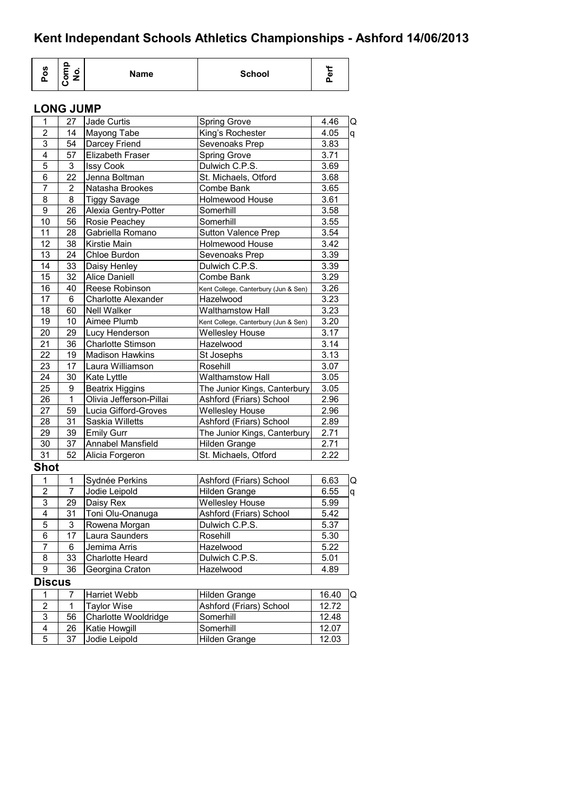| Ω<br>U)<br>Name<br>o<br>⊏<br>o | <b>School</b> | <b>AA</b><br>ω<br> |
|--------------------------------|---------------|--------------------|
|--------------------------------|---------------|--------------------|

### **LONG JUMP**

| 1               | 27             | Jade Curtis                | Spring Grove                         | 4.46  | Q |
|-----------------|----------------|----------------------------|--------------------------------------|-------|---|
| $\overline{2}$  | 14             | Mayong Tabe                | King's Rochester                     | 4.05  | q |
| 3               | 54             | Darcey Friend              | Sevenoaks Prep                       | 3.83  |   |
| $\overline{4}$  | 57             | <b>Elizabeth Fraser</b>    | <b>Spring Grove</b>                  | 3.71  |   |
| 5               | 3              | <b>Issy Cook</b>           | Dulwich C.P.S.                       | 3.69  |   |
| 6               | 22             | Jenna Boltman              | St. Michaels, Otford                 | 3.68  |   |
| $\overline{7}$  | $\overline{2}$ | Natasha Brookes            | Combe Bank                           | 3.65  |   |
| 8               | 8              | <b>Tiggy Savage</b>        | Holmewood House                      | 3.61  |   |
| 9               | 26             | Alexia Gentry-Potter       | Somerhill                            | 3.58  |   |
| 10              | 56             | Rosie Peachey              | Somerhill                            | 3.55  |   |
| 11              | 28             | Gabriella Romano           | <b>Sutton Valence Prep</b>           | 3.54  |   |
| 12              | 38             | Kirstie Main               | <b>Holmewood House</b>               | 3.42  |   |
| 13              | 24             | Chloe Burdon               | Sevenoaks Prep                       | 3.39  |   |
| 14              | 33             | Daisy Henley               | Dulwich C.P.S.                       | 3.39  |   |
| 15              | 32             | <b>Alice Daniell</b>       | Combe Bank                           | 3.29  |   |
| 16              | 40             | Reese Robinson             | Kent College, Canterbury (Jun & Sen) | 3.26  |   |
| 17              | 6              | <b>Charlotte Alexander</b> | Hazelwood                            | 3.23  |   |
| 18              | 60             | Nell Walker                | Walthamstow Hall                     | 3.23  |   |
| 19              | 10             | Aimee Plumb                | Kent College, Canterbury (Jun & Sen) | 3.20  |   |
| $\overline{20}$ | 29             | Lucy Henderson             | <b>Wellesley House</b>               | 3.17  |   |
| 21              | 36             | <b>Charlotte Stimson</b>   | Hazelwood                            | 3.14  |   |
| 22              | 19             | <b>Madison Hawkins</b>     | St Josephs                           | 3.13  |   |
| 23              | 17             | Laura Williamson           | Rosehill                             | 3.07  |   |
| 24              | 30             | Kate Lyttle                | <b>Walthamstow Hall</b>              | 3.05  |   |
| 25              | 9              | <b>Beatrix Higgins</b>     | The Junior Kings, Canterbury         | 3.05  |   |
| 26              | 1              | Olivia Jefferson-Pillai    | Ashford (Friars) School              | 2.96  |   |
| 27              | 59             | Lucia Gifford-Groves       | <b>Wellesley House</b>               | 2.96  |   |
| 28              | 31             | Saskia Willetts            | Ashford (Friars) School              | 2.89  |   |
| 29              | 39             | <b>Emily Gurr</b>          | The Junior Kings, Canterbury         | 2.71  |   |
| 30              | 37             | Annabel Mansfield          | Hilden Grange                        | 2.71  |   |
| $\overline{31}$ | 52             | Alicia Forgeron            | St. Michaels, Otford                 | 2.22  |   |
| <b>Shot</b>     |                |                            |                                      |       |   |
| 1               | 1              | Sydnée Perkins             | Ashford (Friars) School              | 6.63  | Q |
| 2               | 7              | Jodie Leipold              | Hilden Grange                        | 6.55  | q |
| 3               | 29             | Daisy Rex                  | <b>Wellesley House</b>               | 5.99  |   |
| $\overline{4}$  | 31             | Toni Olu-Onanuga           | Ashford (Friars) School              | 5.42  |   |
| 5               | 3              | Rowena Morgan              | Dulwich C.P.S.                       | 5.37  |   |
| $\overline{6}$  | 17             | Laura Saunders             | Rosehill                             | 5.30  |   |
| $\overline{7}$  | 6              | Jemima Arris               | Hazelwood                            | 5.22  |   |
| 8               | 33             | Charlotte Heard            | Dulwich C.P.S.                       | 5.01  |   |
| 9               | 36             | Georgina Craton            | Hazelwood                            | 4.89  |   |
| <b>Discus</b>   |                |                            |                                      |       |   |
| 1               | 7              | Harriet Webb               | Hilden Grange                        | 16.40 | Q |
| $\overline{c}$  | 1              | <b>Taylor Wise</b>         | Ashford (Friars) School              | 12.72 |   |
| 3               | 56             | Charlotte Wooldridge       | Somerhill                            | 12.48 |   |
| 4               | 26             | Katie Howgill              | Somerhill                            | 12.07 |   |
| 5               | 37             | Jodie Leipold              | Hilden Grange                        | 12.03 |   |
|                 |                |                            |                                      |       |   |

Hilden Grange